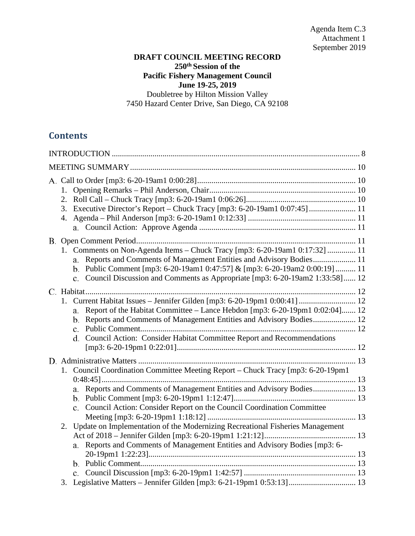### **DRAFT COUNCIL MEETING RECORD 250th Session of the Pacific Fishery Management Council June 19-25, 2019** Doubletree by Hilton Mission Valley 7450 Hazard Center Drive, San Diego, CA 92108

# **Contents**

| 2.<br>3. |                                                                                                                                                                                                                                                                                                                       |  |  |
|----------|-----------------------------------------------------------------------------------------------------------------------------------------------------------------------------------------------------------------------------------------------------------------------------------------------------------------------|--|--|
|          | 1. Comments on Non-Agenda Items - Chuck Tracy [mp3: 6-20-19am1 0:17:32]  11<br>a. Reports and Comments of Management Entities and Advisory Bodies 11<br>b. Public Comment [mp3: 6-20-19am1 0:47:57] & [mp3: 6-20-19am2 0:00:19]  11<br>c. Council Discussion and Comments as Appropriate [mp3: 6-20-19am2 1:33:58] 12 |  |  |
|          | 1. Current Habitat Issues - Jennifer Gilden [mp3: 6-20-19pm1 0:00:41]  12<br>Report of the Habitat Committee – Lance Hebdon [mp3: 6-20-19pm1 0:02:04] 12<br>a.<br>b. Reports and Comments of Management Entities and Advisory Bodies 12<br>d. Council Action: Consider Habitat Committee Report and Recommendations   |  |  |
|          | 1. Council Coordination Committee Meeting Report - Chuck Tracy [mp3: 6-20-19pm1<br>a. Reports and Comments of Management Entities and Advisory Bodies 13<br>c. Council Action: Consider Report on the Council Coordination Committee                                                                                  |  |  |
| 2.       | Update on Implementation of the Modernizing Recreational Fisheries Management<br>Reports and Comments of Management Entities and Advisory Bodies [mp3: 6-<br>a.                                                                                                                                                       |  |  |
| 3.       |                                                                                                                                                                                                                                                                                                                       |  |  |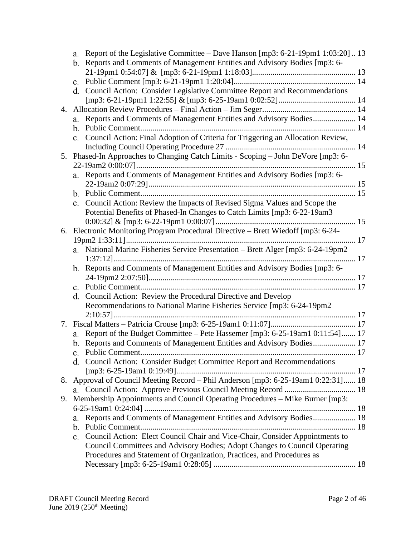|    | a. | Report of the Legislative Committee – Dave Hanson [mp3: 6-21-19pm1 1:03:20] 13<br>b. Reports and Comments of Management Entities and Advisory Bodies [mp3: 6-                                                                        |  |
|----|----|--------------------------------------------------------------------------------------------------------------------------------------------------------------------------------------------------------------------------------------|--|
|    |    |                                                                                                                                                                                                                                      |  |
|    |    |                                                                                                                                                                                                                                      |  |
|    |    | d. Council Action: Consider Legislative Committee Report and Recommendations                                                                                                                                                         |  |
|    |    |                                                                                                                                                                                                                                      |  |
| 4. |    |                                                                                                                                                                                                                                      |  |
|    |    | a. Reports and Comments of Management Entities and Advisory Bodies 14                                                                                                                                                                |  |
|    |    |                                                                                                                                                                                                                                      |  |
|    |    | c. Council Action: Final Adoption of Criteria for Triggering an Allocation Review,                                                                                                                                                   |  |
|    |    |                                                                                                                                                                                                                                      |  |
| 5. |    | Phased-In Approaches to Changing Catch Limits - Scoping - John DeVore [mp3: 6-                                                                                                                                                       |  |
|    |    |                                                                                                                                                                                                                                      |  |
|    |    | a. Reports and Comments of Management Entities and Advisory Bodies [mp3: 6-                                                                                                                                                          |  |
|    |    |                                                                                                                                                                                                                                      |  |
|    |    |                                                                                                                                                                                                                                      |  |
|    | c. | Council Action: Review the Impacts of Revised Sigma Values and Scope the                                                                                                                                                             |  |
|    |    | Potential Benefits of Phased-In Changes to Catch Limits [mp3: 6-22-19am3]                                                                                                                                                            |  |
|    |    |                                                                                                                                                                                                                                      |  |
| 6. |    | Electronic Monitoring Program Procedural Directive - Brett Wiedoff [mp3: 6-24-                                                                                                                                                       |  |
|    |    |                                                                                                                                                                                                                                      |  |
|    |    | a. National Marine Fisheries Service Presentation - Brett Alger [mp3: 6-24-19pm2                                                                                                                                                     |  |
|    |    | b. Reports and Comments of Management Entities and Advisory Bodies [mp3: 6-                                                                                                                                                          |  |
|    |    |                                                                                                                                                                                                                                      |  |
|    |    |                                                                                                                                                                                                                                      |  |
|    |    | d. Council Action: Review the Procedural Directive and Develop                                                                                                                                                                       |  |
|    |    | Recommendations to National Marine Fisheries Service [mp3: 6-24-19pm2                                                                                                                                                                |  |
|    |    |                                                                                                                                                                                                                                      |  |
|    |    |                                                                                                                                                                                                                                      |  |
|    |    | a. Report of the Budget Committee - Pete Hassemer [mp3: 6-25-19am1 0:11:54] 17                                                                                                                                                       |  |
|    |    | b. Reports and Comments of Management Entities and Advisory Bodies 17                                                                                                                                                                |  |
|    |    |                                                                                                                                                                                                                                      |  |
|    |    | d. Council Action: Consider Budget Committee Report and Recommendations                                                                                                                                                              |  |
|    |    |                                                                                                                                                                                                                                      |  |
| 8. |    | Approval of Council Meeting Record - Phil Anderson [mp3: 6-25-19am1 0:22:31] 18                                                                                                                                                      |  |
|    |    |                                                                                                                                                                                                                                      |  |
| 9. |    | Membership Appointments and Council Operating Procedures – Mike Burner [mp3:                                                                                                                                                         |  |
|    |    |                                                                                                                                                                                                                                      |  |
|    | a. | Reports and Comments of Management Entities and Advisory Bodies 18                                                                                                                                                                   |  |
|    | b. |                                                                                                                                                                                                                                      |  |
|    | c. | Council Action: Elect Council Chair and Vice-Chair, Consider Appointments to<br>Council Committees and Advisory Bodies; Adopt Changes to Council Operating<br>Procedures and Statement of Organization, Practices, and Procedures as |  |
|    |    |                                                                                                                                                                                                                                      |  |
|    |    |                                                                                                                                                                                                                                      |  |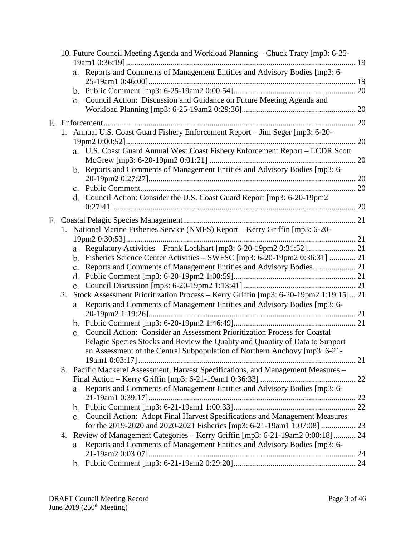|    | 10. Future Council Meeting Agenda and Workload Planning - Chuck Tracy [mp3: 6-25-           |  |
|----|---------------------------------------------------------------------------------------------|--|
|    |                                                                                             |  |
|    | Reports and Comments of Management Entities and Advisory Bodies [mp3: 6-<br>а.              |  |
|    |                                                                                             |  |
|    |                                                                                             |  |
|    | c. Council Action: Discussion and Guidance on Future Meeting Agenda and                     |  |
|    |                                                                                             |  |
|    |                                                                                             |  |
|    | 1. Annual U.S. Coast Guard Fishery Enforcement Report - Jim Seger [mp3: 6-20-               |  |
|    |                                                                                             |  |
|    | a. U.S. Coast Guard Annual West Coast Fishery Enforcement Report - LCDR Scott               |  |
|    |                                                                                             |  |
|    | b. Reports and Comments of Management Entities and Advisory Bodies [mp3: 6-                 |  |
|    |                                                                                             |  |
|    |                                                                                             |  |
|    | d. Council Action: Consider the U.S. Coast Guard Report [mp3: 6-20-19pm2                    |  |
|    |                                                                                             |  |
|    |                                                                                             |  |
|    | 1. National Marine Fisheries Service (NMFS) Report - Kerry Griffin [mp3: 6-20-              |  |
|    |                                                                                             |  |
|    | а.                                                                                          |  |
|    | b. Fisheries Science Center Activities - SWFSC [mp3: 6-20-19pm2 0:36:31]  21                |  |
|    | Reports and Comments of Management Entities and Advisory Bodies 21<br>c.                    |  |
|    |                                                                                             |  |
|    | e.                                                                                          |  |
| 2. | Stock Assessment Prioritization Process - Kerry Griffin [mp3: 6-20-19pm2 1:19:15] 21        |  |
|    | Reports and Comments of Management Entities and Advisory Bodies [mp3: 6-<br>a.              |  |
|    |                                                                                             |  |
|    |                                                                                             |  |
|    | Council Action: Consider an Assessment Prioritization Process for Coastal<br>$\mathbf{c}$ . |  |
|    | Pelagic Species Stocks and Review the Quality and Quantity of Data to Support               |  |
|    | an Assessment of the Central Subpopulation of Northern Anchovy [mp3: 6-21-                  |  |
|    |                                                                                             |  |
|    | 3. Pacific Mackerel Assessment, Harvest Specifications, and Management Measures -           |  |
|    |                                                                                             |  |
|    | Reports and Comments of Management Entities and Advisory Bodies [mp3: 6-<br>a.              |  |
|    |                                                                                             |  |
|    |                                                                                             |  |
|    | c. Council Action: Adopt Final Harvest Specifications and Management Measures               |  |
|    |                                                                                             |  |
|    | 4. Review of Management Categories - Kerry Griffin [mp3: 6-21-19am2 0:00:18] 24             |  |
|    | a. Reports and Comments of Management Entities and Advisory Bodies [mp3: 6-                 |  |
|    |                                                                                             |  |
|    |                                                                                             |  |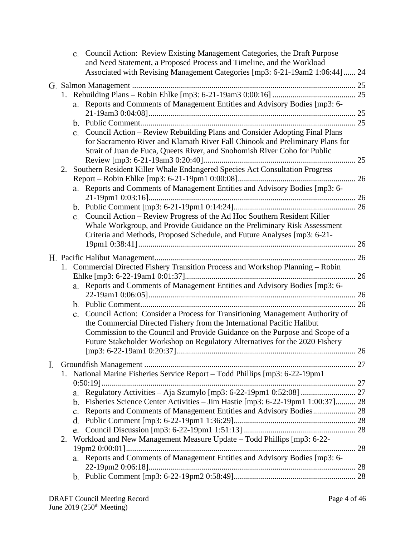|    |    |                | c. Council Action: Review Existing Management Categories, the Draft Purpose<br>and Need Statement, a Proposed Process and Timeline, and the Workload<br>Associated with Revising Management Categories [mp3: 6-21-19am2 1:06:44] 24 |    |
|----|----|----------------|-------------------------------------------------------------------------------------------------------------------------------------------------------------------------------------------------------------------------------------|----|
|    |    |                |                                                                                                                                                                                                                                     |    |
|    |    |                |                                                                                                                                                                                                                                     |    |
|    |    |                | a. Reports and Comments of Management Entities and Advisory Bodies [mp3: 6-                                                                                                                                                         |    |
|    |    |                |                                                                                                                                                                                                                                     |    |
|    |    |                |                                                                                                                                                                                                                                     |    |
|    |    |                | c. Council Action - Review Rebuilding Plans and Consider Adopting Final Plans                                                                                                                                                       |    |
|    |    |                | for Sacramento River and Klamath River Fall Chinook and Preliminary Plans for                                                                                                                                                       |    |
|    |    |                | Strait of Juan de Fuca, Queets River, and Snohomish River Coho for Public                                                                                                                                                           |    |
|    |    |                |                                                                                                                                                                                                                                     |    |
|    | 2. |                | Southern Resident Killer Whale Endangered Species Act Consultation Progress                                                                                                                                                         |    |
|    |    |                |                                                                                                                                                                                                                                     |    |
|    |    |                | a. Reports and Comments of Management Entities and Advisory Bodies [mp3: 6-                                                                                                                                                         |    |
|    |    |                |                                                                                                                                                                                                                                     |    |
|    |    |                |                                                                                                                                                                                                                                     |    |
|    |    |                | c. Council Action - Review Progress of the Ad Hoc Southern Resident Killer                                                                                                                                                          |    |
|    |    |                | Whale Workgroup, and Provide Guidance on the Preliminary Risk Assessment                                                                                                                                                            |    |
|    |    |                | Criteria and Methods, Proposed Schedule, and Future Analyses [mp3: 6-21-                                                                                                                                                            |    |
|    |    |                |                                                                                                                                                                                                                                     |    |
|    |    |                |                                                                                                                                                                                                                                     |    |
|    |    |                | 1. Commercial Directed Fishery Transition Process and Workshop Planning - Robin                                                                                                                                                     |    |
|    |    |                |                                                                                                                                                                                                                                     |    |
|    |    |                | a. Reports and Comments of Management Entities and Advisory Bodies [mp3: 6-                                                                                                                                                         |    |
|    |    |                |                                                                                                                                                                                                                                     |    |
|    |    |                |                                                                                                                                                                                                                                     | 26 |
|    |    | $\mathbf{c}$ . | Council Action: Consider a Process for Transitioning Management Authority of                                                                                                                                                        |    |
|    |    |                | the Commercial Directed Fishery from the International Pacific Halibut                                                                                                                                                              |    |
|    |    |                | Commission to the Council and Provide Guidance on the Purpose and Scope of a                                                                                                                                                        |    |
|    |    |                | Future Stakeholder Workshop on Regulatory Alternatives for the 2020 Fishery                                                                                                                                                         |    |
|    |    |                |                                                                                                                                                                                                                                     |    |
| Ι. |    |                |                                                                                                                                                                                                                                     |    |
|    |    |                | 1. National Marine Fisheries Service Report - Todd Phillips [mp3: 6-22-19pm1                                                                                                                                                        |    |
|    |    |                |                                                                                                                                                                                                                                     |    |
|    |    | a.             |                                                                                                                                                                                                                                     |    |
|    |    | b.             | Fisheries Science Center Activities - Jim Hastie [mp3: 6-22-19pm1 1:00:37] 28                                                                                                                                                       |    |
|    |    | c.             | Reports and Comments of Management Entities and Advisory Bodies 28                                                                                                                                                                  |    |
|    |    | d.             |                                                                                                                                                                                                                                     |    |
|    |    |                |                                                                                                                                                                                                                                     |    |
|    | 2. |                | Workload and New Management Measure Update – Todd Phillips [mp3: 6-22-                                                                                                                                                              |    |
|    |    |                |                                                                                                                                                                                                                                     | 28 |
|    |    |                | a. Reports and Comments of Management Entities and Advisory Bodies [mp3: 6-                                                                                                                                                         |    |
|    |    |                |                                                                                                                                                                                                                                     |    |
|    |    |                |                                                                                                                                                                                                                                     |    |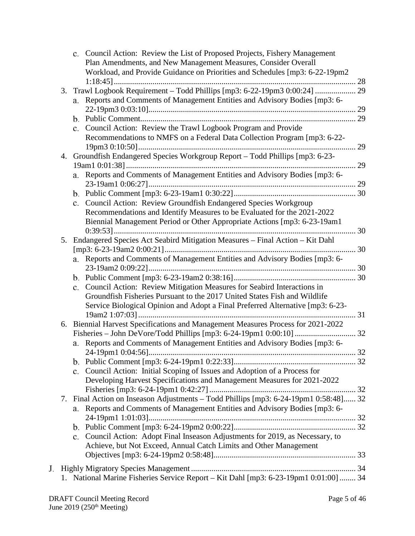|    | c. Council Action: Review the List of Proposed Projects, Fishery Management          |    |
|----|--------------------------------------------------------------------------------------|----|
|    | Plan Amendments, and New Management Measures, Consider Overall                       |    |
|    | Workload, and Provide Guidance on Priorities and Schedules [mp3: 6-22-19pm2          |    |
|    |                                                                                      |    |
| 3. | Trawl Logbook Requirement - Todd Phillips [mp3: 6-22-19pm3 0:00:24]  29              |    |
|    | a. Reports and Comments of Management Entities and Advisory Bodies [mp3: 6-          |    |
|    |                                                                                      |    |
|    |                                                                                      |    |
|    | c. Council Action: Review the Trawl Logbook Program and Provide                      |    |
|    | Recommendations to NMFS on a Federal Data Collection Program [mp3: 6-22-             |    |
|    |                                                                                      | 29 |
| 4. | Groundfish Endangered Species Workgroup Report - Todd Phillips [mp3: 6-23-           |    |
|    | 29                                                                                   |    |
|    | Reports and Comments of Management Entities and Advisory Bodies [mp3: 6-             |    |
|    | a.                                                                                   |    |
|    |                                                                                      |    |
|    |                                                                                      |    |
|    | c. Council Action: Review Groundfish Endangered Species Workgroup                    |    |
|    | Recommendations and Identify Measures to be Evaluated for the 2021-2022              |    |
|    | Biennial Management Period or Other Appropriate Actions [mp3: 6-23-19am1             |    |
|    |                                                                                      |    |
| 5. | Endangered Species Act Seabird Mitigation Measures - Final Action - Kit Dahl         |    |
|    |                                                                                      |    |
|    | a. Reports and Comments of Management Entities and Advisory Bodies [mp3: 6-          |    |
|    |                                                                                      |    |
|    |                                                                                      |    |
|    | Council Action: Review Mitigation Measures for Seabird Interactions in<br>c.         |    |
|    | Groundfish Fisheries Pursuant to the 2017 United States Fish and Wildlife            |    |
|    | Service Biological Opinion and Adopt a Final Preferred Alternative [mp3: 6-23-       |    |
|    |                                                                                      |    |
| 6. | Biennial Harvest Specifications and Management Measures Process for 2021-2022        |    |
|    |                                                                                      |    |
|    | Reports and Comments of Management Entities and Advisory Bodies [mp3: 6-<br>a.       |    |
|    |                                                                                      |    |
|    |                                                                                      |    |
|    | Council Action: Initial Scoping of Issues and Adoption of a Process for<br>c.        |    |
|    | Developing Harvest Specifications and Management Measures for 2021-2022              |    |
|    |                                                                                      |    |
| 7. | Final Action on Inseason Adjustments - Todd Phillips [mp3: 6-24-19pm1 0:58:48] 32    |    |
|    | Reports and Comments of Management Entities and Advisory Bodies [mp3: 6-<br>a.       |    |
|    |                                                                                      |    |
|    |                                                                                      |    |
|    | Council Action: Adopt Final Inseason Adjustments for 2019, as Necessary, to          |    |
|    | $c_{\cdot}$                                                                          |    |
|    | Achieve, but Not Exceed, Annual Catch Limits and Other Management                    |    |
|    |                                                                                      |    |
|    |                                                                                      |    |
|    | 1. National Marine Fisheries Service Report - Kit Dahl [mp3: 6-23-19pm1 0:01:00]  34 |    |
|    |                                                                                      |    |

 $\mathbf{J}.$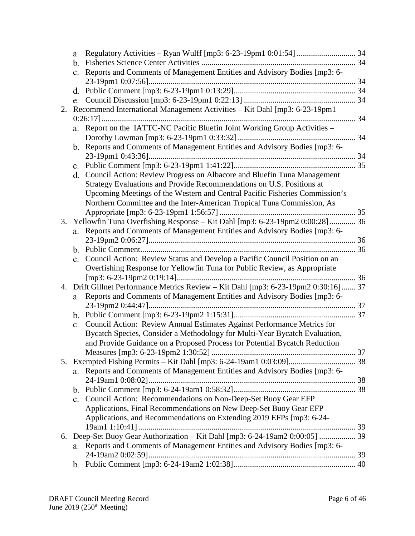|    | a.                                                                               |  |
|----|----------------------------------------------------------------------------------|--|
|    | b.                                                                               |  |
|    | Reports and Comments of Management Entities and Advisory Bodies [mp3: 6-<br>c.   |  |
|    |                                                                                  |  |
|    |                                                                                  |  |
|    |                                                                                  |  |
| 2. | Recommend International Management Activities - Kit Dahl [mp3: 6-23-19pm1        |  |
|    | a. Report on the IATTC-NC Pacific Bluefin Joint Working Group Activities -       |  |
|    |                                                                                  |  |
|    | b. Reports and Comments of Management Entities and Advisory Bodies [mp3: 6-      |  |
|    |                                                                                  |  |
|    | $\mathbf{c}$ .                                                                   |  |
|    | Council Action: Review Progress on Albacore and Bluefin Tuna Management<br>d.    |  |
|    | Strategy Evaluations and Provide Recommendations on U.S. Positions at            |  |
|    | Upcoming Meetings of the Western and Central Pacific Fisheries Commission's      |  |
|    | Northern Committee and the Inter-American Tropical Tuna Commission, As           |  |
|    |                                                                                  |  |
| 3. | Yellowfin Tuna Overfishing Response - Kit Dahl [mp3: 6-23-19pm2 0:00:28] 36      |  |
|    | a. Reports and Comments of Management Entities and Advisory Bodies [mp3: 6-      |  |
|    |                                                                                  |  |
|    | Council Action: Review Status and Develop a Pacific Council Position on an       |  |
|    | c.<br>Overfishing Response for Yellowfin Tuna for Public Review, as Appropriate  |  |
|    |                                                                                  |  |
| 4. | Drift Gillnet Performance Metrics Review - Kit Dahl [mp3: 6-23-19pm2 0:30:16] 37 |  |
|    | Reports and Comments of Management Entities and Advisory Bodies [mp3: 6-<br>а.   |  |
|    |                                                                                  |  |
|    |                                                                                  |  |
|    | Council Action: Review Annual Estimates Against Performance Metrics for<br>c.    |  |
|    | Bycatch Species, Consider a Methodology for Multi-Year Bycatch Evaluation,       |  |
|    | and Provide Guidance on a Proposed Process for Potential Bycatch Reduction       |  |
|    |                                                                                  |  |
|    |                                                                                  |  |
|    | Reports and Comments of Management Entities and Advisory Bodies [mp3: 6-<br>a.   |  |
|    |                                                                                  |  |
|    |                                                                                  |  |
|    | Council Action: Recommendations on Non-Deep-Set Buoy Gear EFP<br>c.              |  |
|    | Applications, Final Recommendations on New Deep-Set Buoy Gear EFP                |  |
|    | Applications, and Recommendations on Extending 2019 EFPs [mp3: 6-24-             |  |
|    |                                                                                  |  |
| 6. | Deep-Set Buoy Gear Authorization - Kit Dahl [mp3: 6-24-19am2 0:00:05]  39        |  |
|    | Reports and Comments of Management Entities and Advisory Bodies [mp3: 6-<br>a.   |  |
|    |                                                                                  |  |
|    |                                                                                  |  |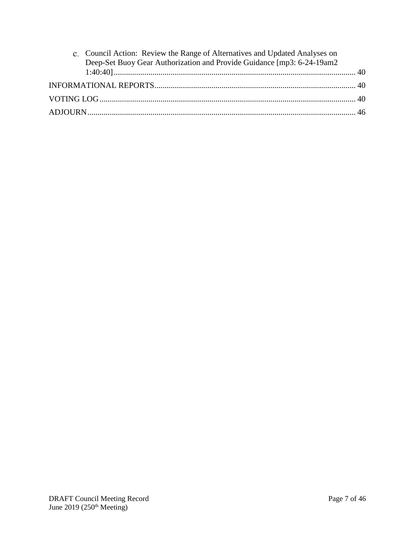| c. Council Action: Review the Range of Alternatives and Updated Analyses on |  |
|-----------------------------------------------------------------------------|--|
| Deep-Set Buoy Gear Authorization and Provide Guidance [mp3: 6-24-19am2      |  |
|                                                                             |  |
|                                                                             |  |
|                                                                             |  |
|                                                                             |  |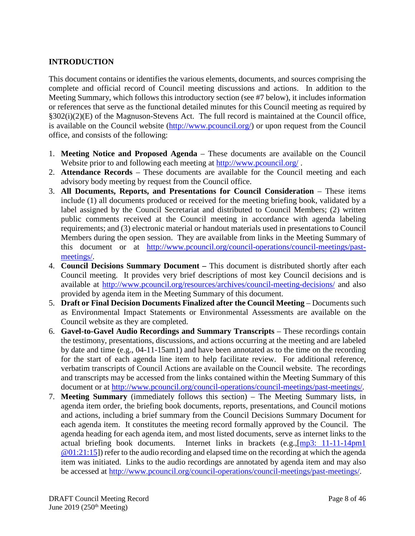# <span id="page-7-0"></span>**INTRODUCTION**

This document contains or identifies the various elements, documents, and sources comprising the complete and official record of Council meeting discussions and actions. In addition to the Meeting Summary, which follows this introductory section (see #7 below), it includes information or references that serve as the functional detailed minutes for this Council meeting as required by §302(i)(2)(E) of the Magnuson-Stevens Act. The full record is maintained at the Council office, is available on the Council website [\(http://www.pcouncil.org/\)](http://www.pcouncil.org/) or upon request from the Council office, and consists of the following:

- 1. **Meeting Notice and Proposed Agenda** These documents are available on the Council Website prior to and following each meeting at<http://www.pcouncil.org/>.
- 2. **Attendance Records** These documents are available for the Council meeting and each advisory body meeting by request from the Council office.
- 3. **All Documents, Reports, and Presentations for Council Consideration** These items include (1) all documents produced or received for the meeting briefing book, validated by a label assigned by the Council Secretariat and distributed to Council Members; (2) written public comments received at the Council meeting in accordance with agenda labeling requirements; and (3) electronic material or handout materials used in presentations to Council Members during the open session. They are available from links in the Meeting Summary of this document or at [http://www.pcouncil.org/council-operations/council-meetings/past](http://www.pcouncil.org/council-operations/council-meetings/past-meetings/)[meetings/.](http://www.pcouncil.org/council-operations/council-meetings/past-meetings/)
- 4. **Council Decisions Summary Document –** This document is distributed shortly after each Council meeting. It provides very brief descriptions of most key Council decisions and is available at<http://www.pcouncil.org/resources/archives/council-meeting-decisions/> and also provided by agenda item in the Meeting Summary of this document.
- 5. **Draft or Final Decision Documents Finalized after the Council Meeting** Documents such as Environmental Impact Statements or Environmental Assessments are available on the Council website as they are completed.
- 6. **Gavel-to-Gavel Audio Recordings and Summary Transcripts** These recordings contain the testimony, presentations, discussions, and actions occurring at the meeting and are labeled by date and time (e.g., 04-11-15am1) and have been annotated as to the time on the recording for the start of each agenda line item to help facilitate review. For additional reference, verbatim transcripts of Council Actions are available on the Council website. The recordings and transcripts may be accessed from the links contained within the Meeting Summary of this document or at [http://www.pcouncil.org/council-operations/council-meetings/past-meetings/.](http://www.pcouncil.org/council-operations/council-meetings/past-meetings/)
- 7. **Meeting Summary** (immediately follows this section) The Meeting Summary lists, in agenda item order, the briefing book documents, reports, presentations, and Council motions and actions, including a brief summary from the Council Decisions Summary Document for each agenda item. It constitutes the meeting record formally approved by the Council. The agenda heading for each agenda item, and most listed documents, serve as internet links to the actual briefing book documents. Internet links in brackets (e.g.,[\[mp3: 11-11-14pm1](ftp://ftp.pcouncil.org/pub/R1411_November_2014_Recordings/11-14-14pm1Copy.mp3) @01:21:15]) refer to the audio recording and elapsed time on the recording at which the agenda item was initiated. Links to the audio recordings are annotated by agenda item and may also be accessed at [http://www.pcouncil.org/council-operations/council-meetings/past-meetings/.](http://www.pcouncil.org/council-operations/council-meetings/past-meetings/)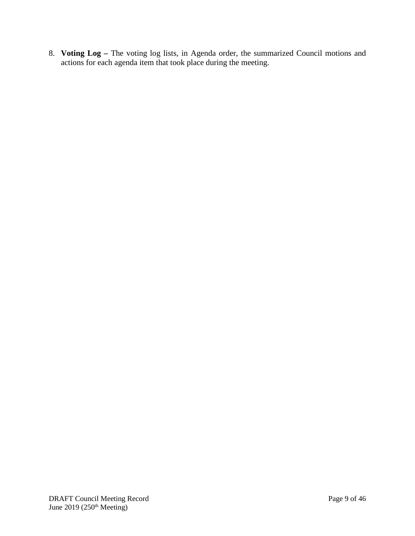8. **Voting Log –** The voting log lists, in Agenda order, the summarized Council motions and actions for each agenda item that took place during the meeting.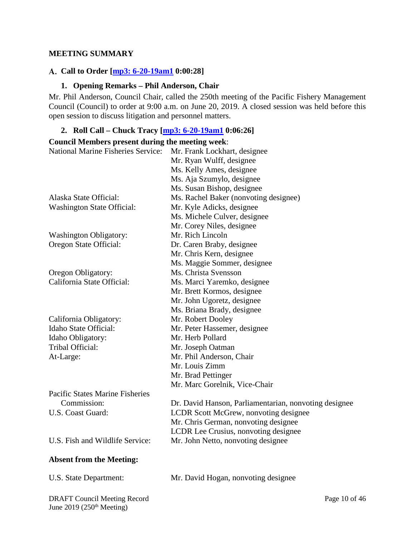#### <span id="page-9-0"></span>**MEETING SUMMARY**

#### <span id="page-9-1"></span>**Call to Order [\[mp3: 6-20-19am1](ftp://ftp.pcouncil.org/pub/R1906_June_2019_Recordings/6-20-19am1Copy.mp3) 0:00:28]**

#### **1. Opening Remarks – Phil Anderson, Chair**

<span id="page-9-2"></span>Mr. Phil Anderson, Council Chair, called the 250th meeting of the Pacific Fishery Management Council (Council) to order at 9:00 a.m. on June 20, 2019. A closed session was held before this open session to discuss litigation and personnel matters.

#### <span id="page-9-3"></span>**2. Roll Call – Chuck Tracy [\[mp3: 6-20-19am1](ftp://ftp.pcouncil.org/pub/R1906_June_2019_Recordings/6-20-19am1Copy.mp3) 0:06:26]**

#### **Council Members present during the meeting week**:

| Council Members present utiling the inceting week. |                                                       |
|----------------------------------------------------|-------------------------------------------------------|
| <b>National Marine Fisheries Service:</b>          | Mr. Frank Lockhart, designee                          |
|                                                    | Mr. Ryan Wulff, designee                              |
|                                                    | Ms. Kelly Ames, designee                              |
|                                                    | Ms. Aja Szumylo, designee                             |
|                                                    | Ms. Susan Bishop, designee                            |
| Alaska State Official:                             | Ms. Rachel Baker (nonvoting designee)                 |
| <b>Washington State Official:</b>                  | Mr. Kyle Adicks, designee                             |
|                                                    | Ms. Michele Culver, designee                          |
|                                                    | Mr. Corey Niles, designee                             |
| <b>Washington Obligatory:</b>                      | Mr. Rich Lincoln                                      |
| Oregon State Official:                             | Dr. Caren Braby, designee                             |
|                                                    | Mr. Chris Kern, designee                              |
|                                                    | Ms. Maggie Sommer, designee                           |
| Oregon Obligatory:                                 | Ms. Christa Svensson                                  |
| California State Official:                         | Ms. Marci Yaremko, designee                           |
|                                                    | Mr. Brett Kormos, designee                            |
|                                                    | Mr. John Ugoretz, designee                            |
|                                                    | Ms. Briana Brady, designee                            |
| California Obligatory:                             | Mr. Robert Dooley                                     |
| Idaho State Official:                              | Mr. Peter Hassemer, designee                          |
| Idaho Obligatory:                                  | Mr. Herb Pollard                                      |
| Tribal Official:                                   | Mr. Joseph Oatman                                     |
| At-Large:                                          | Mr. Phil Anderson, Chair                              |
|                                                    | Mr. Louis Zimm                                        |
|                                                    | Mr. Brad Pettinger                                    |
|                                                    | Mr. Marc Gorelnik, Vice-Chair                         |
| <b>Pacific States Marine Fisheries</b>             |                                                       |
| Commission:                                        | Dr. David Hanson, Parliamentarian, nonvoting designee |
| U.S. Coast Guard:                                  | LCDR Scott McGrew, nonvoting designee                 |
|                                                    | Mr. Chris German, nonvoting designee                  |
|                                                    | LCDR Lee Crusius, nonvoting designee                  |
| U.S. Fish and Wildlife Service:                    | Mr. John Netto, nonvoting designee                    |
| <b>Absent from the Meeting:</b>                    |                                                       |
| U.S. State Department:                             | Mr. David Hogan, nonvoting designee                   |
|                                                    |                                                       |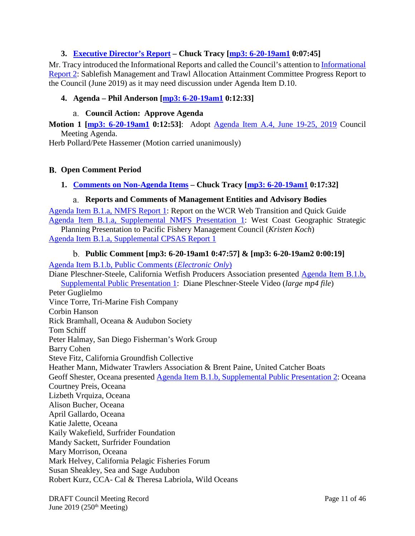# <span id="page-10-0"></span>**3. [Executive Director's Report](https://www.pcouncil.org/wp-content/uploads/2019/05/A3__SitSum_EDsRpt_JUN2019BB.pdf) – Chuck Tracy [\[mp3: 6-20-19am1](ftp://ftp.pcouncil.org/pub/R1906_June_2019_Recordings/6-20-19am1Copy.mp3) 0:07:45]**

Mr. Tracy introduced the Informational Reports and called the Council's attention to [Informational](https://www.pcouncil.org/wp-content/uploads/2019/05/IR2_SaMTAAC-Report-to-Council_June2019BB.pdf)  [Report 2:](https://www.pcouncil.org/wp-content/uploads/2019/05/IR2_SaMTAAC-Report-to-Council_June2019BB.pdf) Sablefish Management and Trawl Allocation Attainment Committee Progress Report to the Council (June 2019) as it may need discussion under Agenda Item D.10.

### <span id="page-10-1"></span>**4. Agenda – Phil Anderson [\[mp3: 6-20-19am1](ftp://ftp.pcouncil.org/pub/R1906_June_2019_Recordings/6-20-19am1Copy.mp3) 0:12:33]**

#### **Council Action: Approve Agenda**

<span id="page-10-2"></span>**Motion 1 [\[mp3: 6-20-19am1](ftp://ftp.pcouncil.org/pub/R1906_June_2019_Recordings/6-20-19am1Copy.mp3) 0:12:53]**: Adopt [Agenda Item A.4,](https://www.pcouncil.org/wp-content/uploads/2019/05/A4__Detailed_Agenda_June2019_wQR.MapJUN2019BB.pdf) June 19-25, 2019 Council Meeting Agenda.

Herb Pollard/Pete Hassemer (Motion carried unanimously)

#### <span id="page-10-3"></span>**Open Comment Period**

#### <span id="page-10-4"></span>**1. [Comments on Non-Agenda Items](https://www.pcouncil.org/wp-content/uploads/2019/05/B1__SitSum_June2019BB.pdf) – Chuck Tracy [\[mp3: 6-20-19am1](ftp://ftp.pcouncil.org/pub/R1906_June_2019_Recordings/6-20-19am1Copy.mp3) 0:17:32]**

#### **Reports and Comments of Management Entities and Advisory Bodies**

<span id="page-10-5"></span>[Agenda Item B.1.a, NMFS Report 1:](https://www.pcouncil.org/wp-content/uploads/2019/05/B1a_NMFS_Rpt1_June2019BB.pdf) Report on the WCR Web Transition and Quick Guide [Agenda Item B.1.a, Supplemental NMFS Presentation 1:](https://www.pcouncil.org/wp-content/uploads/2019/06/B1a_Sup_NMFS_PPT1_Council-presentation-6.10.2019-330PM_June2019BB.pdf) West Coast Geographic Strategic

Planning Presentation to Pacific Fishery Management Council (*Kristen Koch*) [Agenda Item B.1.a, Supplemental CPSAS Report 1](https://www.pcouncil.org/wp-content/uploads/2019/06/B1a_Sup_CPSAS_Rpt_1_JUN2019BB.pdf)

#### **Public Comment [\[mp3: 6-20-19am1](ftp://ftp.pcouncil.org/pub/R1906_June_2019_Recordings/6-20-19am1Copy.mp3) 0:47:57] & [\[mp3: 6-20-19am2](ftp://ftp.pcouncil.org/pub/R1906_June_2019_Recordings/6-20-19am2Copy.mp3) 0:00:19]**

<span id="page-10-6"></span>[Agenda Item B.1.b, Public Comments \(](https://pfmc.psmfc.org/Meeting/Details/783?agendaID=4418)*Electronic Only*)

Diane Pleschner-Steele, California Wetfish Producers Association presented [Agenda Item B.1.b,](ftp://ftp.pcouncil.org/pub/Briefing%20Books/Briefing_Books/BB_06_2019/B_Open_Comment_Period_Jun2019/B1b_Sup_Public_PPT1_Diane_PS_June%202019BB.mp4)  [Supplemental Public Presentation 1:](ftp://ftp.pcouncil.org/pub/Briefing%20Books/Briefing_Books/BB_06_2019/B_Open_Comment_Period_Jun2019/B1b_Sup_Public_PPT1_Diane_PS_June%202019BB.mp4) Diane Pleschner-Steele Video (*large mp4 file*) Peter Guglielmo Vince Torre, Tri-Marine Fish Company Corbin Hanson Rick Bramhall, Oceana & Audubon Society Tom Schiff Peter Halmay, San Diego Fisherman's Work Group Barry Cohen Steve Fitz, California Groundfish Collective Heather Mann, Midwater Trawlers Association & Brent Paine, United Catcher Boats Geoff Shester, Oceana presented [Agenda Item B.1.b, Supplemental Public Presentation 2:](https://www.pcouncil.org/wp-content/uploads/2019/06/B1b_Sup_Public_PPT2_oceana-pelagic-longlineB1-6-20-19a_June2019BB.pdf) Oceana Courtney Preis, Oceana Lizbeth Vrquiza, Oceana Alison Bucher, Oceana April Gallardo, Oceana Katie Jalette, Oceana Kaily Wakefield, Surfrider Foundation Mandy Sackett, Surfrider Foundation Mary Morrison, Oceana Mark Helvey, California Pelagic Fisheries Forum Susan Sheakley, Sea and Sage Audubon Robert Kurz, CCA- Cal & Theresa Labriola, Wild Oceans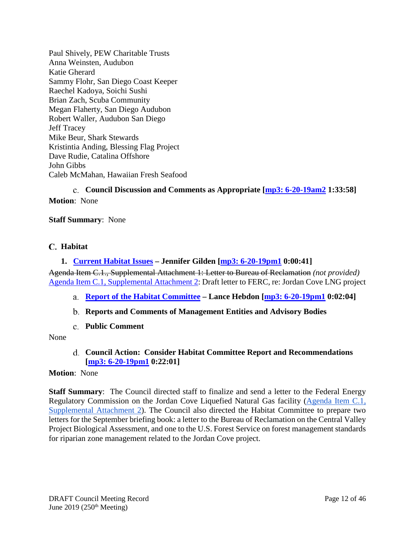Paul Shively, PEW Charitable Trusts Anna Weinsten, Audubon Katie Gherard Sammy Flohr, San Diego Coast Keeper Raechel Kadoya, Soichi Sushi Brian Zach, Scuba Community Megan Flaherty, San Diego Audubon Robert Waller, Audubon San Diego Jeff Tracey Mike Beur, Shark Stewards Kristintia Anding, Blessing Flag Project Dave Rudie, Catalina Offshore John Gibbs Caleb McMahan, Hawaiian Fresh Seafood

<span id="page-11-0"></span>**Council Discussion and Comments as Appropriate [\[mp3: 6-20-19am2](ftp://ftp.pcouncil.org/pub/R1906_June_2019_Recordings/6-20-19am2Copy.mp3) 1:33:58] Motion**: None

#### **Staff Summary**: None

#### <span id="page-11-1"></span>**Habitat**

#### <span id="page-11-2"></span>**1. [Current Habitat Issues](https://www.pcouncil.org/wp-content/uploads/2019/05/C1__SitSum_HabitatIssues_JUN2019BB.pdf) – Jennifer Gilden [\[mp3: 6-20-19pm1](ftp://ftp.pcouncil.org/pub/R1906_June_2019_Recordings/6-20-19pm1Copy.mp3) 0:00:41]**

Agenda Item C.1., Supplemental Attachment 1: Letter to Bureau of Reclamation *(not provided)* [Agenda Item C.1, Supplemental Attachment 2:](https://www.pcouncil.org/wp-content/uploads/2019/06/C1_Sup_Att2_FERC_JordanCove_JUNE2019BB.pdf) Draft letter to FERC, re: Jordan Cove LNG project

- <span id="page-11-3"></span>**[Report of the Habitat Committee](https://www.pcouncil.org/wp-content/uploads/2019/06/C1a_Sup_HC_Rpt1_JUNE2019BB.pdf) – Lance Hebdon [\[mp3: 6-20-19pm1](ftp://ftp.pcouncil.org/pub/R1906_June_2019_Recordings/6-20-19pm1Copy.mp3) 0:02:04]**
- <span id="page-11-4"></span>**Reports and Comments of Management Entities and Advisory Bodies**
- **Public Comment**

<span id="page-11-6"></span><span id="page-11-5"></span>None

#### **Council Action: Consider Habitat Committee Report and Recommendations [\[mp3: 6-20-19pm1](ftp://ftp.pcouncil.org/pub/R1906_June_2019_Recordings/6-20-19pm1Copy.mp3) 0:22:01]**

#### **Motion**: None

**Staff Summary**: The Council directed staff to finalize and send a letter to the Federal Energy Regulatory Commission on the Jordan Cove Liquefied Natural Gas facility [\(Agenda Item C.1,](https://www.pcouncil.org/wp-content/uploads/2019/06/C1_Sup_Att2_FERC_JordanCove_JUNE2019BB.pdf)  [Supplemental Attachment 2\)](https://www.pcouncil.org/wp-content/uploads/2019/06/C1_Sup_Att2_FERC_JordanCove_JUNE2019BB.pdf). The Council also directed the Habitat Committee to prepare two letters for the September briefing book: a letter to the Bureau of Reclamation on the Central Valley Project Biological Assessment, and one to the U.S. Forest Service on forest management standards for riparian zone management related to the Jordan Cove project.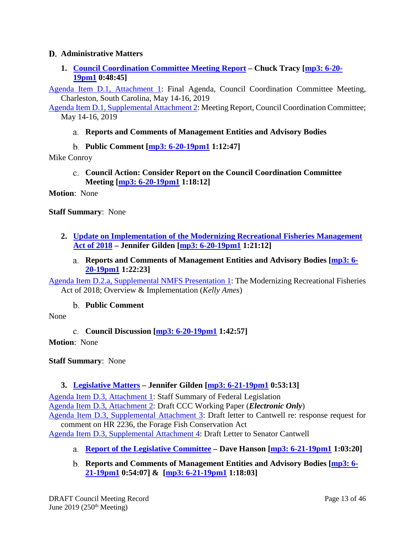### <span id="page-12-0"></span>**Administrative Matters**

<span id="page-12-1"></span>**1. [Council Coordination Committee Meeting Report](https://www.pcouncil.org/wp-content/uploads/2019/05/D1__SitSum_CCC-Update_JUNE2098BB.pdf) – Chuck Tracy [\[mp3: 6-20-](ftp://ftp.pcouncil.org/pub/R1906_June_2019_Recordings/6-20-19pm1Copy.mp3) [19pm1](ftp://ftp.pcouncil.org/pub/R1906_June_2019_Recordings/6-20-19pm1Copy.mp3) 0:48:45]**

[Agenda Item D.1, Attachment 1:](https://www.pcouncil.org/wp-content/uploads/2019/05/D1_Att1_CCCagenda_JUN2019BB.pdf) Final Agenda, Council Coordination Committee Meeting, Charleston, South Carolina, May 14-16, 2019

<span id="page-12-2"></span>[Agenda Item D.1, Supplemental Attachment 2:](https://www.pcouncil.org/wp-content/uploads/2019/06/D1_Sup_Att2_CCCreport_JUN2019BB.pdf) Meeting Report, Council Coordination Committee; May 14-16, 2019

# **Reports and Comments of Management Entities and Advisory Bodies**

**Public Comment [\[mp3: 6-20-19pm1](ftp://ftp.pcouncil.org/pub/R1906_June_2019_Recordings/6-20-19pm1Copy.mp3) 1:12:47]**

<span id="page-12-4"></span><span id="page-12-3"></span>Mike Conroy

**Council Action: Consider Report on the Council Coordination Committee Meeting [\[mp3: 6-20-19pm1](ftp://ftp.pcouncil.org/pub/R1906_June_2019_Recordings/6-20-19pm1Copy.mp3) 1:18:12]**

**Motion**: None

**Staff Summary**: None

- <span id="page-12-6"></span><span id="page-12-5"></span>**2. [Update on Implementation of the Modernizing Recreational Fisheries Management](https://www.pcouncil.org/wp-content/uploads/2019/05/D2__SitSum_ModernFishAct_JUN2019BB.pdf)  [Act of 2018](https://www.pcouncil.org/wp-content/uploads/2019/05/D2__SitSum_ModernFishAct_JUN2019BB.pdf) – Jennifer Gilden [\[mp3: 6-20-19pm1](ftp://ftp.pcouncil.org/pub/R1906_June_2019_Recordings/6-20-19pm1Copy.mp3) 1:21:12]**
	- **Reports and Comments of Management Entities and Advisory Bodies [\[mp3: 6-](ftp://ftp.pcouncil.org/pub/R1906_June_2019_Recordings/6-20-19pm1Copy.mp3) [20-19pm1](ftp://ftp.pcouncil.org/pub/R1906_June_2019_Recordings/6-20-19pm1Copy.mp3) 1:22:23]**

[Agenda Item D.2.a, Supplemental NMFS Presentation 1:](https://www.pcouncil.org/wp-content/uploads/2019/06/D2a_Sup_NMFS_PPT1_Modern-Fish-Act-Presentation_for-Councils_5_17_19_June2019BB.pdf) The Modernizing Recreational Fisheries Act of 2018; Overview & Implementation (*Kelly Ames*)

**Public Comment**

<span id="page-12-8"></span><span id="page-12-7"></span>None

**Council Discussion [\[mp3: 6-20-19pm1](ftp://ftp.pcouncil.org/pub/R1906_June_2019_Recordings/6-20-19pm1Copy.mp3) 1:42:57]**

**Motion**: None

**Staff Summary**: None

### <span id="page-12-9"></span>**3. [Legislative Matters](https://www.pcouncil.org/wp-content/uploads/2019/05/D3__SitSum_Legislative_Matters_JUN2019BB.pdf) – Jennifer Gilden [\[mp3: 6-21-19pm1](ftp://ftp.pcouncil.org/pub/R1906_June_2019_Recordings/6-21-19pm1Copy.mp3) 0:53:13]**

[Agenda Item D.3, Attachment 1:](https://www.pcouncil.org/wp-content/uploads/2019/05/D3_Att1_Staff_Summary_Fed_Legislation_JUN2019BB.pdf) Staff Summary of Federal Legislation [Agenda Item D.3, Attachment 2:](https://www.pcouncil.org/wp-content/uploads/2019/05/D3_Att2_CCC_DraftWorkingPaper_ELECTRIC_ONLY_JUN2019BB.pdf) Draft CCC Working Paper (*Electronic Only*) [Agenda Item D.3, Supplemental Attachment 3:](https://www.pcouncil.org/wp-content/uploads/2019/06/D3_Sup_Att3_Cantwell_Ltr_JUN2019BB.pdf) Draft letter to Cantwell re: response request for comment on HR 2236, the Forage Fish Conservation Act

[Agenda Item D.3, Supplemental Attachment 4:](https://www.pcouncil.org/wp-content/uploads/2019/06/D3_Sup_Att4_CantwellForage_JUN2019BB_CAT.final_.pdf) Draft Letter to Senator Cantwell

- <span id="page-12-10"></span>**[Report of the Legislative Committee](https://www.pcouncil.org/wp-content/uploads/2019/06/D3a_Sup_LC_Rpt1_JUNE2019BB.pdf) – Dave Hanson [\[mp3: 6-21-19pm1](ftp://ftp.pcouncil.org/pub/R1906_June_2019_Recordings/6-21-19pm1Copy.mp3) 1:03:20]**
- <span id="page-12-11"></span>**Reports and Comments of Management Entities and Advisory Bodies [\[mp3: 6-](ftp://ftp.pcouncil.org/pub/R1906_June_2019_Recordings/6-21-19pm1Copy.mp3) [21-19pm1](ftp://ftp.pcouncil.org/pub/R1906_June_2019_Recordings/6-21-19pm1Copy.mp3) 0:54:07] & [\[mp3: 6-21-19pm1](ftp://ftp.pcouncil.org/pub/R1906_June_2019_Recordings/6-21-19pm1Copy.mp3) 1:18:03]**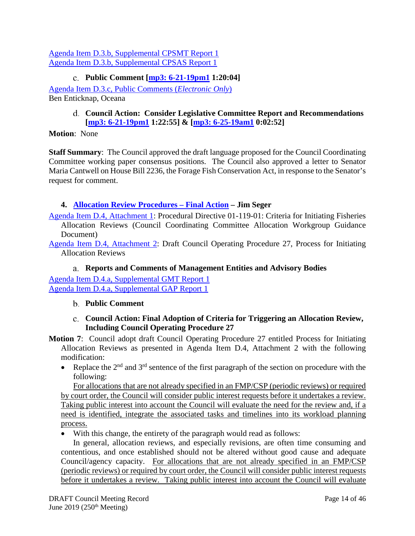[Agenda Item D.3.b, Supplemental CPSMT Report 1](https://www.pcouncil.org/wp-content/uploads/2019/06/D3b_Sup_CPSMT_Rpt1_JUN2019BB.pdf) [Agenda Item D.3.b, Supplemental CPSAS Report 1](https://www.pcouncil.org/wp-content/uploads/2019/06/D3b_Sup_CPSAS_Rpt1_JUN2019BB.pdf)

# **Public Comment [\[mp3: 6-21-19pm1](ftp://ftp.pcouncil.org/pub/R1906_June_2019_Recordings/6-21-19pm1Copy.mp3) 1:20:04]**

<span id="page-13-1"></span><span id="page-13-0"></span>[Agenda Item D.3.c, Public Comments \(](https://pfmc.psmfc.org/Meeting/Details/783?agendaID=4422)*Electronic Only*) Ben Enticknap, Oceana

### **Council Action: Consider Legislative Committee Report and Recommendations [\[mp3: 6-21-19pm1](ftp://ftp.pcouncil.org/pub/R1906_June_2019_Recordings/6-21-19pm1Copy.mp3) 1:22:55] & [\[mp3: 6-25-19am1](ftp://ftp.pcouncil.org/pub/R1906_June_2019_Recordings/6-25-19am1Copy.mp3) 0:02:52]**

#### **Motion**: None

**Staff Summary**: The Council approved the draft language proposed for the Council Coordinating Committee working paper consensus positions. The Council also approved a letter to Senator Maria Cantwell on House Bill 2236, the Forage Fish Conservation Act, in response to the Senator's request for comment.

# <span id="page-13-2"></span>**4. [Allocation Review Procedures –](https://www.pcouncil.org/wp-content/uploads/2019/05/D4__Sit_Sum_Allocation_JUN2019BB.pdf) Final Action – Jim Seger**

[Agenda Item D.4, Attachment 1:](https://www.pcouncil.org/wp-content/uploads/2019/05/D4_Att1_ProcDir_TriggerCriteria_01-119-01_JUN2019.pdf) Procedural Directive 01-119-01: Criteria for Initiating Fisheries Allocation Reviews (Council Coordinating Committee Allocation Workgroup Guidance Document)

[Agenda Item D.4, Attachment 2:](https://www.pcouncil.org/wp-content/uploads/2019/05/D4_Att2_May2019COP27_AllocationRev_JUN2019.pdf) Draft Council Operating Procedure 27, Process for Initiating Allocation Reviews

### **Reports and Comments of Management Entities and Advisory Bodies**

<span id="page-13-4"></span><span id="page-13-3"></span>[Agenda Item D.4.a, Supplemental GMT Report 1](https://www.pcouncil.org/wp-content/uploads/2019/06/D4a_Sup_GMT_Rpt1_JUNE2019BB.pdf) [Agenda Item D.4.a, Supplemental GAP Report 1](https://www.pcouncil.org/wp-content/uploads/2019/06/D4a_Sup_GAP_Rpt1_JUN2019BB.pdf)

### **Public Comment**

### **Council Action: Final Adoption of Criteria for Triggering an Allocation Review, Including Council Operating Procedure 27**

- <span id="page-13-5"></span>**Motion 7**: Council adopt draft Council Operating Procedure 27 entitled Process for Initiating Allocation Reviews as presented in Agenda Item D.4, Attachment 2 with the following modification:
	- Replace the  $2<sup>nd</sup>$  and  $3<sup>rd</sup>$  sentence of the first paragraph of the section on procedure with the following:

For allocations that are not already specified in an FMP/CSP (periodic reviews) or required by court order, the Council will consider public interest requests before it undertakes a review. Taking public interest into account the Council will evaluate the need for the review and, if a need is identified, integrate the associated tasks and timelines into its workload planning process.

• With this change, the entirety of the paragraph would read as follows:

In general, allocation reviews, and especially revisions, are often time consuming and contentious, and once established should not be altered without good cause and adequate Council/agency capacity. For allocations that are not already specified in an FMP/CSP (periodic reviews) or required by court order, the Council will consider public interest requests before it undertakes a review. Taking public interest into account the Council will evaluate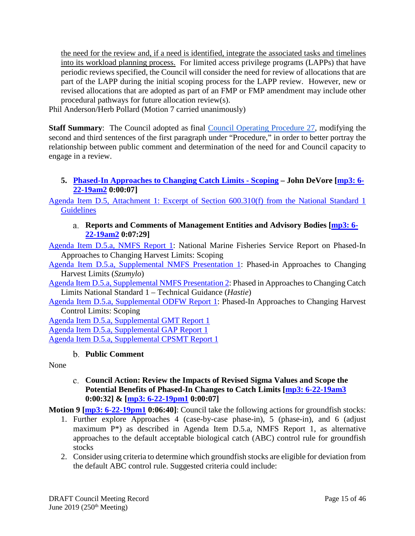the need for the review and, if a need is identified, integrate the associated tasks and timelines into its workload planning process. For limited access privilege programs (LAPPs) that have periodic reviews specified, the Council will consider the need for review of allocations that are part of the LAPP during the initial scoping process for the LAPP review. However, new or revised allocations that are adopted as part of an FMP or FMP amendment may include other procedural pathways for future allocation review(s).

Phil Anderson/Herb Pollard (Motion 7 carried unanimously)

**Staff Summary**: The Council adopted as final [Council Operating Procedure 27,](https://www.pcouncil.org/wp-content/uploads/2019/05/D4_Att2_May2019COP27_AllocationRev_JUN2019.pdf) modifying the second and third sentences of the first paragraph under "Procedure," in order to better portray the relationship between public comment and determination of the need for and Council capacity to engage in a review.

# <span id="page-14-0"></span>**5. [Phased-In Approaches to Changing Catch Limits](https://www.pcouncil.org/wp-content/uploads/2019/05/D5__SitSum_CatchLimitsPolicy_JUNE2019BB.pdf) - Scoping – John DeVore [\[mp3: 6-](ftp://ftp.pcouncil.org/pub/R1906_June_2019_Recordings/6-22-19am2Copy.mp3) [22-19am2](ftp://ftp.pcouncil.org/pub/R1906_June_2019_Recordings/6-22-19am2Copy.mp3) 0:00:07]**

<span id="page-14-1"></span>[Agenda Item D.5, Attachment 1: Excerpt of Section 600.310\(f\) from the National Standard 1](https://www.pcouncil.org/wp-content/uploads/2019/05/D5_Att1_NS1_Excerpt_JUNE2019BB.pdf)  **[Guidelines](https://www.pcouncil.org/wp-content/uploads/2019/05/D5_Att1_NS1_Excerpt_JUNE2019BB.pdf)** 

#### **Reports and Comments of Management Entities and Advisory Bodies [\[mp3: 6-](ftp://ftp.pcouncil.org/pub/R1906_June_2019_Recordings/6-22-19am2Copy.mp3) [22-19am2](ftp://ftp.pcouncil.org/pub/R1906_June_2019_Recordings/6-22-19am2Copy.mp3) 0:07:29]**

[Agenda Item D.5.a, NMFS Report 1:](https://www.pcouncil.org/wp-content/uploads/2019/05/D5a_NMFS_RPT1_Phased-in-HCRs_JUNE2019BB.pdf) National Marine Fisheries Service Report on Phased-In Approaches to Changing Harvest Limits: Scoping

[Agenda Item D.5.a, Supplemental NMFS Presentation 1:](https://www.pcouncil.org/wp-content/uploads/2019/06/D5a_Sup_NMFS_PPT1_Szumylo_JUN2019BB.pdf) Phased-in Approaches to Changing Harvest Limits (*Szumylo*)

[Agenda Item D.5.a, Supplemental NMFS Presentation 2:](https://www.pcouncil.org/wp-content/uploads/2019/06/D5a_Sup_NMFS_PPT2_Hastie_JUN2019BB.pdf) Phased in Approaches to Changing Catch Limits National Standard 1 – Technical Guidance (*Hastie*)

[Agenda Item D.5.a, Supplemental ODFW Report 1:](https://www.pcouncil.org/wp-content/uploads/2019/06/D5a_Sup_ODFW_Rpt1_Jun2019BB.pdf) Phased-In Approaches to Changing Harvest Control Limits: Scoping

[Agenda Item D.5.a, Supplemental GMT Report 1](https://www.pcouncil.org/wp-content/uploads/2019/06/D5a_Sup_GMT_Rpt1_JUNE2019BB.pdf) [Agenda Item D.5.a, Supplemental GAP Report 1](https://www.pcouncil.org/wp-content/uploads/2019/06/D5a_Sup_GAP_Rpt1_JUNE2019BB.pdf) [Agenda Item D.5.a, Supplemental CPSMT Report 1](https://www.pcouncil.org/wp-content/uploads/2019/06/D5a_Sup_CPSMT_Rpt1_June2019BB.pdf)

### **Public Comment**

<span id="page-14-3"></span><span id="page-14-2"></span>None

# **Council Action: Review the Impacts of Revised Sigma Values and Scope the Potential Benefits of Phased-In Changes to Catch Limits [\[mp3: 6-22-19am3](ftp://ftp.pcouncil.org/pub/R1906_June_2019_Recordings/6-22-19am3Copy.mp3) 0:00:32] & [\[mp3: 6-22-19pm1](ftp://ftp.pcouncil.org/pub/R1906_June_2019_Recordings/6-22-19pm1Copy.mp3) 0:00:07]**

**Motion 9 [\[mp3: 6-22-19pm1](ftp://ftp.pcouncil.org/pub/R1906_June_2019_Recordings/6-22-19pm1Copy.mp3) 0:06:40]**: Council take the following actions for groundfish stocks:

- 1. Further explore Approaches 4 (case-by-case phase-in), 5 (phase-in), and 6 (adjust maximum P\*) as described in Agenda Item D.5.a, NMFS Report 1, as alternative approaches to the default acceptable biological catch (ABC) control rule for groundfish stocks
- 2. Consider using criteria to determine which groundfish stocks are eligible for deviation from the default ABC control rule. Suggested criteria could include: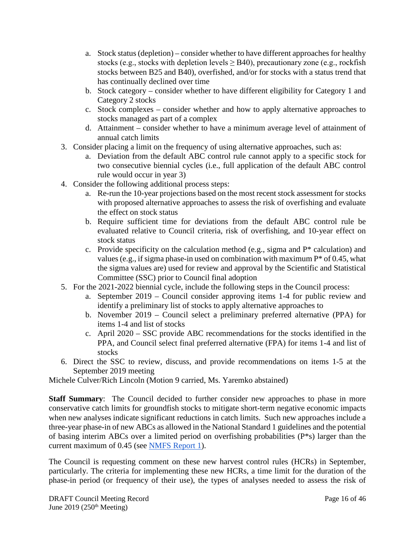- a. Stock status (depletion) consider whether to have different approaches for healthy stocks (e.g., stocks with depletion levels  $\geq$  B40), precautionary zone (e.g., rockfish stocks between B25 and B40), overfished, and/or for stocks with a status trend that has continually declined over time
- b. Stock category consider whether to have different eligibility for Category 1 and Category 2 stocks
- c. Stock complexes consider whether and how to apply alternative approaches to stocks managed as part of a complex
- d. Attainment consider whether to have a minimum average level of attainment of annual catch limits
- 3. Consider placing a limit on the frequency of using alternative approaches, such as:
	- a. Deviation from the default ABC control rule cannot apply to a specific stock for two consecutive biennial cycles (i.e., full application of the default ABC control rule would occur in year 3)
- 4. Consider the following additional process steps:
	- a. Re-run the 10-year projections based on the most recent stock assessment for stocks with proposed alternative approaches to assess the risk of overfishing and evaluate the effect on stock status
	- b. Require sufficient time for deviations from the default ABC control rule be evaluated relative to Council criteria, risk of overfishing, and 10-year effect on stock status
	- c. Provide specificity on the calculation method (e.g., sigma and P\* calculation) and values (e.g., if sigma phase-in used on combination with maximum  $P^*$  of 0.45, what the sigma values are) used for review and approval by the Scientific and Statistical Committee (SSC) prior to Council final adoption
- 5. For the 2021-2022 biennial cycle, include the following steps in the Council process:
	- a. September 2019 Council consider approving items 1-4 for public review and identify a preliminary list of stocks to apply alternative approaches to
	- b. November 2019 Council select a preliminary preferred alternative (PPA) for items 1-4 and list of stocks
	- c. April 2020 SSC provide ABC recommendations for the stocks identified in the PPA, and Council select final preferred alternative (FPA) for items 1-4 and list of stocks
- 6. Direct the SSC to review, discuss, and provide recommendations on items 1-5 at the September 2019 meeting

Michele Culver/Rich Lincoln (Motion 9 carried, Ms. Yaremko abstained)

**Staff Summary**: The Council decided to further consider new approaches to phase in more conservative catch limits for groundfish stocks to mitigate short-term negative economic impacts when new analyses indicate significant reductions in catch limits. Such new approaches include a three-year phase-in of new ABCs as allowed in the National Standard 1 guidelines and the potential of basing interim ABCs over a limited period on overfishing probabilities (P\*s) larger than the current maximum of 0.45 (see [NMFS Report 1\)](https://www.pcouncil.org/wp-content/uploads/2019/05/D5a_NMFS_RPT1_Phased-in-HCRs_JUNE2019BB.pdf).

The Council is requesting comment on these new harvest control rules (HCRs) in September, particularly. The criteria for implementing these new HCRs, a time limit for the duration of the phase-in period (or frequency of their use), the types of analyses needed to assess the risk of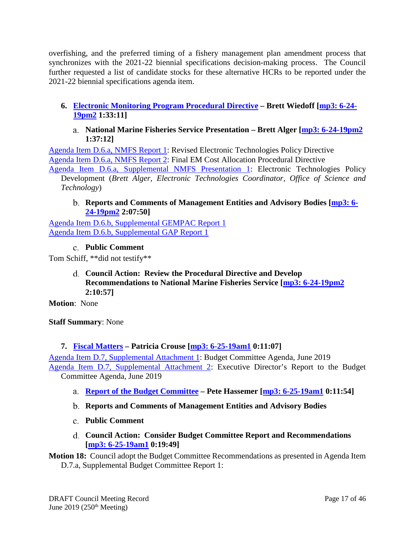overfishing, and the preferred timing of a fishery management plan amendment process that synchronizes with the 2021-22 biennial specifications decision-making process. The Council further requested a list of candidate stocks for these alternative HCRs to be reported under the 2021-22 biennial specifications agenda item.

# <span id="page-16-0"></span>**6. [Electronic Monitoring Program Procedural Directive](https://www.pcouncil.org/wp-content/uploads/2019/06/D6__SitSumEM_Proc_Dir_JUNE2018BB.pdf) – Brett Wiedoff [\[mp3: 6-24-](ftp://ftp.pcouncil.org/pub/R1906_June_2019_Recordings/6-24-19pm2Copy.mp3) [19pm2](ftp://ftp.pcouncil.org/pub/R1906_June_2019_Recordings/6-24-19pm2Copy.mp3) 1:33:11]**

**National Marine Fisheries Service Presentation – Brett Alger [\[mp3: 6-24-19pm2](ftp://ftp.pcouncil.org/pub/R1906_June_2019_Recordings/6-24-19pm2Copy.mp3) 1:37:12]**

<span id="page-16-1"></span>[Agenda Item D.6.a, NMFS Report 1:](https://www.pcouncil.org/wp-content/uploads/2019/05/D6a_NMFS_RPT1_ET-Policy_04-115-01_JUNE2018BB.pdf) Revised Electronic Technologies Policy Directive [Agenda Item D.6.a, NMFS Report 2:](https://www.pcouncil.org/wp-content/uploads/2019/05/D6a_NMFS_RPT2_Cost-Allocation_04-115-02_JUNE2018BB.pdf) Final EM Cost Allocation Procedural Directive

[Agenda Item D.6.a, Supplemental NMFS Presentation 1:](https://www.pcouncil.org/wp-content/uploads/2019/06/D6a_Sup_NMFS_PPT1_Alger_JUN2019BB.pdf) Electronic Technologies Policy Development (*Brett Alger, Electronic Technologies Coordinator, Office of Science and Technology*)

### <span id="page-16-2"></span>**Reports and Comments of Management Entities and Advisory Bodies [\[mp3: 6-](ftp://ftp.pcouncil.org/pub/R1906_June_2019_Recordings/6-24-19pm2Copy.mp3) [24-19pm2](ftp://ftp.pcouncil.org/pub/R1906_June_2019_Recordings/6-24-19pm2Copy.mp3) 2:07:50]**

[Agenda Item D.6.b, Supplemental GEMPAC Report 1](https://www.pcouncil.org/wp-content/uploads/2019/06/D6b_Sup_GEMPAC_Rpt1_JUNEBB2019.pdf) [Agenda Item D.6.b, Supplemental GAP Report 1](https://www.pcouncil.org/wp-content/uploads/2019/06/D6b_Sup_GAP_Rpt_1_JUNE2019BB.pdf)

# **Public Comment**

<span id="page-16-4"></span><span id="page-16-3"></span>Tom Schiff, \*\*did not testify\*\*

**Council Action: Review the Procedural Directive and Develop Recommendations to National Marine Fisheries Service [\[mp3: 6-24-19pm2](ftp://ftp.pcouncil.org/pub/R1906_June_2019_Recordings/6-24-19pm2Copy.mp3) 2:10:57]**

**Motion**: None

**Staff Summary**: None

# <span id="page-16-5"></span>**7. [Fiscal Matters](https://www.pcouncil.org/wp-content/uploads/2019/05/D7__SitSum_Fiscal_JUN2019BB.pdf) – Patricia Crouse [\[mp3: 6-25-19am1](ftp://ftp.pcouncil.org/pub/R1906_June_2019_Recordings/6-25-19am1Copy.mp3) 0:11:07]**

[Agenda Item D.7, Supplemental Attachment 1:](https://www.pcouncil.org/wp-content/uploads/2019/06/D7_Sup_Att1_BCAgenda_June2019BB.pdf) Budget Committee Agenda, June 2019 [Agenda Item D.7, Supplemental Attachment 2:](https://www.pcouncil.org/wp-content/uploads/2019/06/D7_Sup_Att2_EDrpttoBC_JUNE2019BB.pdf) Executive Director's Report to the Budget

Committee Agenda, June 2019

- <span id="page-16-6"></span>**[Report of the Budget Committee](https://www.pcouncil.org/wp-content/uploads/2019/06/D7a_Sup_BC_Rpt1_JUN2019BB.pdf) – Pete Hassemer [\[mp3: 6-25-19am1](ftp://ftp.pcouncil.org/pub/R1906_June_2019_Recordings/6-25-19am1Copy.mp3) 0:11:54]**
- <span id="page-16-7"></span>**Reports and Comments of Management Entities and Advisory Bodies**
- <span id="page-16-8"></span>**Public Comment**
- **Council Action: Consider Budget Committee Report and Recommendations [\[mp3: 6-25-19am1](ftp://ftp.pcouncil.org/pub/R1906_June_2019_Recordings/6-25-19am1Copy.mp3) 0:19:49]**

<span id="page-16-9"></span>**Motion 18:** Council adopt the Budget Committee Recommendations as presented in Agenda Item D.7.a, Supplemental Budget Committee Report 1: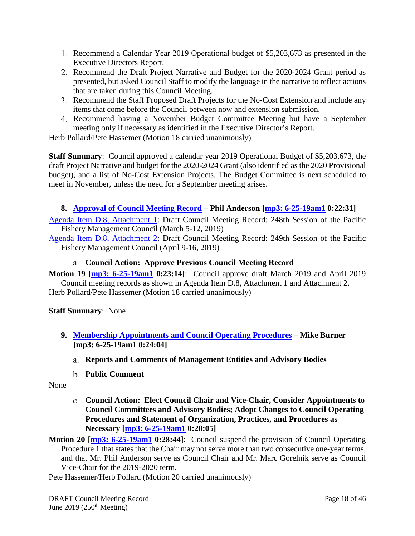- Recommend a Calendar Year 2019 Operational budget of \$5,203,673 as presented in the Executive Directors Report.
- Recommend the Draft Project Narrative and Budget for the 2020-2024 Grant period as presented, but asked Council Staff to modify the language in the narrative to reflect actions that are taken during this Council Meeting.
- Recommend the Staff Proposed Draft Projects for the No-Cost Extension and include any items that come before the Council between now and extension submission.
- Recommend having a November Budget Committee Meeting but have a September meeting only if necessary as identified in the Executive Director's Report.

Herb Pollard/Pete Hassemer (Motion 18 carried unanimously)

**Staff Summary**: Council approved a calendar year 2019 Operational Budget of \$5,203,673, the draft Project Narrative and budget for the 2020-2024 Grant (also identified as the 2020 Provisional budget), and a list of No-Cost Extension Projects. The Budget Committee is next scheduled to meet in November, unless the need for a September meeting arises.

# <span id="page-17-0"></span>**8. [Approval of Council Meeting Record](https://www.pcouncil.org/wp-content/uploads/2019/05/D8__SitSum_MtgRecMar19_and_Apr19_June2019BB.pdf) – Phil Anderson [\[mp3: 6-25-19am1](ftp://ftp.pcouncil.org/pub/R1906_June_2019_Recordings/6-25-19am1Copy.mp3) 0:22:31]**

[Agenda Item D.8, Attachment 1:](https://www.pcouncil.org/wp-content/uploads/2019/05/D8_Att1_CouncilRecord_March2019.pdf) Draft Council Meeting Record: 248th Session of the Pacific Fishery Management Council (March 5-12, 2019)

[Agenda Item D.8, Attachment 2:](https://www.pcouncil.org/wp-content/uploads/2019/05/D8_Att2_CouncilRecord_DRAFT_April2019_JUN2019BB.pdf) Draft Council Meeting Record: 249th Session of the Pacific Fishery Management Council (April 9-16, 2019)

### **Council Action: Approve Previous Council Meeting Record**

<span id="page-17-1"></span>**Motion 19 [\[mp3: 6-25-19am1](ftp://ftp.pcouncil.org/pub/R1906_June_2019_Recordings/6-25-19am1Copy.mp3) 0:23:14]**: Council approve draft March 2019 and April 2019 Council meeting records as shown in Agenda Item D.8, Attachment 1 and Attachment 2. Herb Pollard/Pete Hassemer (Motion 18 carried unanimously)

### **Staff Summary**: None

- <span id="page-17-3"></span><span id="page-17-2"></span>**9. Membership Appointments [and Council Operating Procedures](https://www.pcouncil.org/wp-content/uploads/2019/05/D9__SitSum_ApptsCOPs_JUNE2019BB.pdf) – Mike Burner [\[mp3: 6-25-19am1](ftp://ftp.pcouncil.org/pub/R1906_June_2019_Recordings/6-25-19am1Copy.mp3) 0:24:04]**
	- **Reports and Comments of Management Entities and Advisory Bodies**
	- **Public Comment**

<span id="page-17-5"></span><span id="page-17-4"></span>None

- **Council Action: Elect Council Chair and Vice-Chair, Consider Appointments to Council Committees and Advisory Bodies; Adopt Changes to Council Operating Procedures and Statement of Organization, Practices, and Procedures as Necessary [\[mp3: 6-25-19am1](ftp://ftp.pcouncil.org/pub/R1906_June_2019_Recordings/6-25-19am1Copy.mp3) 0:28:05]**
- **Motion 20 [\[mp3: 6-25-19am1](ftp://ftp.pcouncil.org/pub/R1906_June_2019_Recordings/6-25-19am1Copy.mp3) 0:28:44]**: Council suspend the provision of Council Operating Procedure 1 that states that the Chair may not serve more than two consecutive one-year terms, and that Mr. Phil Anderson serve as Council Chair and Mr. Marc Gorelnik serve as Council Vice-Chair for the 2019-2020 term.

Pete Hassemer/Herb Pollard (Motion 20 carried unanimously)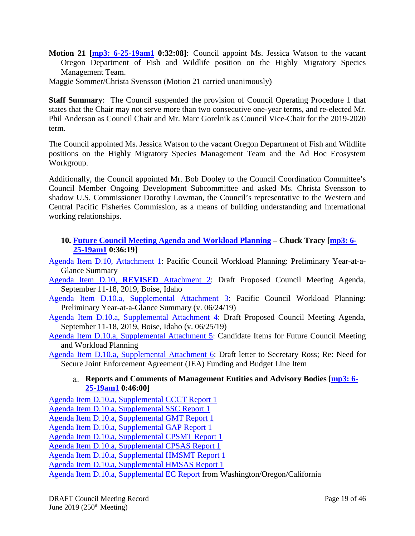- **Motion 21 [\[mp3: 6-25-19am1](ftp://ftp.pcouncil.org/pub/R1906_June_2019_Recordings/6-25-19am1Copy.mp3) 0:32:08]**: Council appoint Ms. Jessica Watson to the vacant Oregon Department of Fish and Wildlife position on the Highly Migratory Species Management Team.
- Maggie Sommer/Christa Svensson (Motion 21 carried unanimously)

**Staff Summary**: The Council suspended the provision of Council Operating Procedure 1 that states that the Chair may not serve more than two consecutive one-year terms, and re-elected Mr. Phil Anderson as Council Chair and Mr. Marc Gorelnik as Council Vice-Chair for the 2019-2020 term.

The Council appointed Ms. Jessica Watson to the vacant Oregon Department of Fish and Wildlife positions on the Highly Migratory Species Management Team and the Ad Hoc Ecosystem Workgroup.

Additionally, the Council appointed Mr. Bob Dooley to the Council Coordination Committee's Council Member Ongoing Development Subcommittee and asked Ms. Christa Svensson to shadow U.S. Commissioner Dorothy Lowman, the Council's representative to the Western and Central Pacific Fisheries Commission, as a means of building understanding and international working relationships.

### <span id="page-18-0"></span>**10. [Future Council Meeting Agenda and Workload Planning](https://www.pcouncil.org/wp-content/uploads/2019/05/D10__SitSum_CMAgendaPlanning_JUNE2019BB.pdf) – Chuck Tracy [\[mp3: 6-](ftp://ftp.pcouncil.org/pub/R1906_June_2019_Recordings/6-25-19am1Copy.mp3) [25-19am1](ftp://ftp.pcouncil.org/pub/R1906_June_2019_Recordings/6-25-19am1Copy.mp3) 0:36:19]**

[Agenda Item D.10, Attachment 1:](https://www.pcouncil.org/wp-content/uploads/2019/05/D10_Att1_YAG_JUNE2019BB.pdf) Pacific Council Workload Planning: Preliminary Year-at-a-Glance Summary

- [Agenda Item D.10,](https://www.pcouncil.org/wp-content/uploads/2019/06/D10_Att2_REVISED_Sept2019_QR_JUNE2019BB_v1.pdf) **REVISED** Attachment 2: Draft Proposed Council Meeting Agenda, September 11-18, 2019, Boise, Idaho
- [Agenda Item D.10.a, Supplemental Attachment 3:](https://www.pcouncil.org/wp-content/uploads/2019/06/D10_Sup_Att3_YAG_JUNE2019BB.pdf) Pacific Council Workload Planning: Preliminary Year-at-a-Glance Summary (v. 06/24/19)
- [Agenda Item D.10.a, Supplemental Attachment 4:](https://www.pcouncil.org/wp-content/uploads/2019/06/D10_Sup_Att4_Sept2019_QR_JUNE2019BB.pdf) Draft Proposed Council Meeting Agenda, September 11-18, 2019, Boise, Idaho (v. 06/25/19)
- [Agenda Item D.10.a, Supplemental Attachment 5:](https://www.pcouncil.org/wp-content/uploads/2019/06/D10_Sup_Att5_candidate_items_JUNE2019BB.pdf) Candidate Items for Future Council Meeting and Workload Planning
- <span id="page-18-1"></span>[Agenda Item D.10.a, Supplemental Attachment 6:](https://www.pcouncil.org/wp-content/uploads/2019/06/D10_Sup_Att6_JEA_Ltr_JUNE2019BB.pdf) Draft letter to Secretary Ross; Re: Need for Secure Joint Enforcement Agreement (JEA) Funding and Budget Line Item

#### **Reports and Comments of Management Entities and Advisory Bodies [\[mp3: 6-](ftp://ftp.pcouncil.org/pub/R1906_June_2019_Recordings/6-25-19am1Copy.mp3) [25-19am1](ftp://ftp.pcouncil.org/pub/R1906_June_2019_Recordings/6-25-19am1Copy.mp3) 0:46:00]**

[Agenda Item D.10.a, Supplemental CCCT Report 1](https://www.pcouncil.org/wp-content/uploads/2019/06/D10a_Sup_CCCT_Rpt1_JUNE2019BB.pdf)

[Agenda Item D.10.a, Supplemental SSC Report 1](https://www.pcouncil.org/wp-content/uploads/2019/06/D10a_Sup_SSC_Rpt1_JUNE2019BB.pdf)

[Agenda Item D.10.a, Supplemental GMT Report 1](https://www.pcouncil.org/wp-content/uploads/2019/06/D10a_Sup_GMT_Rpt1_JUN2019BB.pdf)

[Agenda Item D.10.a, Supplemental GAP Report 1](https://www.pcouncil.org/wp-content/uploads/2019/06/D10a_Sup_GAP_Rpt1_JUNE2019BB.pdf)

[Agenda Item D.10.a, Supplemental CPSMT Report 1](https://www.pcouncil.org/wp-content/uploads/2019/06/D10a_Sup_CPSMT_Rpt1_JUNE2019BB.pdf)

[Agenda Item D.10.a, Supplemental CPSAS Report 1](https://www.pcouncil.org/wp-content/uploads/2019/06/D10a_Sup_CPSAS_Rpt1_JUNE2019BB.pdf)

[Agenda Item D.10.a, Supplemental HMSMT Report 1](https://www.pcouncil.org/wp-content/uploads/2019/06/D10a_Sup_HMSMT_Rpt1_JUNE2019BB.pdf)

[Agenda Item D.10.a, Supplemental HMSAS Report 1](https://www.pcouncil.org/wp-content/uploads/2019/06/D10a_Sup_HMSAS_Rpt1_JUN2019BB.pdf)

[Agenda Item D.10.a, Supplemental EC Report](https://www.pcouncil.org/wp-content/uploads/2019/06/D10a_Sup_EC_Rpt1_JUNEBB2019.pdf) from Washington/Oregon/California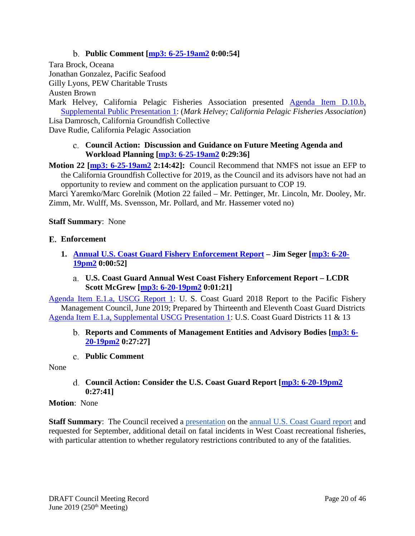# **Public Comment [\[mp3: 6-25-19am2](ftp://ftp.pcouncil.org/pub/R1906_June_2019_Recordings/6-25-19am2Copy.mp3) 0:00:54]**

<span id="page-19-0"></span>Tara Brock, Oceana Jonathan Gonzalez, Pacific Seafood Gilly Lyons, PEW Charitable Trusts

Austen Brown

Mark Helvey, California Pelagic Fisheries Association presented [Agenda Item D.10.b,](https://www.pcouncil.org/wp-content/uploads/2019/06/D10b_Sup_Public_PPT1_Helvey_Future-Agenda-Planning-Presentation-062619_Jun2019BB.pdf)  [Supplemental Public Presentation 1:](https://www.pcouncil.org/wp-content/uploads/2019/06/D10b_Sup_Public_PPT1_Helvey_Future-Agenda-Planning-Presentation-062619_Jun2019BB.pdf) (*Mark Helvey; California Pelagic Fisheries Association*) Lisa Damrosch, California Groundfish Collective

<span id="page-19-1"></span>Dave Rudie, California Pelagic Association

#### **Council Action: Discussion and Guidance on Future Meeting Agenda and Workload Planning [\[mp3: 6-25-19am2](ftp://ftp.pcouncil.org/pub/R1906_June_2019_Recordings/6-25-19am2Copy.mp3) 0:29:36]**

**Motion 22 [\[mp3: 6-25-19am2](ftp://ftp.pcouncil.org/pub/R1906_June_2019_Recordings/6-25-19am2Copy.mp3) 2:14:42]:** Council Recommend that NMFS not issue an EFP to the California Groundfish Collective for 2019, as the Council and its advisors have not had an opportunity to review and comment on the application pursuant to COP 19.

Marci Yaremko/Marc Gorelnik (Motion 22 failed – Mr. Pettinger, Mr. Lincoln, Mr. Dooley, Mr. Zimm, Mr. Wulff, Ms. Svensson, Mr. Pollard, and Mr. Hassemer voted no)

#### <span id="page-19-2"></span>**Staff Summary**: None

#### **Enforcement**

- <span id="page-19-4"></span><span id="page-19-3"></span>**1. [Annual U.S. Coast Guard Fishery Enforcement Report](https://www.pcouncil.org/wp-content/uploads/2019/05/E1__SitSum_USCGAnnualRep_JUN2019BB.pdf) – Jim Seger [\[mp3: 6-20-](ftp://ftp.pcouncil.org/pub/R1906_June_2019_Recordings/6-20-19pm2Copy.mp3) [19pm2](ftp://ftp.pcouncil.org/pub/R1906_June_2019_Recordings/6-20-19pm2Copy.mp3) 0:00:52]**
	- **U.S. Coast Guard Annual West Coast Fishery Enforcement Report – LCDR Scott McGrew [\[mp3: 6-20-19pm2](ftp://ftp.pcouncil.org/pub/R1906_June_2019_Recordings/6-20-19pm2Copy.mp3) 0:01:21]**

[Agenda Item E.1.a, USCG Report 1:](https://www.pcouncil.org/wp-content/uploads/2019/05/E1a_USCG_RPT1_2018Rpt_JUN2019.pdf) U. S. Coast Guard 2018 Report to the Pacific Fishery Management Council, June 2019; Prepared by Thirteenth and Eleventh Coast Guard Districts [Agenda Item E.1.a, Supplemental USCG Presentation 1:](https://www.pcouncil.org/wp-content/uploads/2019/06/E1a_Sup_USCG_PPT1_2018_Presentation-to-PFMC_Final-June2019BB.pdf) U.S. Coast Guard Districts 11 & 13

- <span id="page-19-5"></span>**Reports and Comments of Management Entities and Advisory Bodies [\[mp3: 6-](ftp://ftp.pcouncil.org/pub/R1906_June_2019_Recordings/6-20-19pm2Copy.mp3) [20-19pm2](ftp://ftp.pcouncil.org/pub/R1906_June_2019_Recordings/6-20-19pm2Copy.mp3) 0:27:27]**
- **Public Comment**

#### <span id="page-19-7"></span><span id="page-19-6"></span>None

**Council Action: Consider the U.S. Coast Guard Report [\[mp3: 6-20-19pm2](ftp://ftp.pcouncil.org/pub/R1906_June_2019_Recordings/6-20-19pm2Copy.mp3) 0:27:41]**

#### **Motion**: None

**Staff Summary:** The Council received a [presentation](https://www.pcouncil.org/wp-content/uploads/2019/06/E1a_Sup_USCG_PPT1_2018_Presentation-to-PFMC_Final-June2019BB.pdf) on the [annual U.S. Coast Guard report](https://www.pcouncil.org/wp-content/uploads/2019/05/E1a_USCG_RPT1_2018Rpt_JUN2019.pdf) and requested for September, additional detail on fatal incidents in West Coast recreational fisheries, with particular attention to whether regulatory restrictions contributed to any of the fatalities.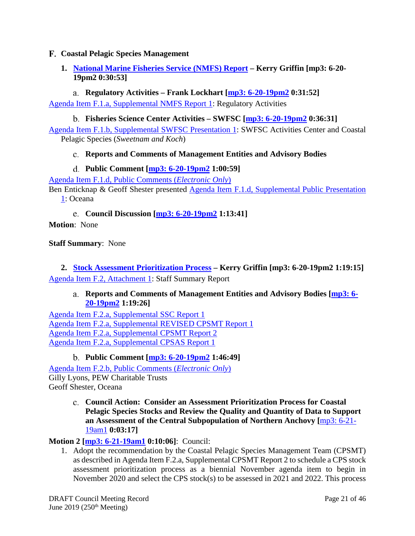### <span id="page-20-0"></span>**Coastal Pelagic Species Management**

# <span id="page-20-1"></span>**1. [National Marine Fisheries Service](https://www.pcouncil.org/wp-content/uploads/2019/05/F1__SitSum_NMFS_Report_Jun2019BB.pdf) (NMFS) Report – Kerry Griffin [\[mp3: 6-20-](ftp://ftp.pcouncil.org/pub/R1906_June_2019_Recordings/6-20-19pm2Copy.mp3) [19pm2](ftp://ftp.pcouncil.org/pub/R1906_June_2019_Recordings/6-20-19pm2Copy.mp3) 0:30:53]**

# **Regulatory Activities – Frank Lockhart [\[mp3: 6-20-19pm2](ftp://ftp.pcouncil.org/pub/R1906_June_2019_Recordings/6-20-19pm2Copy.mp3) 0:31:52]**

<span id="page-20-3"></span><span id="page-20-2"></span>[Agenda Item F.1.a, Supplemental NMFS Report 1:](https://www.pcouncil.org/wp-content/uploads/2019/06/F1a_Sup_NMFS_Rpt1_Jun2019BB.pdf) Regulatory Activities

### **Fisheries Science Center Activities – SWFSC [\[mp3: 6-20-19pm2](ftp://ftp.pcouncil.org/pub/R1906_June_2019_Recordings/6-20-19pm2Copy.mp3) 0:36:31]**

<span id="page-20-4"></span>[Agenda Item F.1.b, Supplemental SWFSC Presentation 1:](https://www.pcouncil.org/wp-content/uploads/2019/06/F1b_Sup_SWFSC_PPT1_Sweetnam_Koch_June2019BB.pdf) SWFSC Activities Center and Coastal Pelagic Species (*Sweetnam and Koch*)

# **Reports and Comments of Management Entities and Advisory Bodies**

# **Public Comment [\[mp3: 6-20-19pm2](ftp://ftp.pcouncil.org/pub/R1906_June_2019_Recordings/6-20-19pm2Copy.mp3) 1:00:59]**

<span id="page-20-5"></span>[Agenda Item F.1.d, Public Comments \(](https://pfmc.psmfc.org/Meeting/Details/783?agendaID=4431)*Electronic Only*)

Ben Enticknap & Geoff Shester presented Agenda Item F.1.d, Supplemental Public Presentation [1:](https://www.pcouncil.org/wp-content/uploads/2019/06/F1d_Sup_Public_PPT1_oceana-sardine6-20-19v2_June2019BB.pdf) Oceana

**Council Discussion [\[mp3: 6-20-19pm2](ftp://ftp.pcouncil.org/pub/R1906_June_2019_Recordings/6-20-19pm2Copy.mp3) 1:13:41]**

<span id="page-20-6"></span>**Motion**: None

**Staff Summary**: None

<span id="page-20-8"></span><span id="page-20-7"></span>**2. [Stock Assessment Prioritization Process](https://www.pcouncil.org/wp-content/uploads/2019/05/F2__SitSum_CPS_StockAssmt_Jun2019BB.pdf) – Kerry Griffin [\[mp3: 6-20-19pm2](ftp://ftp.pcouncil.org/pub/R1906_June_2019_Recordings/6-20-19pm2Copy.mp3) 1:19:15]** [Agenda Item F.2, Attachment 1:](https://www.pcouncil.org/wp-content/uploads/2019/05/F2_Att_1_Staff_Rpt_Jun2019BB.pdf) Staff Summary Report

### **Reports and Comments of Management Entities and Advisory Bodies [\[mp3: 6-](ftp://ftp.pcouncil.org/pub/R1906_June_2019_Recordings/6-20-19pm2Copy.mp3) [20-19pm2](ftp://ftp.pcouncil.org/pub/R1906_June_2019_Recordings/6-20-19pm2Copy.mp3) 1:19:26]**

[Agenda Item F.2.a, Supplemental SSC](https://www.pcouncil.org/wp-content/uploads/2019/06/F2a_Sup_SSC_RPT1_JUNE2019BB.pdf) Report 1 [Agenda Item F.2.a, Supplemental REVISED CPSMT Report 1](https://www.pcouncil.org/wp-content/uploads/2019/06/F2a_Sup_CPSMT_REVISED_Rpt1_Jun2019BB.pdf) [Agenda Item F.2.a, Supplemental CPSMT Report 2](https://www.pcouncil.org/wp-content/uploads/2019/06/F2a_Sup_CPSMT_Rpt2_Jun2019BB.pdf) [Agenda Item F.2.a, Supplemental CPSAS Report 1](https://www.pcouncil.org/wp-content/uploads/2019/06/F2a_Sup_CPSAS_RPT1_JUNE2019BB.pdf)

**Public Comment [\[mp3: 6-20-19pm2](ftp://ftp.pcouncil.org/pub/R1906_June_2019_Recordings/6-20-19pm2Copy.mp3) 1:46:49]**

<span id="page-20-9"></span>[Agenda Item F.2.b, Public Comments \(](https://pfmc.psmfc.org/Meeting/Details/783?agendaID=4432)*Electronic Only*) Gilly Lyons, PEW Charitable Trusts Geoff Shester, Oceana

> <span id="page-20-10"></span>**Council Action: Consider an Assessment Prioritization Process for Coastal Pelagic Species Stocks and Review the Quality and Quantity of Data to Support an Assessment of the Central Subpopulation of Northern Anchovy [**[mp3: 6-21-](ftp://ftp.pcouncil.org/pub/R1906_June_2019_Recordings/6-21-19am1Copy.mp3) [19am1](ftp://ftp.pcouncil.org/pub/R1906_June_2019_Recordings/6-21-19am1Copy.mp3) **0:03:17]**

**Motion 2 [\[mp3: 6-21-19am1](ftp://ftp.pcouncil.org/pub/R1906_June_2019_Recordings/6-21-19am1Copy.mp3) 0:10:06]**: Council:

1. Adopt the recommendation by the Coastal Pelagic Species Management Team (CPSMT) as described in Agenda Item F.2.a, Supplemental CPSMT Report 2 to schedule a CPS stock assessment prioritization process as a biennial November agenda item to begin in November 2020 and select the CPS stock(s) to be assessed in 2021 and 2022. This process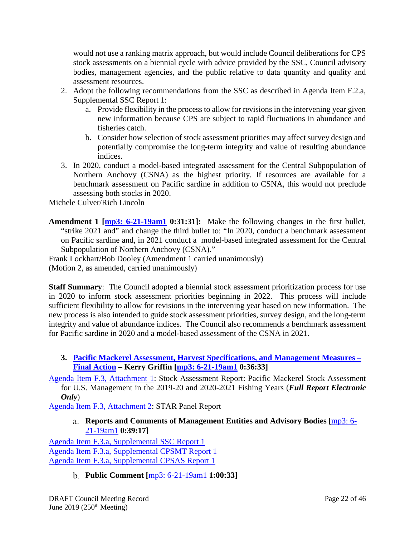would not use a ranking matrix approach, but would include Council deliberations for CPS stock assessments on a biennial cycle with advice provided by the SSC, Council advisory bodies, management agencies, and the public relative to data quantity and quality and assessment resources.

- 2. Adopt the following recommendations from the SSC as described in Agenda Item F.2.a, Supplemental SSC Report 1:
	- a. Provide flexibility in the process to allow for revisions in the intervening year given new information because CPS are subject to rapid fluctuations in abundance and fisheries catch.
	- b. Consider how selection of stock assessment priorities may affect survey design and potentially compromise the long-term integrity and value of resulting abundance indices.
- 3. In 2020, conduct a model-based integrated assessment for the Central Subpopulation of Northern Anchovy (CSNA) as the highest priority. If resources are available for a benchmark assessment on Pacific sardine in addition to CSNA, this would not preclude assessing both stocks in 2020.

Michele Culver/Rich Lincoln

**Amendment 1 [\[mp3: 6-21-19am1](ftp://ftp.pcouncil.org/pub/R1906_June_2019_Recordings/6-21-19am1Copy.mp3) 0:31:31]:** Make the following changes in the first bullet, "strike 2021 and" and change the third bullet to: "In 2020, conduct a benchmark assessment on Pacific sardine and, in 2021 conduct a model-based integrated assessment for the Central Subpopulation of Northern Anchovy (CSNA)."

Frank Lockhart/Bob Dooley (Amendment 1 carried unanimously) (Motion 2, as amended, carried unanimously)

**Staff Summary**: The Council adopted a biennial stock assessment prioritization process for use in 2020 to inform stock assessment priorities beginning in 2022. This process will include sufficient flexibility to allow for revisions in the intervening year based on new information. The new process is also intended to guide stock assessment priorities, survey design, and the long-term integrity and value of abundance indices. The Council also recommends a benchmark assessment for Pacific sardine in 2020 and a model-based assessment of the CSNA in 2021.

- <span id="page-21-0"></span>**3. [Pacific Mackerel Assessment, Harvest Specifications,](https://www.pcouncil.org/wp-content/uploads/2019/05/F3__SitSum_Mackerel_Jun2019BB.pdf) and Management Measures – [Final Action](https://www.pcouncil.org/wp-content/uploads/2019/05/F3__SitSum_Mackerel_Jun2019BB.pdf) – Kerry Griffin [\[mp3: 6-21-19am1](ftp://ftp.pcouncil.org/pub/R1906_June_2019_Recordings/6-21-19am1Copy.mp3) 0:36:33]**
- [Agenda Item F.3, Attachment 1:](https://www.pcouncil.org/wp-content/uploads/2019/05/F3_Att1_Mackerel_Stock-Assessment_Full_Electric_Only_Jun2019BB.pdf) Stock Assessment Report: Pacific Mackerel Stock Assessment for U.S. Management in the 2019-20 and 2020-2021 Fishing Years (*Full Report Electronic Only*)

<span id="page-21-1"></span>[Agenda Item F.3, Attachment 2:](https://www.pcouncil.org/wp-content/uploads/2019/05/F3_Att2_STAR_Panel_Rpt_Jun2019BB.pdf) STAR Panel Report

**Reports and Comments of Management Entities and Advisory Bodies [**[mp3: 6-](ftp://ftp.pcouncil.org/pub/R1906_June_2019_Recordings/6-21-19am1Copy.mp3) [21-19am1](ftp://ftp.pcouncil.org/pub/R1906_June_2019_Recordings/6-21-19am1Copy.mp3) **0:39:17]**

[Agenda Item F.3.a, Supplemental SSC Report 1](https://www.pcouncil.org/wp-content/uploads/2019/06/F3a_Sup_SSC_Rpt1_JUNE2019BB.pdf) [Agenda Item F.3.a, Supplemental CPSMT Report 1](https://www.pcouncil.org/wp-content/uploads/2019/06/F3a_Sup_CPSMT_Rpt1_Jun2019BB.pdf) [Agenda Item F.3.a, Supplemental CPSAS Report 1](https://www.pcouncil.org/wp-content/uploads/2019/06/F3a_Sup_CPSAS_Rpt1_Jun2019BB.pdf)

<span id="page-21-2"></span>**Public Comment [**[mp3: 6-21-19am1](ftp://ftp.pcouncil.org/pub/R1906_June_2019_Recordings/6-21-19am1Copy.mp3) **1:00:33]**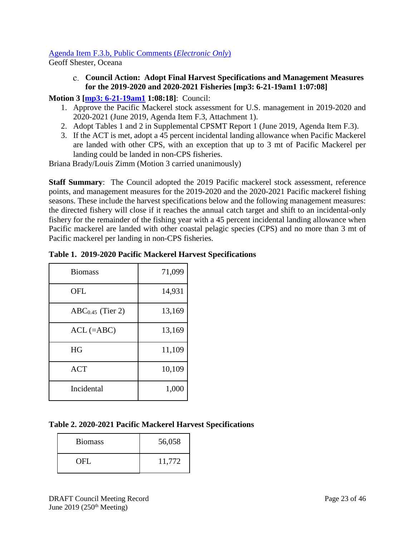#### [Agenda Item F.3.b, Public Comments \(](https://pfmc.psmfc.org/Meeting/Details/783?agendaID=4433)*Electronic Only*)

<span id="page-22-0"></span>Geoff Shester, Oceana

**Council Action: Adopt Final Harvest Specifications and Management Measures for the 2019-2020 and 2020-2021 Fisheries [\[mp3: 6-21-19am1](ftp://ftp.pcouncil.org/pub/R1906_June_2019_Recordings/6-21-19am1Copy.mp3) 1:07:08]**

**Motion 3 [\[mp3: 6-21-19am1](ftp://ftp.pcouncil.org/pub/R1906_June_2019_Recordings/6-21-19am1Copy.mp3) 1:08:18]**: Council:

- 1. Approve the Pacific Mackerel stock assessment for U.S. management in 2019-2020 and 2020-2021 (June 2019, Agenda Item F.3, Attachment 1).
- 2. Adopt Tables 1 and 2 in Supplemental CPSMT Report 1 (June 2019, Agenda Item F.3).
- 3. If the ACT is met, adopt a 45 percent incidental landing allowance when Pacific Mackerel are landed with other CPS, with an exception that up to 3 mt of Pacific Mackerel per landing could be landed in non-CPS fisheries.

Briana Brady/Louis Zimm (Motion 3 carried unanimously)

**Staff Summary**: The Council adopted the 2019 Pacific mackerel stock assessment, reference points, and management measures for the 2019-2020 and the 2020-2021 Pacific mackerel fishing seasons. These include the harvest specifications below and the following management measures: the directed fishery will close if it reaches the annual catch target and shift to an incidental-only fishery for the remainder of the fishing year with a 45 percent incidental landing allowance when Pacific mackerel are landed with other coastal pelagic species (CPS) and no more than 3 mt of Pacific mackerel per landing in non-CPS fisheries.

|  |  | Table 1. 2019-2020 Pacific Mackerel Harvest Specifications |  |  |  |  |  |  |
|--|--|------------------------------------------------------------|--|--|--|--|--|--|
|--|--|------------------------------------------------------------|--|--|--|--|--|--|

| <b>Biomass</b>     | 71,099 |
|--------------------|--------|
| <b>OFL</b>         | 14,931 |
| $ABC0.45$ (Tier 2) | 13,169 |
| $ACL$ (=ABC)       | 13,169 |
| HG                 | 11,109 |
| <b>ACT</b>         | 10,109 |
| Incidental         | 1,000  |

### **Table 2. 2020-2021 Pacific Mackerel Harvest Specifications**

| <b>Biomass</b> | 56,058 |
|----------------|--------|
| OFL.           | 11,772 |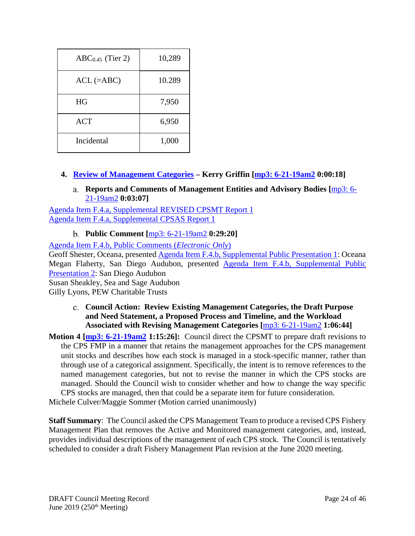| $ABC0.45$ (Tier 2) | 10,289 |
|--------------------|--------|
| $ACL$ (=ABC)       | 10.289 |
| HG                 | 7,950  |
| <b>ACT</b>         | 6,950  |
| Incidental         | 1,000  |

- <span id="page-23-1"></span><span id="page-23-0"></span>**4. [Review of Management Categories](https://www.pcouncil.org/wp-content/uploads/2019/05/F4__SitSum_Rvw_Mgmt_Categories_Jun2019BB.pdf) – Kerry Griffin [\[mp3: 6-21-19am2](ftp://ftp.pcouncil.org/pub/R1906_June_2019_Recordings/6-21-19am2Copy.mp3) 0:00:18]**
	- **Reports and Comments of Management Entities and Advisory Bodies [**[mp3: 6-](ftp://ftp.pcouncil.org/pub/R1906_June_2019_Recordings/6-21-19am2Copy.mp3) [21-19am2](ftp://ftp.pcouncil.org/pub/R1906_June_2019_Recordings/6-21-19am2Copy.mp3) **0:03:07]**

[Agenda Item F.4.a, Supplemental REVISED CPSMT Report 1](https://www.pcouncil.org/wp-content/uploads/2019/06/F4a_Sup_CPSMT_REVISED_Rpt1_Jun2019BB.pdf) [Agenda Item F.4.a, Supplemental CPSAS Report 1](https://www.pcouncil.org/wp-content/uploads/2019/06/F4a_Sup_CPSAS_Rpt1_Jun2019BB.pdf)

**Public Comment [**[mp3: 6-21-19am2](ftp://ftp.pcouncil.org/pub/R1906_June_2019_Recordings/6-21-19am2Copy.mp3) **0:29:20]**

<span id="page-23-2"></span>[Agenda Item F.4.b, Public Comments \(](https://pfmc.psmfc.org/Meeting/Details/783?agendaID=4434)*Electronic Only*)

Geoff Shester, Oceana, presented [Agenda Item F.4.b, Supplemental Public Presentation 1:](https://www.pcouncil.org/wp-content/uploads/2019/06/F4b_Sup_Public_PPT1_Oceana_F4-6-21-19_June2019BB.pdf) Oceana Megan Flaherty, San Diego Audubon, presented [Agenda Item F.4.b, Supplemental Public](https://www.pcouncil.org/wp-content/uploads/2019/06/F4b_Sup_Public_PPT2_SanDiegoAudubon_Flaherty_PFMC_northernanchovy_21June19_June2019BB.pdf)  [Presentation 2:](https://www.pcouncil.org/wp-content/uploads/2019/06/F4b_Sup_Public_PPT2_SanDiegoAudubon_Flaherty_PFMC_northernanchovy_21June19_June2019BB.pdf) San Diego Audubon

Susan Sheakley, Sea and Sage Audubon

<span id="page-23-3"></span>Gilly Lyons, PEW Charitable Trusts

**Council Action: Review Existing Management Categories, the Draft Purpose and Need Statement, a Proposed Process and Timeline, and the Workload Associated with Revising Management Categories [**[mp3: 6-21-19am2](ftp://ftp.pcouncil.org/pub/R1906_June_2019_Recordings/6-21-19am2Copy.mp3) **1:06:44]**

**Motion 4 [\[mp3: 6-21-19am2](ftp://ftp.pcouncil.org/pub/R1906_June_2019_Recordings/6-21-19am2Copy.mp3) 1:15:26]:** Council direct the CPSMT to prepare draft revisions to the CPS FMP in a manner that retains the management approaches for the CPS management unit stocks and describes how each stock is managed in a stock-specific manner, rather than through use of a categorical assignment. Specifically, the intent is to remove references to the named management categories, but not to revise the manner in which the CPS stocks are managed. Should the Council wish to consider whether and how to change the way specific CPS stocks are managed, then that could be a separate item for future consideration.

Michele Culver/Maggie Sommer (Motion carried unanimously)

**Staff Summary**: The Council asked the CPS Management Team to produce a revised CPS Fishery Management Plan that removes the Active and Monitored management categories, and, instead, provides individual descriptions of the management of each CPS stock. The Council is tentatively scheduled to consider a draft Fishery Management Plan revision at the June 2020 meeting.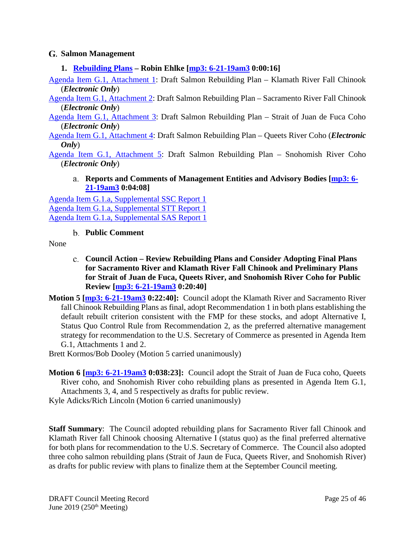#### <span id="page-24-0"></span>**Salmon Management**

#### <span id="page-24-1"></span>**1. [Rebuilding Plans](https://www.pcouncil.org/wp-content/uploads/2019/05/G1__SitSum_SalRebuilding_JUN2019BB.pdf) – Robin Ehlke [\[mp3: 6-21-19am3](ftp://ftp.pcouncil.org/pub/R1906_June_2019_Recordings/6-21-19am3Copy.mp3) 0:00:16]**

[Agenda Item G.1, Attachment 1:](https://www.pcouncil.org/wp-content/uploads/2019/05/G1_ATT1_KRFC_Electric_Only_JUN2019BB.pdf) Draft Salmon Rebuilding Plan – Klamath River Fall Chinook (*Electronic Only*)

[Agenda Item G.1, Attachment 2:](https://www.pcouncil.org/wp-content/uploads/2019/05/G1_ATT2_SRFC_Electric_Only_JUN2019BB.pdf) Draft Salmon Rebuilding Plan – Sacramento River Fall Chinook (*Electronic Only*)

[Agenda Item G.1, Attachment 3:](https://www.pcouncil.org/wp-content/uploads/2019/05/G1_ATT3_JDF_Electric_Only_JUN2019BB.pdf) Draft Salmon Rebuilding Plan – Strait of Juan de Fuca Coho (*Electronic Only*)

[Agenda Item G.1, Attachment 4:](https://www.pcouncil.org/wp-content/uploads/2019/05/G1_ATT4_QR_Electric_Only_JUN2019BB.pdf) Draft Salmon Rebuilding Plan – Queets River Coho (*Electronic Only*)

<span id="page-24-2"></span>[Agenda Item G.1, Attachment 5:](https://www.pcouncil.org/wp-content/uploads/2019/05/G1_ATT5_SNO_Electric_Only_JUN2019BB.pdf) Draft Salmon Rebuilding Plan – Snohomish River Coho (*Electronic Only*)

**Reports and Comments of Management Entities and Advisory Bodies [\[mp3: 6-](ftp://ftp.pcouncil.org/pub/R1906_June_2019_Recordings/6-21-19am3Copy.mp3) [21-19am3](ftp://ftp.pcouncil.org/pub/R1906_June_2019_Recordings/6-21-19am3Copy.mp3) 0:04:08]**

[Agenda Item G.1.a, Supplemental SSC Report 1](https://www.pcouncil.org/wp-content/uploads/2019/06/G1a_Sup_SSC_Rpt1_JUNE2019BB.pdf) [Agenda Item G.1.a, Supplemental STT Report 1](https://www.pcouncil.org/wp-content/uploads/2019/06/G1a_Sup_STT_Rpt1_JUN2019BB.pdf) [Agenda Item G.1.a, Supplemental SAS Report 1](https://www.pcouncil.org/wp-content/uploads/2019/06/G1a_Sup_SAS_Rpt1_JUN2019BB.pdf)

**Public Comment**

<span id="page-24-4"></span><span id="page-24-3"></span>None

- **Council Action – Review Rebuilding Plans and Consider Adopting Final Plans for Sacramento River and Klamath River Fall Chinook and Preliminary Plans for Strait of Juan de Fuca, Queets River, and Snohomish River Coho for Public Review [\[mp3: 6-21-19am3](ftp://ftp.pcouncil.org/pub/R1906_June_2019_Recordings/6-21-19am3Copy.mp3) 0:20:40]**
- **Motion 5 [\[mp3: 6-21-19am3](ftp://ftp.pcouncil.org/pub/R1906_June_2019_Recordings/6-21-19am3Copy.mp3) 0:22:40]:** Council adopt the Klamath River and Sacramento River fall Chinook Rebuilding Plans as final, adopt Recommendation 1 in both plans establishing the default rebuilt criterion consistent with the FMP for these stocks, and adopt Alternative I, Status Quo Control Rule from Recommendation 2, as the preferred alternative management strategy for recommendation to the U.S. Secretary of Commerce as presented in Agenda Item G.1, Attachments 1 and 2.

Brett Kormos/Bob Dooley (Motion 5 carried unanimously)

**Motion 6 [\[mp3: 6-21-19am3](ftp://ftp.pcouncil.org/pub/R1906_June_2019_Recordings/6-21-19am3Copy.mp3) 0:038:23]:** Council adopt the Strait of Juan de Fuca coho, Queets River coho, and Snohomish River coho rebuilding plans as presented in Agenda Item G.1, Attachments 3, 4, and 5 respectively as drafts for public review.

Kyle Adicks/Rich Lincoln (Motion 6 carried unanimously)

**Staff Summary**: The Council adopted rebuilding plans for Sacramento River fall Chinook and Klamath River fall Chinook choosing Alternative I (status quo) as the final preferred alternative for both plans for recommendation to the U.S. Secretary of Commerce. The Council also adopted three coho salmon rebuilding plans (Strait of Jaun de Fuca, Queets River, and Snohomish River) as drafts for public review with plans to finalize them at the September Council meeting.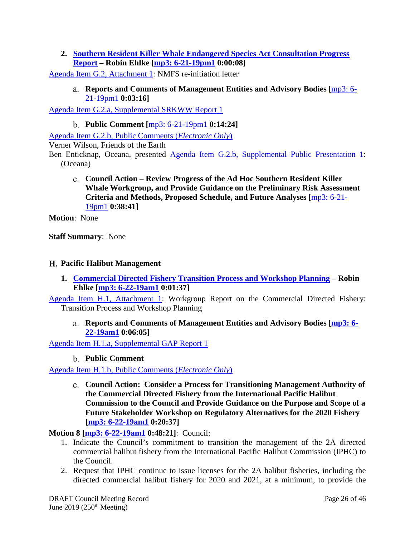<span id="page-25-0"></span>**2. [Southern Resident Killer Whale Endangered Species Act Consultation Progress](https://www.pcouncil.org/wp-content/uploads/2019/05/G2__SitSum_SRKW_JUN2019BB.pdf)  [Report](https://www.pcouncil.org/wp-content/uploads/2019/05/G2__SitSum_SRKW_JUN2019BB.pdf) – Robin Ehlke [\[mp3: 6-21-19pm1](ftp://ftp.pcouncil.org/pub/R1906_June_2019_Recordings/6-21-19pm1Copy.mp3) 0:00:08]**

<span id="page-25-1"></span>[Agenda Item G.2, Attachment 1:](https://www.pcouncil.org/wp-content/uploads/2019/05/G2_ATT1_Reinitiation-Request-Memo_JUN2019BB.pdf) NMFS re-initiation letter

**Reports and Comments of Management Entities and Advisory Bodies [**[mp3: 6-](ftp://ftp.pcouncil.org/pub/R1906_June_2019_Recordings/6-21-19pm1Copy.mp3) [21-19pm1](ftp://ftp.pcouncil.org/pub/R1906_June_2019_Recordings/6-21-19pm1Copy.mp3) **0:03:16]**

<span id="page-25-2"></span>[Agenda Item G.2.a, Supplemental SRKWW Report 1](https://www.pcouncil.org/wp-content/uploads/2019/06/G2a_Sup_SRKWW_Rpt1_JUN2019BB.pdf)

**Public Comment [**[mp3: 6-21-19pm1](ftp://ftp.pcouncil.org/pub/R1906_June_2019_Recordings/6-21-19pm1Copy.mp3) **0:14:24]**

[Agenda Item G.2.b, Public Comments \(](https://pfmc.psmfc.org/Meeting/Details/783?agendaID=4436)*Electronic Only*) Verner Wilson, Friends of the Earth Ben Enticknap, Oceana, presented [Agenda Item G.2.b, Supplemental Public Presentation 1:](https://www.pcouncil.org/wp-content/uploads/2019/06/G2b_Sup_Public_PPT1_Oceana_Enticknap_orca_salmon_June2019BB.pdf)

<span id="page-25-3"></span>(Oceana)

**Council Action – Review Progress of the Ad Hoc Southern Resident Killer Whale Workgroup, and Provide Guidance on the Preliminary Risk Assessment Criteria and Methods, Proposed Schedule, and Future Analyses [**[mp3: 6-21-](ftp://ftp.pcouncil.org/pub/R1906_June_2019_Recordings/6-21-19pm1Copy.mp3) [19pm1](ftp://ftp.pcouncil.org/pub/R1906_June_2019_Recordings/6-21-19pm1Copy.mp3) **0:38:41]**

**Motion**: None

**Staff Summary**: None

#### <span id="page-25-4"></span>**Pacific Halibut Management**

<span id="page-25-5"></span>**1. [Commercial Directed Fishery Transition Process and Workshop Planning](https://www.pcouncil.org/wp-content/uploads/2019/05/H1__SitSum_Halibut_JUN2019BB.pdf) – Robin Ehlke [\[mp3: 6-22-19am1](ftp://ftp.pcouncil.org/pub/R1906_June_2019_Recordings/6-22-19am1Copy.mp3) 0:01:37]**

<span id="page-25-6"></span>[Agenda Item H.1, Attachment 1:](https://www.pcouncil.org/wp-content/uploads/2019/05/H1_ATT1-_JUN2019BB_052419.pdf) Workgroup Report on the Commercial Directed Fishery: Transition Process and Workshop Planning

**Reports and Comments of Management Entities and Advisory Bodies [\[mp3: 6-](ftp://ftp.pcouncil.org/pub/R1906_June_2019_Recordings/6-22-19am1Copy.mp3) [22-19am1](ftp://ftp.pcouncil.org/pub/R1906_June_2019_Recordings/6-22-19am1Copy.mp3) 0:06:05]**

<span id="page-25-7"></span>[Agenda Item H.1.a, Supplemental GAP Report 1](https://www.pcouncil.org/wp-content/uploads/2019/06/H1a_Sup_GAP_Rpt1_JUNE2019BB.pdf)

**Public Comment**

<span id="page-25-8"></span>[Agenda Item H.1.b, Public Comments \(](https://pfmc.psmfc.org/Meeting/Details/783?agendaID=4437)*Electronic Only*)

**Council Action: Consider a Process for Transitioning Management Authority of the Commercial Directed Fishery from the International Pacific Halibut Commission to the Council and Provide Guidance on the Purpose and Scope of a Future Stakeholder Workshop on Regulatory Alternatives for the 2020 Fishery [\[mp3: 6-22-19am1](ftp://ftp.pcouncil.org/pub/R1906_June_2019_Recordings/6-22-19am1Copy.mp3) 0:20:37]**

#### **Motion 8 [\[mp3: 6-22-19am1](ftp://ftp.pcouncil.org/pub/R1906_June_2019_Recordings/6-22-19am1Copy.mp3) 0:48:21]**: Council:

- 1. Indicate the Council's commitment to transition the management of the 2A directed commercial halibut fishery from the International Pacific Halibut Commission (IPHC) to the Council.
- 2. Request that IPHC continue to issue licenses for the 2A halibut fisheries, including the directed commercial halibut fishery for 2020 and 2021, at a minimum, to provide the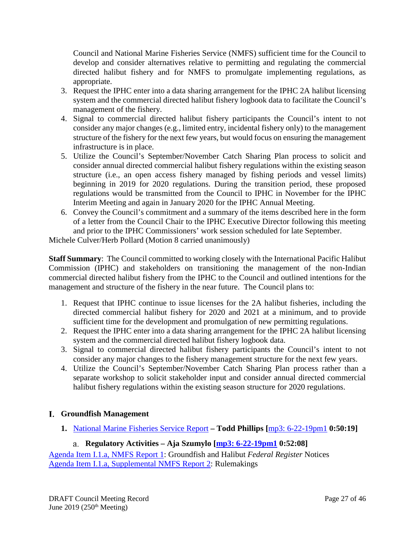Council and National Marine Fisheries Service (NMFS) sufficient time for the Council to develop and consider alternatives relative to permitting and regulating the commercial directed halibut fishery and for NMFS to promulgate implementing regulations, as appropriate.

- 3. Request the IPHC enter into a data sharing arrangement for the IPHC 2A halibut licensing system and the commercial directed halibut fishery logbook data to facilitate the Council's management of the fishery.
- 4. Signal to commercial directed halibut fishery participants the Council's intent to not consider any major changes (e.g., limited entry, incidental fishery only) to the management structure of the fishery for the next few years, but would focus on ensuring the management infrastructure is in place.
- 5. Utilize the Council's September/November Catch Sharing Plan process to solicit and consider annual directed commercial halibut fishery regulations within the existing season structure (i.e., an open access fishery managed by fishing periods and vessel limits) beginning in 2019 for 2020 regulations. During the transition period, these proposed regulations would be transmitted from the Council to IPHC in November for the IPHC Interim Meeting and again in January 2020 for the IPHC Annual Meeting.
- 6. Convey the Council's commitment and a summary of the items described here in the form of a letter from the Council Chair to the IPHC Executive Director following this meeting and prior to the IPHC Commissioners' work session scheduled for late September.

Michele Culver/Herb Pollard (Motion 8 carried unanimously)

**Staff Summary**: The Council committed to working closely with the International Pacific Halibut Commission (IPHC) and stakeholders on transitioning the management of the non-Indian commercial directed halibut fishery from the IPHC to the Council and outlined intentions for the management and structure of the fishery in the near future. The Council plans to:

- 1. Request that IPHC continue to issue licenses for the 2A halibut fisheries, including the directed commercial halibut fishery for 2020 and 2021 at a minimum, and to provide sufficient time for the development and promulgation of new permitting regulations.
- 2. Request the IPHC enter into a data sharing arrangement for the IPHC 2A halibut licensing system and the commercial directed halibut fishery logbook data.
- 3. Signal to commercial directed halibut fishery participants the Council's intent to not consider any major changes to the fishery management structure for the next few years.
- 4. Utilize the Council's September/November Catch Sharing Plan process rather than a separate workshop to solicit stakeholder input and consider annual directed commercial halibut fishery regulations within the existing season structure for 2020 regulations.

# <span id="page-26-0"></span>**Groundfish Management**

<span id="page-26-1"></span>**1.** [National Marine Fisheries Service Report](https://www.pcouncil.org/wp-content/uploads/2019/05/I1__SitSum_NMFS_Rpt_JUNE2019BB.pdf) **– Todd Phillips [**[mp3: 6-22-19pm1](ftp://ftp.pcouncil.org/pub/R1906_June_2019_Recordings/6-22-19pm1Copy.mp3) **0:50:19]**

# **Regulatory Activities – Aja Szumylo [\[mp3: 6-22-19pm1](ftp://ftp.pcouncil.org/pub/R1906_June_2019_Recordings/6-22-19pm1Copy.mp3) 0:52:08]**

<span id="page-26-2"></span>[Agenda Item I.1.a, NMFS Report 1:](https://www.pcouncil.org/wp-content/uploads/2019/05/I1a_NMFS_Rpt1_Groundfish_and_Halibut_Notices_JUNE2019BB.pdf) Groundfish and Halibut *Federal Register* Notices [Agenda Item I.1.a, Supplemental NMFS Report 2:](https://www.pcouncil.org/wp-content/uploads/2019/06/I1a_Sup_NMFS_Rpt2_Rulemaklings_JUNE2019BB.pdf) Rulemakings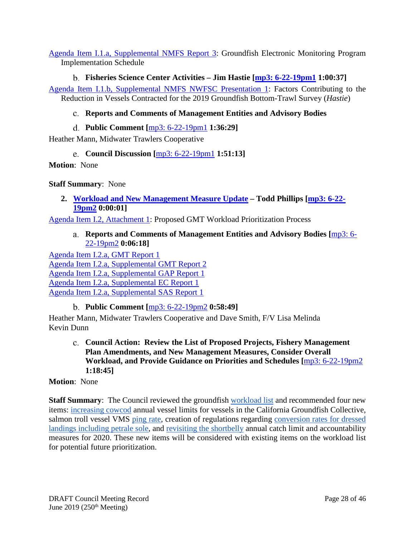[Agenda Item I.1.a, Supplemental NMFS Report 3:](https://www.pcouncil.org/wp-content/uploads/2019/06/I1a_Sup_NMFS_Rpt3_JUN2019BB.pdf) Groundfish Electronic Monitoring Program Implementation Schedule

<span id="page-27-0"></span>**Fisheries Science Center Activities – Jim Hastie [\[mp3: 6-22-19pm1](ftp://ftp.pcouncil.org/pub/R1906_June_2019_Recordings/6-22-19pm1Copy.mp3) 1:00:37]** [Agenda Item I.1.b, Supplemental NMFS NWFSC Presentation 1:](https://www.pcouncil.org/wp-content/uploads/2019/06/I1b_Sup_NMFS_NWFSC_PPT1_Hastie_June2019BB.pdf) Factors Contributing to the Reduction in Vessels Contracted for the 2019 Groundfish Bottom-Trawl Survey (*Hastie*)

# <span id="page-27-1"></span>**Reports and Comments of Management Entities and Advisory Bodies**

**Public Comment [**[mp3: 6-22-19pm1](ftp://ftp.pcouncil.org/pub/R1906_June_2019_Recordings/6-22-19pm1Copy.mp3) **1:36:29]**

<span id="page-27-3"></span><span id="page-27-2"></span>Heather Mann, Midwater Trawlers Cooperative

**Council Discussion [**[mp3: 6-22-19pm1](ftp://ftp.pcouncil.org/pub/R1906_June_2019_Recordings/6-22-19pm1Copy.mp3) **1:51:13]**

**Motion**: None

**Staff Summary**: None

<span id="page-27-4"></span>**2. [Workload and New Management Measure Update](https://www.pcouncil.org/wp-content/uploads/2019/05/I2__SitSum_workload_prioritization_JUNE2019BB_.pdf) – Todd Phillips [\[mp3: 6-22-](ftp://ftp.pcouncil.org/pub/R1906_June_2019_Recordings/6-22-19pm2Copy.mp3) [19pm2](ftp://ftp.pcouncil.org/pub/R1906_June_2019_Recordings/6-22-19pm2Copy.mp3) 0:00:01]**

<span id="page-27-5"></span>[Agenda Item I.2, Attachment 1:](https://www.pcouncil.org/wp-content/uploads/2019/05/I2_Att1_GMT_Priortization_Flow_Chart_JUNE2018BB.pdf) Proposed GMT Workload Prioritization Process

**Reports and Comments of Management Entities and Advisory Bodies [**[mp3: 6-](ftp://ftp.pcouncil.org/pub/R1906_June_2019_Recordings/6-22-19pm2Copy.mp3) [22-19pm2](ftp://ftp.pcouncil.org/pub/R1906_June_2019_Recordings/6-22-19pm2Copy.mp3) **0:06:18]**

[Agenda Item I.2.a, GMT Report 1](https://www.pcouncil.org/wp-content/uploads/2019/05/I2a_GMT_Rpt1_Workload_Prioritization_JUNE2019BB.pdf) [Agenda Item I.2.a, Supplemental GMT Report 2](https://www.pcouncil.org/wp-content/uploads/2019/06/I2a_Sup_GMT_Rpt2_JUN2019BB.pdf) [Agenda Item I.2.a, Supplemental GAP Report 1](https://www.pcouncil.org/wp-content/uploads/2019/06/I2a_Sup_GAP_Rpt1_JUN2019BB.pdf) [Agenda Item I.2.a, Supplemental EC Report 1](https://www.pcouncil.org/wp-content/uploads/2019/06/I2a_Sup_EC_Rpt1_JUN2019BB.pdf) [Agenda Item I.2.a, Supplemental SAS Report 1](https://www.pcouncil.org/wp-content/uploads/2019/06/I2a_Sup_SAS_Rpt1_JUN2019BB.pdf)

**Public Comment [**[mp3: 6-22-19pm2](ftp://ftp.pcouncil.org/pub/R1906_June_2019_Recordings/6-22-19pm2Copy.mp3) **0:58:49]**

<span id="page-27-7"></span><span id="page-27-6"></span>Heather Mann, Midwater Trawlers Cooperative and Dave Smith, F/V Lisa Melinda Kevin Dunn

**Council Action: Review the List of Proposed Projects, Fishery Management Plan Amendments, and New Management Measures, Consider Overall Workload, and Provide Guidance on Priorities and Schedules [**[mp3: 6-22-19pm2](ftp://ftp.pcouncil.org/pub/R1906_June_2019_Recordings/6-22-19pm2Copy.mp3) **1:18:45]**

### **Motion**: None

**Staff Summary:** The Council reviewed the groundfish **workload** list and recommended four new items: [increasing cowcod](https://www.pcouncil.org/wp-content/uploads/2019/06/I2a_Sup_GMT_Rpt2_JUN2019BB.pdf) annual vessel limits for vessels in the California Groundfish Collective, salmon troll vessel VMS [ping rate,](https://www.pcouncil.org/wp-content/uploads/2019/06/I2a_Sup_EC_Rpt1_JUN2019BB.pdf) creation of regulations regarding [conversion rates for dressed](https://www.pcouncil.org/wp-content/uploads/2019/06/I2a_Sup_GAP_Rpt1_JUN2019BB.pdf)  [landings including petrale sole,](https://www.pcouncil.org/wp-content/uploads/2019/06/I2a_Sup_GAP_Rpt1_JUN2019BB.pdf) and [revisiting the shortbelly](https://www.pcouncil.org/wp-content/uploads/2019/06/I2a_Sup_GAP_Rpt1_JUN2019BB.pdf) annual catch limit and accountability measures for 2020. These new items will be considered with existing items on the workload list for potential future prioritization.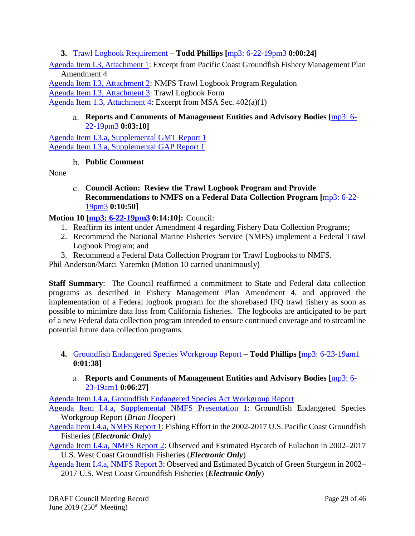<span id="page-28-0"></span>**3.** [Trawl Logbook Requirement](https://www.pcouncil.org/wp-content/uploads/2019/05/I3__SitSum_Trawl-Logbook_JUNE2019BB_.pdf) **– Todd Phillips [**[mp3: 6-22-19pm3](ftp://ftp.pcouncil.org/pub/R1906_June_2019_Recordings/6-22-19pm3Copy.mp3) **0:00:24]**

[Agenda Item I.3, Attachment 1:](https://www.pcouncil.org/wp-content/uploads/2019/05/I3_Att1_Excerpt_PCGFMP_Amend_4_JUNE2019BB.pdf) Excerpt from Pacific Coast Groundfish Fishery Management Plan Amendment 4

[Agenda Item I.3, Attachment 2:](https://www.pcouncil.org/wp-content/uploads/2019/05/I3_Att2_NMFS_Trawl_logbook_regulation_JUNE2019BB.pdf) NMFS Trawl Logbook Program Regulation [Agenda Item I.3, Attachment 3:](https://www.pcouncil.org/wp-content/uploads/2019/05/I3_Att3_Trawl_Log_Sheet_JUNE2019BB.pdf) Trawl Logbook Form [Agenda Item 1.3, Attachment 4:](https://www.pcouncil.org/wp-content/uploads/2019/05/I3_Att4_Excerpt_MSA_Amended_2007_JUNE2019BB.pdf) Excerpt from MSA Sec. 402(a)(1)

### <span id="page-28-1"></span>**Reports and Comments of Management Entities and Advisory Bodies [**[mp3: 6-](ftp://ftp.pcouncil.org/pub/R1906_June_2019_Recordings/6-22-19pm3Copy.mp3) [22-19pm3](ftp://ftp.pcouncil.org/pub/R1906_June_2019_Recordings/6-22-19pm3Copy.mp3) **0:03:10]**

[Agenda Item I.3.a, Supplemental GMT Report 1](https://www.pcouncil.org/wp-content/uploads/2019/06/I3a_Sup_GMT_Rpt1_JUNE2019BB.pdf) [Agenda Item I.3.a, Supplemental GAP Report 1](https://www.pcouncil.org/wp-content/uploads/2019/06/I3a_Sup_GAP_Rpt1_JUN2019BB.pdf)

### **Public Comment**

<span id="page-28-3"></span><span id="page-28-2"></span>None

#### **Council Action: Review the Trawl Logbook Program and Provide Recommendations to NMFS on a Federal Data Collection Program [**[mp3: 6-22-](ftp://ftp.pcouncil.org/pub/R1906_June_2019_Recordings/6-22-19pm3Copy.mp3) [19pm3](ftp://ftp.pcouncil.org/pub/R1906_June_2019_Recordings/6-22-19pm3Copy.mp3) **0:10:50]**

# **Motion 10 [\[mp3: 6-22-19pm3](ftp://ftp.pcouncil.org/pub/R1906_June_2019_Recordings/6-22-19pm3Copy.mp3) 0:14:10]:** Council:

- 1. Reaffirm its intent under Amendment 4 regarding Fishery Data Collection Programs;
- 2. Recommend the National Marine Fisheries Service (NMFS) implement a Federal Trawl Logbook Program; and
- 3. Recommend a Federal Data Collection Program for Trawl Logbooks to NMFS.

Phil Anderson/Marci Yaremko (Motion 10 carried unanimously)

**Staff Summary**: The Council reaffirmed a commitment to State and Federal data collection programs as described in Fishery Management Plan Amendment 4, and approved the implementation of a Federal logbook program for the shorebased IFQ trawl fishery as soon as possible to minimize data loss from California fisheries. The logbooks are anticipated to be part of a new Federal data collection program intended to ensure continued coverage and to streamline potential future data collection programs.

- <span id="page-28-4"></span>**4.** [Groundfish Endangered Species Workgroup Report](https://www.pcouncil.org/wp-content/uploads/2019/05/I4__SitSum_non-Salmon_ESA_Workgroup_JUNE2019BB.pdf) **– Todd Phillips [**[mp3: 6-23-19am1](ftp://ftp.pcouncil.org/pub/R1906_June_2019_Recordings/6-23-19am1Copy.mp3) **0:01:38]**
	- **Reports and Comments of Management Entities and Advisory Bodies [**[mp3: 6-](ftp://ftp.pcouncil.org/pub/R1906_June_2019_Recordings/6-23-19am1Copy.mp3) [23-19am1](ftp://ftp.pcouncil.org/pub/R1906_June_2019_Recordings/6-23-19am1Copy.mp3) **0:06:27]**

<span id="page-28-5"></span>[Agenda Item I.4.a, Groundfish Endangered Species Act Workgroup](https://www.pcouncil.org/wp-content/uploads/2019/05/I4a_Groundfish_Endangered_Species_Workgroup_Report_JUNE2019BB.pdf) Report

[Agenda Item I.4.a, Supplemental NMFS Presentation 1:](https://www.pcouncil.org/wp-content/uploads/2019/06/I4a_Sup_NMFS_PPT1_ESA_WG_Hooper_JUNE2019BB.pdf) Groundfish Endangered Species Workgroup Report (*Brian Hooper*)

- [Agenda Item I.4.a, NMFS Report 1:](https://www.pcouncil.org/wp-content/uploads/2019/05/I4a_NMFS_Rpt1_ELEC_ONLY_DRAFT_FishingEffortReport_JUNE2019BB.pdf) Fishing Effort in the 2002-2017 U.S. Pacific Coast Groundfish Fisheries (*Electronic Only*)
- [Agenda Item I.4.a, NMFS Report 2:](https://www.pcouncil.org/wp-content/uploads/2019/05/I4a_NMFS_Rpt2_ELEC_ONLY_DRAFT_eulachon_bycatch_JUNE2019BB.pdf) Observed and Estimated Bycatch of Eulachon in 2002–2017 U.S. West Coast Groundfish Fisheries (*Electronic Only*)

[Agenda Item I.4.a, NMFS Report 3:](https://www.pcouncil.org/wp-content/uploads/2019/05/I4a_NMFS_Rpt3_ELEC_ONLY_DRAFT_green_sturgeon_JUNE2019BB-.pdf) Observed and Estimated Bycatch of Green Sturgeon in 2002– 2017 U.S. West Coast Groundfish Fisheries (*Electronic Only*)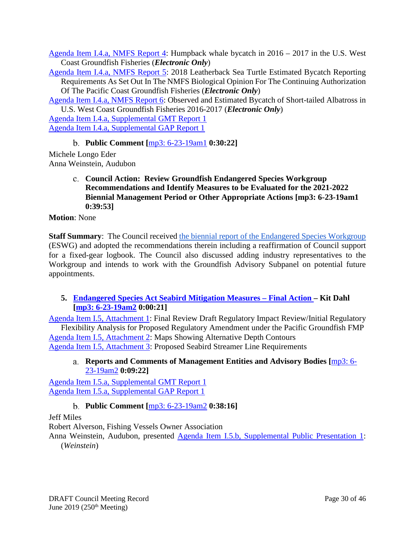[Agenda Item I.4.a, NMFS Report 4:](https://www.pcouncil.org/wp-content/uploads/2019/05/I4a_NMFS_Rpt4_ELEC_ONLY_DRAFT-Humpback_Whale_rpt_JUNE2019BB.pdf) Humpback whale bycatch in 2016 – 2017 in the U.S. West Coast Groundfish Fisheries (*Electronic Only*)

[Agenda Item I.4.a, NMFS Report 5:](https://www.pcouncil.org/wp-content/uploads/2019/05/I4a_NMFS_Rpt5_ELEC_ONLY_DRAFT-Leatherback_Turtle_rpt_JUNE2019BB.pdf) 2018 Leatherback Sea Turtle Estimated Bycatch Reporting Requirements As Set Out In The NMFS Biological Opinion For The Continuing Authorization Of The Pacific Coast Groundfish Fisheries (*Electronic Only*)

[Agenda Item I.4.a, NMFS Report 6:](https://www.pcouncil.org/wp-content/uploads/2019/05/I4a_NMFS_RPT6_ELEC_ONLY_DRAFT_STAL_bycatch_rpt_JUNE2019BB.pdf) Observed and Estimated Bycatch of Short-tailed Albatross in U.S. West Coast Groundfish Fisheries 2016-2017 (*Electronic Only*)

[Agenda Item I.4.a, Supplemental GMT Report 1](https://www.pcouncil.org/wp-content/uploads/2019/06/I4a_Sup_GMT_Rpt1_JUNE2019BB.pdf) [Agenda Item I.4.a, Supplemental GAP Report 1](https://www.pcouncil.org/wp-content/uploads/2019/06/I4a_Sup_GAP_Rpt1_JUN2019BB.pdf)

**Public Comment [**[mp3: 6-23-19am1](ftp://ftp.pcouncil.org/pub/R1906_June_2019_Recordings/6-23-19am1Copy.mp3) **0:30:22]**

<span id="page-29-1"></span><span id="page-29-0"></span>Michele Longo Eder Anna Weinstein, Audubon

> **Council Action: Review Groundfish Endangered Species Workgroup Recommendations and Identify Measures to be Evaluated for the 2021-2022 Biennial Management Period or Other Appropriate Actions [\[mp3: 6-23-19am1](ftp://ftp.pcouncil.org/pub/R1906_June_2019_Recordings/6-23-19am1Copy.mp3) 0:39:53]**

**Motion**: None

**Staff Summary:** The Council received [the biennial report of the Endangered Species Workgroup](https://www.pcouncil.org/wp-content/uploads/2019/05/I4a_Groundfish_Endangered_Species_Workgroup_Report_JUNE2019BB.pdf) (ESWG) and adopted the recommendations therein including a reaffirmation of Council support for a fixed-gear logbook. The Council also discussed adding industry representatives to the Workgroup and intends to work with the Groundfish Advisory Subpanel on potential future appointments.

# <span id="page-29-2"></span>**5. [Endangered Species Act Seabird Mitigation Measures –](https://www.pcouncil.org/wp-content/uploads/2019/05/I5__SitSum_Seabirds_JUN2019BB.pdf) Final Action – Kit Dahl [\[mp3: 6-23-19am2](ftp://ftp.pcouncil.org/pub/R1906_June_2019_Recordings/6-23-19am2Copy.mp3) 0:00:21]**

[Agenda Item I.5, Attachment 1:](https://www.pcouncil.org/wp-content/uploads/2019/05/I5_Att1_STAL-RIR-IRFA_v2_JUN2019BB.pdf) Final Review Draft Regulatory Impact Review/Initial Regulatory Flexibility Analysis for Proposed Regulatory Amendment under the Pacific Groundfish FMP [Agenda Item I.5, Attachment 2:](https://www.pcouncil.org/wp-content/uploads/2019/05/I5_Att2_Depth_Contours_JUN2019BB.pdf) Maps Showing Alternative Depth Contours [Agenda Item I.5, Attachment 3:](https://www.pcouncil.org/wp-content/uploads/2019/05/I5_Att3_Streamer_line-requirements-matrix_JUN2019BBB.pdf) Proposed Seabird Streamer Line Requirements

#### <span id="page-29-3"></span>**Reports and Comments of Management Entities and Advisory Bodies [**[mp3: 6-](ftp://ftp.pcouncil.org/pub/R1906_June_2019_Recordings/6-23-19am2Copy.mp3) [23-19am2](ftp://ftp.pcouncil.org/pub/R1906_June_2019_Recordings/6-23-19am2Copy.mp3) **0:09:22]**

[Agenda Item I.5.a, Supplemental GMT Report 1](https://www.pcouncil.org/wp-content/uploads/2019/06/I5a_Sup_GMT_Rpt1_STAL_JUNE2019BB.pdf) [Agenda Item I.5.a, Supplemental GAP Report 1](https://www.pcouncil.org/wp-content/uploads/2019/06/I5a_Sup_GAP_Rpt1_JUNE2019BB.pdf)

# **Public Comment [**[mp3: 6-23-19am2](ftp://ftp.pcouncil.org/pub/R1906_June_2019_Recordings/6-23-19am2Copy.mp3) **0:38:16]**

<span id="page-29-4"></span>Jeff Miles

Robert Alverson, Fishing Vessels Owner Association

Anna Weinstein, Audubon, presented [Agenda Item I.5.b, Supplemental Public Presentation 1:](https://www.pcouncil.org/wp-content/uploads/2019/06/I5b_Sup_Public_PPT1_Weinstein_6.22.2019_JUN2019BB.pdf) (*Weinstein*)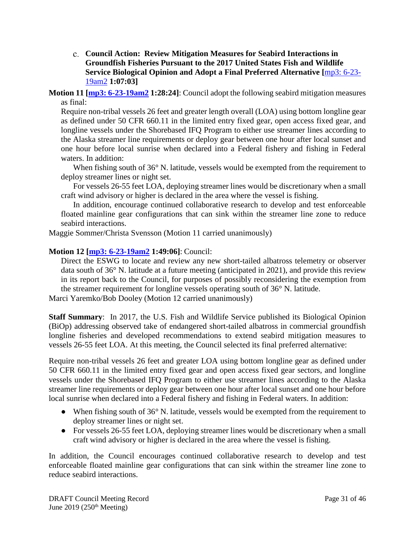<span id="page-30-0"></span>**Council Action: Review Mitigation Measures for Seabird Interactions in Groundfish Fisheries Pursuant to the 2017 United States Fish and Wildlife Service Biological Opinion and Adopt a Final Preferred Alternative [**[mp3: 6-23-](ftp://ftp.pcouncil.org/pub/R1906_June_2019_Recordings/6-23-19am2Copy.mp3) [19am2](ftp://ftp.pcouncil.org/pub/R1906_June_2019_Recordings/6-23-19am2Copy.mp3) **1:07:03]**

#### **Motion 11 [\[mp3: 6-23-19am2](ftp://ftp.pcouncil.org/pub/R1906_June_2019_Recordings/6-23-19am2Copy.mp3) 1:28:24]**: Council adopt the following seabird mitigation measures as final:

Require non-tribal vessels 26 feet and greater length overall (LOA) using bottom longline gear as defined under 50 CFR 660.11 in the limited entry fixed gear, open access fixed gear, and longline vessels under the Shorebased IFQ Program to either use streamer lines according to the Alaska streamer line requirements or deploy gear between one hour after local sunset and one hour before local sunrise when declared into a Federal fishery and fishing in Federal waters. In addition:

When fishing south of 36° N. latitude, vessels would be exempted from the requirement to deploy streamer lines or night set.

For vessels 26-55 feet LOA, deploying streamer lines would be discretionary when a small craft wind advisory or higher is declared in the area where the vessel is fishing.

In addition, encourage continued collaborative research to develop and test enforceable floated mainline gear configurations that can sink within the streamer line zone to reduce seabird interactions.

Maggie Sommer/Christa Svensson (Motion 11 carried unanimously)

### **Motion 12 [\[mp3: 6-23-19am2](ftp://ftp.pcouncil.org/pub/R1906_June_2019_Recordings/6-23-19am2Copy.mp3) 1:49:06]**: Council:

Direct the ESWG to locate and review any new short-tailed albatross telemetry or observer data south of 36° N. latitude at a future meeting (anticipated in 2021), and provide this review in its report back to the Council, for purposes of possibly reconsidering the exemption from the streamer requirement for longline vessels operating south of 36° N. latitude.

Marci Yaremko/Bob Dooley (Motion 12 carried unanimously)

**Staff Summary**: In 2017, the U.S. Fish and Wildlife Service published its Biological Opinion (BiOp) addressing observed take of endangered short-tailed albatross in commercial groundfish longline fisheries and developed recommendations to extend seabird mitigation measures to vessels 26-55 feet LOA. At this meeting, the Council selected its final preferred alternative:

Require non-tribal vessels 26 feet and greater LOA using bottom longline gear as defined under 50 CFR 660.11 in the limited entry fixed gear and open access fixed gear sectors, and longline vessels under the Shorebased IFQ Program to either use streamer lines according to the Alaska streamer line requirements or deploy gear between one hour after local sunset and one hour before local sunrise when declared into a Federal fishery and fishing in Federal waters. In addition:

- When fishing south of 36° N. latitude, vessels would be exempted from the requirement to deploy streamer lines or night set.
- For vessels 26-55 feet LOA, deploying streamer lines would be discretionary when a small craft wind advisory or higher is declared in the area where the vessel is fishing.

In addition, the Council encourages continued collaborative research to develop and test enforceable floated mainline gear configurations that can sink within the streamer line zone to reduce seabird interactions.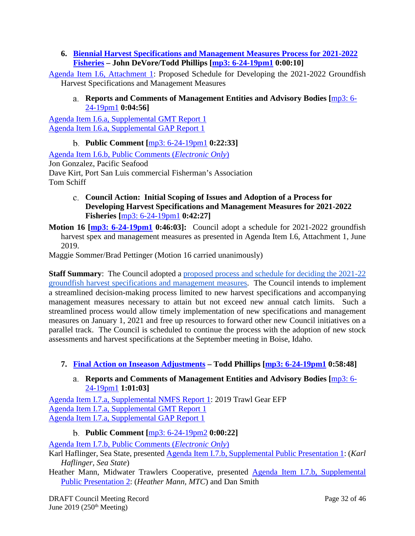<span id="page-31-0"></span>**6. [Biennial Harvest Specifications and Management Measures Process for 2021-2022](https://www.pcouncil.org/wp-content/uploads/2019/05/I6__SitSum_21-22_spex_JUNE2019BB.pdf)  [Fisheries](https://www.pcouncil.org/wp-content/uploads/2019/05/I6__SitSum_21-22_spex_JUNE2019BB.pdf) – John DeVore/Todd Phillips [\[mp3: 6-24-19pm1](ftp://ftp.pcouncil.org/pub/R1906_June_2019_Recordings/6-24-19pm1Copy.mp3) 0:00:10]**

<span id="page-31-1"></span>[Agenda Item I.6, Attachment 1:](https://www.pcouncil.org/wp-content/uploads/2019/05/I6_Att1_Spex_Schedule_JUNE2019BB.pdf) Proposed Schedule for Developing the 2021-2022 Groundfish Harvest Specifications and Management Measures

#### **Reports and Comments of Management Entities and Advisory Bodies [**[mp3: 6-](ftp://ftp.pcouncil.org/pub/R1906_June_2019_Recordings/6-24-19pm1Copy.mp3) [24-19pm1](ftp://ftp.pcouncil.org/pub/R1906_June_2019_Recordings/6-24-19pm1Copy.mp3) **0:04:56]**

[Agenda Item I.6.a, Supplemental GMT Report 1](https://www.pcouncil.org/wp-content/uploads/2019/06/I6a_Sup_GMT_Rpt1_JUNE2019BB.pdf) [Agenda Item I.6.a, Supplemental GAP Report 1](https://www.pcouncil.org/wp-content/uploads/2019/06/I6a_Sup_GAP_Rpt1_JUNE2019BB.pdf)

# **Public Comment [**[mp3: 6-24-19pm1](ftp://ftp.pcouncil.org/pub/R1906_June_2019_Recordings/6-24-19pm1Copy.mp3) **0:22:33]**

<span id="page-31-2"></span>[Agenda Item I.6.b, Public Comments \(](https://pfmc.psmfc.org/Meeting/Details/783?agendaID=4442)*Electronic Only*) Jon Gonzalez, Pacific Seafood Dave Kirt, Port San Luis commercial Fisherman's Association Tom Schiff

- <span id="page-31-3"></span>**Council Action: Initial Scoping of Issues and Adoption of a Process for Developing Harvest Specifications and Management Measures for 2021-2022 Fisheries [**[mp3: 6-24-19pm1](ftp://ftp.pcouncil.org/pub/R1906_June_2019_Recordings/6-24-19pm1Copy.mp3) **0:42:27]**
- **Motion 16 [\[mp3: 6-24-19pm1](ftp://ftp.pcouncil.org/pub/R1906_June_2019_Recordings/6-24-19pm1Copy.mp3) 0:46:03]:** Council adopt a schedule for 2021-2022 groundfish harvest spex and management measures as presented in Agenda Item I.6, Attachment 1, June 2019.

Maggie Sommer/Brad Pettinger (Motion 16 carried unanimously)

**Staff Summary:** The Council adopted a proposed process and schedule for deciding the 2021-22 [groundfish harvest specifications and management measures.](https://www.pcouncil.org/wp-content/uploads/2019/05/I6_Att1_Spex_Schedule_JUNE2019BB.pdf) The Council intends to implement a streamlined decision-making process limited to new harvest specifications and accompanying management measures necessary to attain but not exceed new annual catch limits. Such a streamlined process would allow timely implementation of new specifications and management measures on January 1, 2021 and free up resources to forward other new Council initiatives on a parallel track. The Council is scheduled to continue the process with the adoption of new stock assessments and harvest specifications at the September meeting in Boise, Idaho.

# <span id="page-31-5"></span><span id="page-31-4"></span>**7. [Final Action on Inseason Adjustments](https://www.pcouncil.org/wp-content/uploads/2019/05/I7__SitSum_Inseason_JUNE2019BB.pdf) – Todd Phillips [\[mp3: 6-24-19pm1](ftp://ftp.pcouncil.org/pub/R1906_June_2019_Recordings/6-24-19pm1Copy.mp3) 0:58:48]**

**Reports and Comments of Management Entities and Advisory Bodies [**[mp3: 6-](ftp://ftp.pcouncil.org/pub/R1906_June_2019_Recordings/6-24-19pm1Copy.mp3) [24-19pm1](ftp://ftp.pcouncil.org/pub/R1906_June_2019_Recordings/6-24-19pm1Copy.mp3) **1:01:03]**

[Agenda Item I.7.a, Supplemental NMFS Report 1:](https://www.pcouncil.org/wp-content/uploads/2019/06/I7a_Sup_NMFS_Rpt1_EFP_Informational_JUNE2019BB.pdf) 2019 Trawl Gear EFP [Agenda Item I.7.a, Supplemental GMT Report 1](https://www.pcouncil.org/wp-content/uploads/2019/06/I7a_Sup_GMT_Rpt1_JUNE2019BB.pdf) [Agenda Item I.7.a, Supplemental GAP Report 1](https://www.pcouncil.org/wp-content/uploads/2019/06/I7a_Sup_GAP_Rpt1_JUNE2019BB.pdf)

### **Public Comment [**[mp3: 6-24-19pm2](ftp://ftp.pcouncil.org/pub/R1906_June_2019_Recordings/6-24-19pm2Copy.mp3) **0:00:22]**

<span id="page-31-6"></span>[Agenda Item I.7.b, Public Comments \(](https://pfmc.psmfc.org/Meeting/Details/783?agendaID=4443)*Electronic Only*)

Karl Haflinger, Sea State, presented [Agenda Item I.7.b, Supplemental Public Presentation 1:](https://www.pcouncil.org/wp-content/uploads/2019/06/I7b_Sup_Public_PPT1_Karl_Haflinger-testimony-on-shortbelly-for-inseason-062319_June2019BB.pdf) (*Karl Haflinger, Sea State*)

Heather Mann, Midwater Trawlers Cooperative, presented Agenda Item I.7.b, Supplemental [Public Presentation 2:](https://www.pcouncil.org/wp-content/uploads/2019/06/I7b_Sup_Public_PPT2_Mann_MTC_June2019BB.ppsx) (*Heather Mann, MTC*) and Dan Smith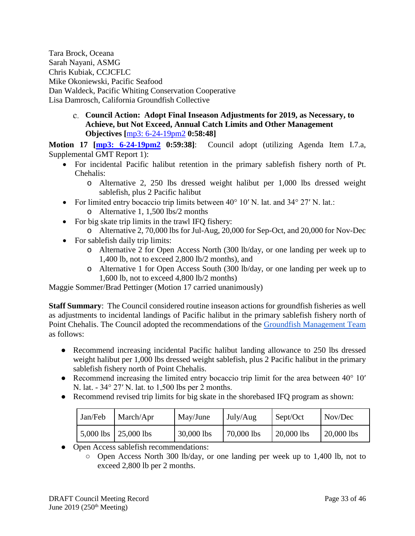Tara Brock, Oceana Sarah Nayani, ASMG Chris Kubiak, CCJCFLC Mike Okoniewski, Pacific Seafood Dan Waldeck, Pacific Whiting Conservation Cooperative Lisa Damrosch, California Groundfish Collective

> <span id="page-32-0"></span>**Council Action: Adopt Final Inseason Adjustments for 2019, as Necessary, to Achieve, but Not Exceed, Annual Catch Limits and Other Management Objectives [**[mp3: 6-24-19pm2](ftp://ftp.pcouncil.org/pub/R1906_June_2019_Recordings/6-24-19pm2Copy.mp3) **0:58:48]**

**Motion 17 [\[mp3: 6-24-19pm2](ftp://ftp.pcouncil.org/pub/R1906_June_2019_Recordings/6-24-19pm2Copy.mp3) 0:59:38]**: Council adopt (utilizing Agenda Item I.7.a, Supplemental GMT Report 1):

- For incidental Pacific halibut retention in the primary sablefish fishery north of Pt. Chehalis:
	- o Alternative 2, 250 lbs dressed weight halibut per 1,000 lbs dressed weight sablefish, plus 2 Pacific halibut
- For limited entry bocaccio trip limits between 40° 10′ N. lat. and 34° 27′ N. lat.: o Alternative 1, 1,500 lbs/2 months
- For big skate trip limits in the trawl IFO fishery:
	- o Alternative 2, 70,000 lbs for Jul-Aug, 20,000 for Sep-Oct, and 20,000 for Nov-Dec
- For sable fish daily trip limits:
	- o Alternative 2 for Open Access North (300 lb/day, or one landing per week up to 1,400 lb, not to exceed 2,800 lb/2 months), and
	- o Alternative 1 for Open Access South (300 lb/day, or one landing per week up to 1,600 lb, not to exceed 4,800 lb/2 months)

Maggie Sommer/Brad Pettinger (Motion 17 carried unanimously)

**Staff Summary**: The Council considered routine inseason actions for groundfish fisheries as well as adjustments to incidental landings of Pacific halibut in the primary sablefish fishery north of Point Chehalis. The Council adopted the recommendations of the [Groundfish Management Te](https://www.pcouncil.org/wp-content/uploads/2019/06/I7a_Sup_GMT_Rpt1_REVISED_JUNE2019BB.pdf)am as follows:

- Recommend increasing incidental Pacific halibut landing allowance to 250 lbs dressed weight halibut per 1,000 lbs dressed weight sablefish, plus 2 Pacific halibut in the primary sablefish fishery north of Point Chehalis.
- Recommend increasing the limited entry bocaccio trip limit for the area between 40° 10′ N. lat. - 34° 27′ N. lat. to 1,500 lbs per 2 months.
- Recommend revised trip limits for big skate in the shorebased IFQ program as shown:

| Jan/Feb | March/Apr                      | May/June     | July/Aug   | Sept/Oct   | Nov/Dec    |
|---------|--------------------------------|--------------|------------|------------|------------|
|         | $5,000$ lbs $\vert 25,000$ lbs | $30,000$ lbs | 70,000 lbs | 20,000 lbs | 20,000 lbs |

- Open Access sablefish recommendations:
	- Open Access North 300 lb/day, or one landing per week up to 1,400 lb, not to exceed 2,800 lb per 2 months.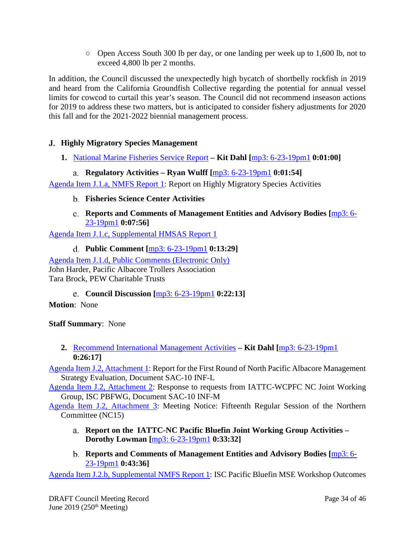○ Open Access South 300 lb per day, or one landing per week up to 1,600 lb, not to exceed 4,800 lb per 2 months.

In addition, the Council discussed the unexpectedly high bycatch of shortbelly rockfish in 2019 and heard from the California Groundfish Collective regarding the potential for annual vessel limits for cowcod to curtail this year's season. The Council did not recommend inseason actions for 2019 to address these two matters, but is anticipated to consider fishery adjustments for 2020 this fall and for the 2021-2022 biennial management process.

# <span id="page-33-0"></span>**Highly Migratory Species Management**

- <span id="page-33-1"></span>**1.** [National Marine Fisheries Service Report](https://www.pcouncil.org/wp-content/uploads/2019/05/J1__SitSum_NMFS_Report_HMS_JUN2019BB.pdf) **– Kit Dahl [**[mp3: 6-23-19pm1](ftp://ftp.pcouncil.org/pub/R1906_June_2019_Recordings/6-23-19pm1Copy.mp3) **0:01:00]**
	- **Regulatory Activities – Ryan Wulff [**[mp3: 6-23-19pm1](ftp://ftp.pcouncil.org/pub/R1906_June_2019_Recordings/6-23-19pm1Copy.mp3) **0:01:54]**

<span id="page-33-3"></span><span id="page-33-2"></span>[Agenda Item J.1.a, NMFS Report 1:](https://www.pcouncil.org/wp-content/uploads/2019/05/J1a_NMFS_Rpt1_JUN2019BB.pdf) Report on Highly Migratory Species Activities

- **Fisheries Science Center Activities**
- **Reports and Comments of Management Entities and Advisory Bodies [**[mp3: 6-](ftp://ftp.pcouncil.org/pub/R1906_June_2019_Recordings/6-23-19pm1Copy.mp3) [23-19pm1](ftp://ftp.pcouncil.org/pub/R1906_June_2019_Recordings/6-23-19pm1Copy.mp3) **0:07:56]**

<span id="page-33-5"></span><span id="page-33-4"></span>[Agenda Item J.1.c, Supplemental HMSAS Report 1](https://www.pcouncil.org/wp-content/uploads/2019/06/J1c_Sup_HMSAS_Rpt1_JUN2019BB.pdf)

**Public Comment [**[mp3: 6-23-19pm1](ftp://ftp.pcouncil.org/pub/R1906_June_2019_Recordings/6-23-19pm1Copy.mp3) **0:13:29]**

[Agenda Item J.1.d, Public Comments \(Electronic Only\)](https://pfmc.psmfc.org/Meeting/Details/783?agendaID=4444) John Harder, Pacific Albacore Trollers Association Tara Brock, PEW Charitable Trusts

**Council Discussion [**[mp3: 6-23-19pm1](ftp://ftp.pcouncil.org/pub/R1906_June_2019_Recordings/6-23-19pm1Copy.mp3) **0:22:13]**

<span id="page-33-6"></span>**Motion**: None

**Staff Summary**: None

<span id="page-33-7"></span>**2.** [Recommend International Management Activities](https://www.pcouncil.org/wp-content/uploads/2019/05/J2__SitSum_InternationalManagement_JUN2019BB.pdf) **– Kit Dahl [**[mp3: 6-23-19pm1](ftp://ftp.pcouncil.org/pub/R1906_June_2019_Recordings/6-23-19pm1Copy.mp3) **0:26:17]**

[Agenda Item J.2, Attachment 1:](https://www.pcouncil.org/wp-content/uploads/2019/05/J2_Att1_SAC-10-INF-L_Report-of-the-North-Pacific-Albacore-Management-Strategy-Evaluation-MSE_JUN2019BB.pdf) Report for the First Round of North Pacific Albacore Management Strategy Evaluation, Document SAC-10 INF-L

[Agenda Item J.2, Attachment 2:](https://www.pcouncil.org/wp-content/uploads/2019/05/J2_Att2_SAC-10-INF-M_Response-to-requests-from-IATTC-WCPFC-NC-Joint-Working-Group_JUN2019BB.pdf) Response to requests from IATTC-WCPFC NC Joint Working Group, ISC PBFWG, Document SAC-10 INF-M

<span id="page-33-8"></span>[Agenda Item J.2, Attachment 3:](https://www.pcouncil.org/wp-content/uploads/2019/05/J2_Att3_WCPFC-NC15-Meeting-Notice_JUN2019BB.pdf) Meeting Notice: Fifteenth Regular Session of the Northern Committee (NC15)

- **Report on the IATTC-NC Pacific Bluefin Joint Working Group Activities – Dorothy Lowman [**[mp3: 6-23-19pm1](ftp://ftp.pcouncil.org/pub/R1906_June_2019_Recordings/6-23-19pm1Copy.mp3) **0:33:32]**
- **Reports and Comments of Management Entities and Advisory Bodies [**[mp3: 6-](ftp://ftp.pcouncil.org/pub/R1906_June_2019_Recordings/6-23-19pm1Copy.mp3) [23-19pm1](ftp://ftp.pcouncil.org/pub/R1906_June_2019_Recordings/6-23-19pm1Copy.mp3) **0:43:36]**

<span id="page-33-9"></span>[Agenda Item J.2.b, Supplemental NMFS Report 1:](https://www.pcouncil.org/wp-content/uploads/2019/06/J2b_Sup_NMFS_Rpt1_June2019BB.pdf) ISC Pacific Bluefin MSE Workshop Outcomes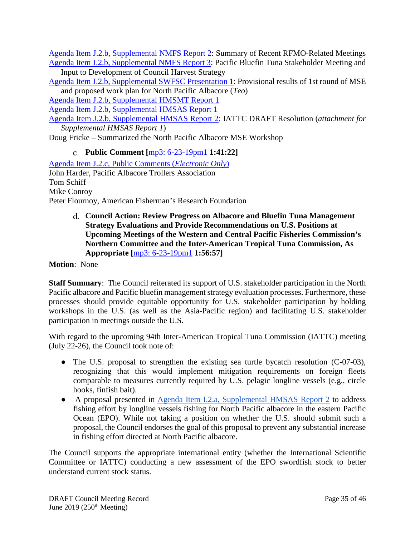[Agenda Item J.2.b, Supplemental NMFS Report 2:](https://www.pcouncil.org/wp-content/uploads/2019/06/J2b_Sup_NMFS_Rpt2_JUNEBB2019.pdf) Summary of Recent RFMO-Related Meetings [Agenda Item J.2.b, Supplemental NMFS Report 3:](https://www.pcouncil.org/wp-content/uploads/2019/06/J2b_Sup_NMFS_Rpt3_JUN2019BB.pdf) Pacific Bluefin Tuna Stakeholder Meeting and

Input to Development of Council Harvest Strategy [Agenda Item J.2.b, Supplemental SWFSC Presentation 1:](https://www.pcouncil.org/wp-content/uploads/2019/06/J2b_Sup_SWFSC_PPT1_TEO_20190623_PFMC_NPALB_MSE_results_workplan_v2_JUN2019BB.pdf) Provisional results of 1st round of MSE

and proposed work plan for North Pacific Albacore (*Teo*)

[Agenda Item J.2.b, Supplemental HMSMT Report 1](https://www.pcouncil.org/wp-content/uploads/2019/06/J2b_Sup_HMSMT_Rpt1_JUN2018BB.pdf)

[Agenda Item J.2.b, Supplemental HMSAS Report 1](https://www.pcouncil.org/wp-content/uploads/2019/06/J2b_Sup_HMSAS_Rpt1_JUN2018BB.pdf)

[Agenda Item J.2.b, Supplemental HMSAS Report 2:](https://www.pcouncil.org/wp-content/uploads/2019/06/J2b_Sup_HMSAS_Rpt2_JUN2018BB.pdf) IATTC DRAFT Resolution (*attachment for Supplemental HMSAS Report 1*)

<span id="page-34-0"></span>Doug Fricke – Summarized the North Pacific Albacore MSE Workshop

**Public Comment [**[mp3: 6-23-19pm1](ftp://ftp.pcouncil.org/pub/R1906_June_2019_Recordings/6-23-19pm1Copy.mp3) **1:41:22]**

[Agenda Item J.2.c, Public Comments \(](https://pfmc.psmfc.org/Meeting/Details/783?agendaID=4445)*Electronic Only*) John Harder, Pacific Albacore Trollers Association Tom Schiff Mike Conroy Peter Flournoy, American Fisherman's Research Foundation

> <span id="page-34-1"></span>**Council Action: Review Progress on Albacore and Bluefin Tuna Management Strategy Evaluations and Provide Recommendations on U.S. Positions at Upcoming Meetings of the Western and Central Pacific Fisheries Commission's Northern Committee and the Inter-American Tropical Tuna Commission, As Appropriate [**[mp3: 6-23-19pm1](ftp://ftp.pcouncil.org/pub/R1906_June_2019_Recordings/6-23-19pm1Copy.mp3) **1:56:57]**

**Motion**: None

**Staff Summary**: The Council reiterated its support of U.S. stakeholder participation in the North Pacific albacore and Pacific bluefin management strategy evaluation processes. Furthermore, these processes should provide equitable opportunity for U.S. stakeholder participation by holding workshops in the U.S. (as well as the Asia-Pacific region) and facilitating U.S. stakeholder participation in meetings outside the U.S.

With regard to the upcoming 94th Inter-American Tropical Tuna Commission (IATTC) meeting (July 22-26), the Council took note of:

- The U.S. proposal to strengthen the existing sea turtle bycatch resolution (C-07-03), recognizing that this would implement mitigation requirements on foreign fleets comparable to measures currently required by U.S. pelagic longline vessels (e.g., circle hooks, finfish bait).
- A proposal presented in <u>Agenda Item I.2.a, Supplemental HMSAS Report 2</u> to address fishing effort by longline vessels fishing for North Pacific albacore in the eastern Pacific Ocean (EPO). While not taking a position on whether the U.S. should submit such a proposal, the Council endorses the goal of this proposal to prevent any substantial increase in fishing effort directed at North Pacific albacore.

The Council supports the appropriate international entity (whether the International Scientific Committee or IATTC) conducting a new assessment of the EPO swordfish stock to better understand current stock status.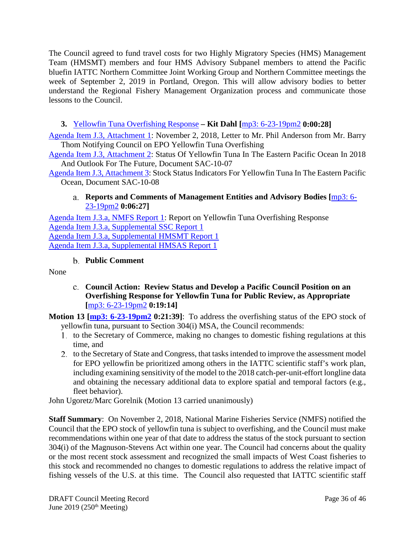The Council agreed to fund travel costs for two Highly Migratory Species (HMS) Management Team (HMSMT) members and four HMS Advisory Subpanel members to attend the Pacific bluefin IATTC Northern Committee Joint Working Group and Northern Committee meetings the week of September 2, 2019 in Portland, Oregon. This will allow advisory bodies to better understand the Regional Fishery Management Organization process and communicate those lessons to the Council.

# <span id="page-35-0"></span>**3.** [Yellowfin Tuna Overfishing Response](https://www.pcouncil.org/wp-content/uploads/2019/05/J3__SitSum_EPO_YFT_overfishing_response_JUN2019BB.pdf) **– Kit Dahl [**[mp3: 6-23-19pm2](ftp://ftp.pcouncil.org/pub/R1906_June_2019_Recordings/6-23-19pm2Copy.mp3) **0:00:28]**

[Agenda Item J.3, Attachment 1:](https://www.pcouncil.org/wp-content/uploads/2019/05/J3_Att1_NMFS_YFT_overfishing_JUN2019BB.pdf) November 2, 2018, Letter to Mr. Phil Anderson from Mr. Barry Thom Notifying Council on EPO Yellowfin Tuna Overfishing

[Agenda Item J.3, Attachment 2:](https://www.pcouncil.org/wp-content/uploads/2019/05/J3_Att2_EPO_YFT_stock_assessment_JUN2019BB.pdf) Status Of Yellowfin Tuna In The Eastern Pacific Ocean In 2018 And Outlook For The Future, Document SAC-10-07

<span id="page-35-1"></span>[Agenda Item J.3, Attachment 3:](https://www.pcouncil.org/wp-content/uploads/2019/05/J3_Att3_SAC-10-08_Yellowfin-tuna-Stock-status-indicators_JUN2019BB.pdf) Stock Status Indicators For Yellowfin Tuna In The Eastern Pacific Ocean, Document SAC-10-08

# **Reports and Comments of Management Entities and Advisory Bodies [**[mp3: 6-](ftp://ftp.pcouncil.org/pub/R1906_June_2019_Recordings/6-23-19pm2Copy.mp3) [23-19pm2](ftp://ftp.pcouncil.org/pub/R1906_June_2019_Recordings/6-23-19pm2Copy.mp3) **0:06:27]**

[Agenda Item J.3.a, NMFS](https://www.pcouncil.org/wp-content/uploads/2019/05/J3a_NMFS_Rpt1_Yellowfin-Tuna-Overfishing-Response_JUN2019BB.pdf) Report 1: Report on Yellowfin Tuna Overfishing Response [Agenda Item J.3.a, Supplemental SSC Report 1](https://www.pcouncil.org/wp-content/uploads/2019/06/J3a_Sup_SSC_Rpt1_JUNE2019BB.pdf) [Agenda Item J.3.a, Supplemental HMSMT Report 1](https://www.pcouncil.org/wp-content/uploads/2019/06/J3a_Sup_HMSMT_Rpt1_JUN2018BB.pdf) [Agenda Item J.3.a, Supplemental HMSAS Report 1](https://www.pcouncil.org/wp-content/uploads/2019/06/J3a_Sup_HMSAS_Rpt1_JUN2019BB.pdf)

# **Public Comment**

<span id="page-35-3"></span><span id="page-35-2"></span>None

**Council Action: Review Status and Develop a Pacific Council Position on an Overfishing Response for Yellowfin Tuna for Public Review, as Appropriate [**[mp3: 6-23-19pm2](ftp://ftp.pcouncil.org/pub/R1906_June_2019_Recordings/6-23-19pm2Copy.mp3) **0:19:14]**

**Motion 13 [\[mp3: 6-23-19pm2](ftp://ftp.pcouncil.org/pub/R1906_June_2019_Recordings/6-23-19pm2Copy.mp3) 0:21:39]**: To address the overfishing status of the EPO stock of yellowfin tuna, pursuant to Section 304(i) MSA, the Council recommends:

- 1. to the Secretary of Commerce, making no changes to domestic fishing regulations at this time, and
- 2. to the Secretary of State and Congress, that tasks intended to improve the assessment model for EPO yellowfin be prioritized among others in the IATTC scientific staff's work plan, including examining sensitivity of the model to the 2018 catch-per-unit-effort longline data and obtaining the necessary additional data to explore spatial and temporal factors (e.g., fleet behavior).

John Ugoretz/Marc Gorelnik (Motion 13 carried unanimously)

**Staff Summary**: On November 2, 2018, National Marine Fisheries Service (NMFS) notified the Council that the EPO stock of yellowfin tuna is subject to overfishing, and the Council must make recommendations within one year of that date to address the status of the stock pursuant to section 304(i) of the Magnuson-Stevens Act within one year. The Council had concerns about the quality or the most recent stock assessment and recognized the small impacts of West Coast fisheries to this stock and recommended no changes to domestic regulations to address the relative impact of fishing vessels of the U.S. at this time. The Council also requested that IATTC scientific staff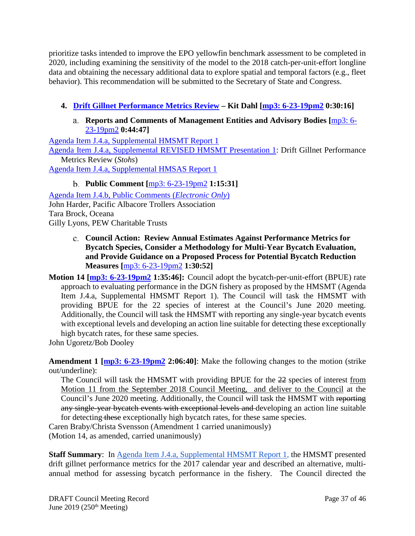prioritize tasks intended to improve the EPO yellowfin benchmark assessment to be completed in 2020, including examining the sensitivity of the model to the 2018 catch-per-unit-effort longline data and obtaining the necessary additional data to explore spatial and temporal factors (e.g., fleet behavior). This recommendation will be submitted to the Secretary of State and Congress.

- <span id="page-36-1"></span><span id="page-36-0"></span>**4. [Drift Gillnet Performance Metrics Review](https://www.pcouncil.org/wp-content/uploads/2019/05/J4__SitSum_DGN_performance_metrics_JUN2019BB.pdf) – Kit Dahl [\[mp3: 6-23-19pm2](ftp://ftp.pcouncil.org/pub/R1906_June_2019_Recordings/6-23-19pm2Copy.mp3) 0:30:16]**
	- **Reports and Comments of Management Entities and Advisory Bodies [**[mp3: 6-](ftp://ftp.pcouncil.org/pub/R1906_June_2019_Recordings/6-23-19pm2Copy.mp3) [23-19pm2](ftp://ftp.pcouncil.org/pub/R1906_June_2019_Recordings/6-23-19pm2Copy.mp3) **0:44:47]**

[Agenda Item J.4.a, Supplemental HMSMT Report 1](https://www.pcouncil.org/wp-content/uploads/2019/06/J4a_Sup_HMSMT_Rpt1_JUNE2019BB.pdf) [Agenda Item J.4.a, Supplemental REVISED HMSMT Presentation 1:](https://www.pcouncil.org/wp-content/uploads/2019/06/J4a_Sup_REVISED_HMSMT_PPT1_Stohs_Drift-Gillnet-Performance-Metrics-Review-June2019BB.pdf) Drift Gillnet Performance Metrics Review (*Stohs*) [Agenda Item J.4.a, Supplemental HMSAS Report 1](https://www.pcouncil.org/wp-content/uploads/2019/06/J4a_Sup_HMSAS_Rpt1_JUN2019BB.pdf)

**Public Comment [**[mp3: 6-23-19pm2](ftp://ftp.pcouncil.org/pub/R1906_June_2019_Recordings/6-23-19pm2Copy.mp3) **1:15:31]**

<span id="page-36-2"></span>[Agenda Item J.4.b, Public Comments \(](https://pfmc.psmfc.org/Meeting/Details/783?agendaID=4447)*Electronic Only*) John Harder, Pacific Albacore Trollers Association Tara Brock, Oceana Gilly Lyons, PEW Charitable Trusts

- <span id="page-36-3"></span>**Council Action: Review Annual Estimates Against Performance Metrics for Bycatch Species, Consider a Methodology for Multi-Year Bycatch Evaluation, and Provide Guidance on a Proposed Process for Potential Bycatch Reduction Measures [**[mp3: 6-23-19pm2](ftp://ftp.pcouncil.org/pub/R1906_June_2019_Recordings/6-23-19pm2Copy.mp3) **1:30:52]**
- **Motion 14 [\[mp3: 6-23-19pm2](ftp://ftp.pcouncil.org/pub/R1906_June_2019_Recordings/6-23-19pm2Copy.mp3) 1:35:46]:** Council adopt the bycatch-per-unit-effort (BPUE) rate approach to evaluating performance in the DGN fishery as proposed by the HMSMT (Agenda Item J.4.a, Supplemental HMSMT Report 1). The Council will task the HMSMT with providing BPUE for the 22 species of interest at the Council's June 2020 meeting. Additionally, the Council will task the HMSMT with reporting any single-year bycatch events with exceptional levels and developing an action line suitable for detecting these exceptionally high bycatch rates, for these same species.

John Ugoretz/Bob Dooley

**Amendment 1 [\[mp3: 6-23-19pm2](ftp://ftp.pcouncil.org/pub/R1906_June_2019_Recordings/6-23-19pm2Copy.mp3) 2:06:40]**: Make the following changes to the motion (strike out/underline):

The Council will task the HMSMT with providing BPUE for the 22 species of interest from Motion 11 from the September 2018 Council Meeting, and deliver to the Council at the Council's June 2020 meeting. Additionally, the Council will task the HMSMT with reporting any single-year bycatch events with exceptional levels and developing an action line suitable for detecting these exceptionally high bycatch rates, for these same species.

Caren Braby/Christa Svensson (Amendment 1 carried unanimously)

(Motion 14, as amended, carried unanimously)

**Staff Summary**: In [Agenda Item J.4.a, Supplemental HMSMT Report 1,](https://www.pcouncil.org/wp-content/uploads/2019/06/J4a_Sup_HMSMT_Rpt1_JUNE2019BB.pdf) the HMSMT presented drift gillnet performance metrics for the 2017 calendar year and described an alternative, multiannual method for assessing bycatch performance in the fishery. The Council directed the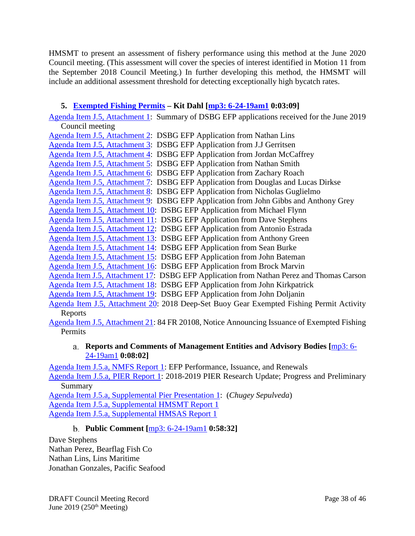HMSMT to present an assessment of fishery performance using this method at the June 2020 Council meeting. (This assessment will cover the species of interest identified in Motion 11 from the September 2018 Council Meeting.) In further developing this method, the HMSMT will include an additional assessment threshold for detecting exceptionally high bycatch rates.

# <span id="page-37-0"></span>**5. [Exempted Fishing Permits](https://www.pcouncil.org/wp-content/uploads/2019/05/J5__SitSum_HMS_EFPs_JUN2019BB.pdf) – Kit Dahl [\[mp3: 6-24-19am1](ftp://ftp.pcouncil.org/pub/R1906_June_2019_Recordings/6-24-19am1Copy.mp3) 0:03:09]**

[Agenda Item J.5, Attachment 1:](https://www.pcouncil.org/wp-content/uploads/2019/05/J5_Att1_Summary_of_DSBG_Applications_JUN2019BB.pdf) Summary of DSBG EFP applications received for the June 2019 Council meeting

[Agenda Item J.5, Attachment 2:](https://www.pcouncil.org/wp-content/uploads/2019/05/J5_Att02_DSBG-EFP-application-190201_Lins_JUN2019BB.pdf) DSBG EFP Application from Nathan Lins [Agenda Item J.5, Attachment 3:](https://www.pcouncil.org/wp-content/uploads/2019/05/J5_Att03_DSBG-EFP-application-190307_Gerritsen_JUN2019BB.pdf) DSBG EFP Application from J.J Gerritsen [Agenda Item J.5, Attachment 4:](https://www.pcouncil.org/wp-content/uploads/2019/05/J5_Att04_DSBG-EFP-application-190318_Barker_McCaffrey_JUN2019BB.pdf) DSBG EFP Application from Jordan McCaffrey [Agenda Item J.5, Attachment 5:](https://www.pcouncil.org/wp-content/uploads/2019/05/J5_Att05_DSBG-EFP-application-190319_Smith_JUN2019BB.pdf) DSBG EFP Application from Nathan Smith [Agenda Item J.5, Attachment 6:](https://www.pcouncil.org/wp-content/uploads/2019/05/J5_Att06_DSBG-EFP-application-190322_Roach_JUN2019BB.pdf) DSBG EFP Application from Zachary Roach [Agenda Item J.5, Attachment 7:](https://www.pcouncil.org/wp-content/uploads/2019/05/J5_Att07_DSBG-EFP-application-190323_Dirkse_JUN2019BB.pdf) DSBG EFP Application from Douglas and Lucas Dirkse [Agenda Item J.5, Attachment 8:](https://www.pcouncil.org/wp-content/uploads/2019/05/J5_Att08_DSBG-EFP-application-190411_Guglielmo_JUN2019BB.pdf) DSBG EFP Application from Nicholas Guglielmo [Agenda Item J.5, Attachment 9:](https://www.pcouncil.org/wp-content/uploads/2019/05/J5_Att09_DSBG-EFP-application-190424_Gibbs_Grey_JUN2019BB.pdf) DSBG EFP Application from John Gibbs and Anthony Grey [Agenda Item J.5, Attachment 10:](https://www.pcouncil.org/wp-content/uploads/2019/05/J5_Att10_DSBG-EFP-application-190424_Flynn_JUN2019BB.pdf) DSBG EFP Application from Michael Flynn [Agenda Item J.5, Attachment 11:](https://www.pcouncil.org/wp-content/uploads/2019/05/J5_Att11_DSBG-EFP-application-190508_Stephens_JUN2019BB.pdf) DSBG EFP Application from Dave Stephens [Agenda Item J.5, Attachment 12:](https://www.pcouncil.org/wp-content/uploads/2019/05/J5_Att12_DSBG-EFP-application-190514_Estrada_JUN2019BB.pdf) DSBG EFP Application from Antonio Estrada [Agenda Item J.5, Attachment 13:](https://www.pcouncil.org/wp-content/uploads/2019/05/J5_Att13_DSBG-EFP-application-190515_Green_JUN2019BB.pdf) DSBG EFP Application from Anthony Green [Agenda Item J.5, Attachment 14:](https://www.pcouncil.org/wp-content/uploads/2019/05/J5_Att14_DSBG-EFP-application-190519_Burke_JUN2019BB.pdf) DSBG EFP Application from Sean Burke [Agenda Item J.5, Attachment 15:](https://www.pcouncil.org/wp-content/uploads/2019/05/J5_Att15_DSBG-EFP-application-190521_Bateman_JUN2019BB.pdf) DSBG EFP Application from John Bateman [Agenda Item J.5, Attachment 16:](https://www.pcouncil.org/wp-content/uploads/2019/05/J5_Att16_DSBG-EFP-application-190521_Marvin_JUN2019BB.pdf) DSBG EFP Application from Brock Marvin [Agenda Item J.5, Attachment 17:](https://www.pcouncil.org/wp-content/uploads/2019/05/J5_Att17_DSBG-EFP-application-190523_Perez-Carson_JUN2019BB.pdf) DSBG EFP Application from Nathan Perez and Thomas Carson [Agenda Item J.5, Attachment 18:](https://www.pcouncil.org/wp-content/uploads/2019/05/J5_Att18_DSBG-EFP-application-190523_Kirkpatrick_JUN2019BB.pdf) DSBG EFP Application from John Kirkpatrick [Agenda Item J.5, Attachment 19:](https://www.pcouncil.org/wp-content/uploads/2019/05/J5_Att19_DSB-EFP-application_190523_DOLJANIN_JUN2019BB.pdf) DSBG EFP Application from John Doljanin [Agenda Item J.5, Attachment 20:](https://www.pcouncil.org/wp-content/uploads/2019/05/J5_Att20_DSBG_EFP_2018_Activity_Reports_JUN2019BB.pdf) 2018 Deep-Set Buoy Gear Exempted Fishing Permit Activity Reports [Agenda Item J.5, Attachment 21:](https://www.pcouncil.org/wp-content/uploads/2019/05/J5_Att21_84FR20108_Jun2019BB.pdf) 84 FR 20108, Notice Announcing Issuance of Exempted Fishing

<span id="page-37-1"></span>Permits

#### **Reports and Comments of Management Entities and Advisory Bodies [**[mp3: 6-](ftp://ftp.pcouncil.org/pub/R1906_June_2019_Recordings/6-24-19am1Copy.mp3) [24-19am1](ftp://ftp.pcouncil.org/pub/R1906_June_2019_Recordings/6-24-19am1Copy.mp3) **0:08:02]**

[Agenda Item J.5.a, NMFS Report 1:](https://www.pcouncil.org/wp-content/uploads/2019/05/J5a_NMFS_Rpt1_EFPs_JUN2019BB.pdf) EFP Performance, Issuance, and Renewals

[Agenda Item J.5.a, PIER Report 1:](https://www.pcouncil.org/wp-content/uploads/2019/05/J5a_PIER_Rpt1_JUN2019BB.pdf) 2018-2019 PIER Research Update; Progress and Preliminary Summary

[Agenda Item J.5.a, Supplemental Pier Presentation 1:](https://www.pcouncil.org/wp-content/uploads/2019/06/J5a_Sup_PIER_PPT1_JUN2019BB.pdf) (*Chugey Sepulveda*) [Agenda Item J.5.a, Supplemental HMSMT Report 1](https://www.pcouncil.org/wp-content/uploads/2019/06/J5a_Sup_HMSMT_Rpt1_JUN2019BB.pdf) [Agenda Item J.5.a, Supplemental HMSAS Report 1](https://www.pcouncil.org/wp-content/uploads/2019/06/J5a_Sup_HMSAS_Rpt1_JUN2018BB.pdf)

### **Public Comment [**[mp3: 6-24-19am1](ftp://ftp.pcouncil.org/pub/R1906_June_2019_Recordings/6-24-19am1Copy.mp3) **0:58:32]**

<span id="page-37-2"></span>Dave Stephens Nathan Perez, Bearflag Fish Co Nathan Lins, Lins Maritime Jonathan Gonzales, Pacific Seafood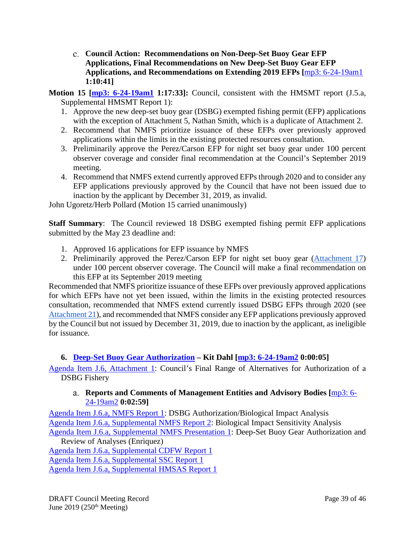- <span id="page-38-0"></span>**Council Action: Recommendations on Non-Deep-Set Buoy Gear EFP Applications, Final Recommendations on New Deep-Set Buoy Gear EFP Applications, and Recommendations on Extending 2019 EFPs [**[mp3: 6-24-19am1](ftp://ftp.pcouncil.org/pub/R1906_June_2019_Recordings/6-24-19am1Copy.mp3) **1:10:41]**
- **Motion 15 [\[mp3: 6-24-19am1](ftp://ftp.pcouncil.org/pub/R1906_June_2019_Recordings/6-24-19am1Copy.mp3) 1:17:33]:** Council, consistent with the HMSMT report (J.5.a, Supplemental HMSMT Report 1):
	- 1. Approve the new deep-set buoy gear (DSBG) exempted fishing permit (EFP) applications with the exception of Attachment 5, Nathan Smith, which is a duplicate of Attachment 2.
	- 2. Recommend that NMFS prioritize issuance of these EFPs over previously approved applications within the limits in the existing protected resources consultation.
	- 3. Preliminarily approve the Perez/Carson EFP for night set buoy gear under 100 percent observer coverage and consider final recommendation at the Council's September 2019 meeting.
	- 4. Recommend that NMFS extend currently approved EFPs through 2020 and to consider any EFP applications previously approved by the Council that have not been issued due to inaction by the applicant by December 31, 2019, as invalid.

John Ugoretz/Herb Pollard (Motion 15 carried unanimously)

**Staff Summary**: The Council reviewed 18 DSBG exempted fishing permit EFP applications submitted by the May 23 deadline and:

- 1. Approved 16 applications for EFP issuance by NMFS
- 2. Preliminarily approved the Perez/Carson EFP for night set buoy gear [\(Attachment 17\)](https://www.pcouncil.org/wp-content/uploads/2019/05/J5_Att17_DSBG-EFP-application-190523_Perez-Carson_JUN2019BB.pdf) under 100 percent observer coverage. The Council will make a final recommendation on this EFP at its September 2019 meeting

Recommended that NMFS prioritize issuance of these EFPs over previously approved applications for which EFPs have not yet been issued, within the limits in the existing protected resources consultation, recommended that NMFS extend currently issued DSBG EFPs through 2020 (see [Attachment 21\)](https://www.pcouncil.org/wp-content/uploads/2019/05/J5_Att21_84FR20108_Jun2019BB.pdf), and recommended that NMFS consider any EFP applications previously approved by the Council but not issued by December 31, 2019, due to inaction by the applicant, as ineligible for issuance.

# <span id="page-38-1"></span>**6. [Deep-Set Buoy Gear Authorization](https://www.pcouncil.org/wp-content/uploads/2019/05/J6__SitSum_DSBG_authorization_analysis_JUN2019BB.pdf) – Kit Dahl [\[mp3: 6-24-19am2](ftp://ftp.pcouncil.org/pub/R1906_June_2019_Recordings/6-24-19am2Copy.mp3) 0:00:05]**

<span id="page-38-2"></span>[Agenda Item J.6, Attachment 1:](https://www.pcouncil.org/wp-content/uploads/2019/05/J6_Att1_FinalRangeAlts_JUN2019BB.pdf) Council's Final Range of Alternatives for Authorization of a DSBG Fishery

### **Reports and Comments of Management Entities and Advisory Bodies [**[mp3: 6-](ftp://ftp.pcouncil.org/pub/R1906_June_2019_Recordings/6-24-19am2Copy.mp3) [24-19am2](ftp://ftp.pcouncil.org/pub/R1906_June_2019_Recordings/6-24-19am2Copy.mp3) **0:02:59]**

[Agenda Item J.6.a, NMFS Report 1:](https://www.pcouncil.org/wp-content/uploads/2019/05/J6a_NMFS_Rpt1_DSBG-Authorization_JUN2019BB.pdf) DSBG Authorization/Biological Impact Analysis [Agenda Item J.6.a, Supplemental NMFS Report 2:](https://www.pcouncil.org/wp-content/uploads/2019/06/J6a_Sup_NMFS_Rpt2_JUN2019BB.pdf) Biological Impact Sensitivity Analysis [Agenda Item J.6.a, Supplemental NMFS Presentation 1:](https://www.pcouncil.org/wp-content/uploads/2019/06/J6a_Sup_NMFS_PPT1_Enriquez_Jun2019BB.pdf) Deep-Set Buoy Gear Authorization and Review of Analyses (Enriquez)

[Agenda Item J.6.a, Supplemental CDFW Report 1](https://www.pcouncil.org/wp-content/uploads/2019/06/J6a_Sup_CDFW_Rpt1_JUNE2019BB.pdf) [Agenda Item J.6.a, Supplemental SSC Report 1](https://www.pcouncil.org/wp-content/uploads/2019/06/J6a_Sup_SSC_Rpt1_JUNE2019BB.pdf) [Agenda Item J.6.a, Supplemental HMSAS Report 1](https://www.pcouncil.org/wp-content/uploads/2019/06/J6a_Sup_HMSAS_Rpt1_JUNE2019BB.pdf)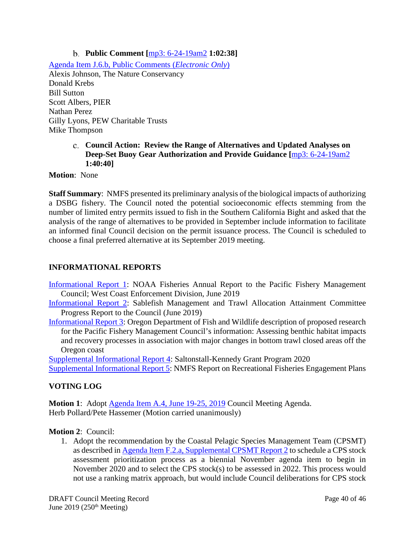**Public Comment [**[mp3: 6-24-19am2](ftp://ftp.pcouncil.org/pub/R1906_June_2019_Recordings/6-24-19am2Copy.mp3) **1:02:38]**

<span id="page-39-0"></span>[Agenda Item J.6.b, Public Comments \(](https://pfmc.psmfc.org/Meeting/Details/783?agendaID=4449)*Electronic Only*) Alexis Johnson, The Nature Conservancy Donald Krebs Bill Sutton Scott Albers, PIER Nathan Perez Gilly Lyons, PEW Charitable Trusts Mike Thompson

#### <span id="page-39-1"></span>**Council Action: Review the Range of Alternatives and Updated Analyses on Deep-Set Buoy Gear Authorization and Provide Guidance [**[mp3: 6-24-19am2](ftp://ftp.pcouncil.org/pub/R1906_June_2019_Recordings/6-24-19am2Copy.mp3) **1:40:40]**

**Motion**: None

**Staff Summary**: NMFS presented its preliminary analysis of the biological impacts of authorizing a DSBG fishery. The Council noted the potential socioeconomic effects stemming from the number of limited entry permits issued to fish in the Southern California Bight and asked that the analysis of the range of alternatives to be provided in September include information to facilitate an informed final Council decision on the permit issuance process. The Council is scheduled to choose a final preferred alternative at its September 2019 meeting.

### <span id="page-39-2"></span>**INFORMATIONAL REPORTS**

- [Informational Report 1:](https://www.pcouncil.org/wp-content/uploads/2019/05/IR1_2019-OLE-WCD-PFMC-Annual-Report-FINAL_June2019BB.pdf) NOAA Fisheries Annual Report to the Pacific Fishery Management Council; West Coast Enforcement Division, June 2019
- [Informational Report 2:](https://www.pcouncil.org/wp-content/uploads/2019/05/IR2_SaMTAAC-Report-to-Council_June2019BB.pdf) Sablefish Management and Trawl Allocation Attainment Committee Progress Report to the Council (June 2019)
- [Informational Report 3:](https://www.pcouncil.org/wp-content/uploads/2019/05/IR3_ODFW_TrawlRCAstudy_ODFW_JUN2019BB.pdf) Oregon Department of Fish and Wildlife description of proposed research for the Pacific Fishery Management Council's information: Assessing benthic habitat impacts and recovery processes in association with major changes in bottom trawl closed areas off the Oregon coast

[Supplemental Informational Report 4:](https://www.pcouncil.org/wp-content/uploads/2019/06/SupIR4_SK_RFP_JUN2019BB.pdf) Saltonstall-Kennedy Grant Program 2020

[Supplemental Informational Report 5:](https://www.pcouncil.org/wp-content/uploads/2019/06/SupIR5_NMFS_Rec_Fish_JUN2019BB.pdf) NMFS Report on Recreational Fisheries Engagement Plans

#### <span id="page-39-3"></span>**VOTING LOG**

**Motion 1**: Adopt [Agenda Item A.4, June 19-25, 2019](https://www.pcouncil.org/wp-content/uploads/2019/05/A4__Detailed_Agenda_June2019_wQR.MapJUN2019BB.pdf) Council Meeting Agenda. Herb Pollard/Pete Hassemer (Motion carried unanimously)

#### **Motion 2**: Council:

1. Adopt the recommendation by the Coastal Pelagic Species Management Team (CPSMT) as described in [Agenda Item F.2.a, Supplemental CPSMT Report 2](https://www.pcouncil.org/wp-content/uploads/2019/06/F2a_Sup_CPSMT_Rpt2_Jun2019BB.pdf) to schedule a CPS stock assessment prioritization process as a biennial November agenda item to begin in November 2020 and to select the CPS stock(s) to be assessed in 2022. This process would not use a ranking matrix approach, but would include Council deliberations for CPS stock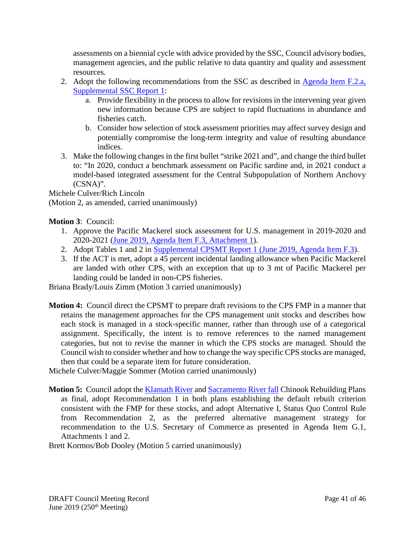assessments on a biennial cycle with advice provided by the SSC, Council advisory bodies, management agencies, and the public relative to data quantity and quality and assessment resources.

- 2. Adopt the following recommendations from the SSC as described in Agenda Item F.2.a, [Supplemental SSC Report 1:](https://www.pcouncil.org/wp-content/uploads/2019/06/F2a_Sup_SSC_RPT1_JUNE2019BB.pdf)
	- a. Provide flexibility in the process to allow for revisions in the intervening year given new information because CPS are subject to rapid fluctuations in abundance and fisheries catch.
	- b. Consider how selection of stock assessment priorities may affect survey design and potentially compromise the long-term integrity and value of resulting abundance indices.
- 3. Make the following changes in the first bullet "strike 2021 and", and change the third bullet to: "In 2020, conduct a benchmark assessment on Pacific sardine and, in 2021 conduct a model-based integrated assessment for the Central Subpopulation of Northern Anchovy (CSNA)".

Michele Culver/Rich Lincoln

(Motion 2, as amended, carried unanimously)

**Motion 3**: Council:

- 1. Approve the Pacific Mackerel stock assessment for U.S. management in 2019-2020 and 2020-2021 [\(June 2019, Agenda Item F.3, Attachment 1\)](https://www.pcouncil.org/wp-content/uploads/2019/05/F3_Att1_Mackerel_Stock-Assessment_Full_Electric_Only_Jun2019BB.pdf).
- 2. Adopt Tables 1 and 2 in [Supplemental CPSMT Report 1 \(June 2019, Agenda Item F.3\)](https://www.pcouncil.org/wp-content/uploads/2019/06/F3a_Sup_CPSMT_Rpt1_Jun2019BB.pdf).
- 3. If the ACT is met, adopt a 45 percent incidental landing allowance when Pacific Mackerel are landed with other CPS, with an exception that up to 3 mt of Pacific Mackerel per landing could be landed in non-CPS fisheries.

Briana Brady/Louis Zimm (Motion 3 carried unanimously)

**Motion 4:** Council direct the CPSMT to prepare draft revisions to the CPS FMP in a manner that retains the management approaches for the CPS management unit stocks and describes how each stock is managed in a stock-specific manner, rather than through use of a categorical assignment. Specifically, the intent is to remove references to the named management categories, but not to revise the manner in which the CPS stocks are managed. Should the Council wish to consider whether and how to change the way specific CPS stocks are managed, then that could be a separate item for future consideration.

Michele Culver/Maggie Sommer (Motion carried unanimously)

**Motion 5:** Council adopt the **Klamath River and [Sacramento River fall](https://www.pcouncil.org/wp-content/uploads/2019/05/G1_ATT2_SRFC_Electric_Only_JUN2019BB.pdf)** Chinook Rebuilding Plans as final, adopt Recommendation 1 in both plans establishing the default rebuilt criterion consistent with the FMP for these stocks, and adopt Alternative I, Status Quo Control Rule from Recommendation 2, as the preferred alternative management strategy for recommendation to the U.S. Secretary of Commerce as presented in Agenda Item G.1, Attachments 1 and 2.

Brett Kormos/Bob Dooley (Motion 5 carried unanimously)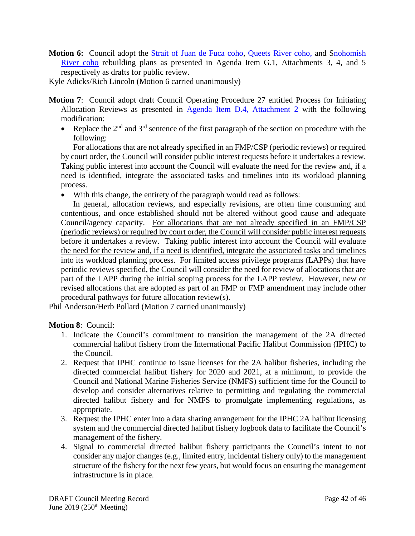- **Motion 6:** Council adopt the [Strait of Juan de Fuca coho,](https://www.pcouncil.org/wp-content/uploads/2019/05/G1_ATT3_JDF_Electric_Only_JUN2019BB.pdf) [Queets River coho,](https://www.pcouncil.org/wp-content/uploads/2019/05/G1_ATT4_QR_Electric_Only_JUN2019BB.pdf) and [Snohomish](https://www.pcouncil.org/wp-content/uploads/2019/05/G1_ATT5_SNO_Electric_Only_JUN2019BB.pdf)  [River coho](https://www.pcouncil.org/wp-content/uploads/2019/05/G1_ATT5_SNO_Electric_Only_JUN2019BB.pdf) rebuilding plans as presented in Agenda Item G.1, Attachments 3, 4, and 5 respectively as drafts for public review.
- Kyle Adicks/Rich Lincoln (Motion 6 carried unanimously)
- **Motion 7**: Council adopt draft Council Operating Procedure 27 entitled Process for Initiating Allocation Reviews as presented in [Agenda Item D.4,](https://www.pcouncil.org/wp-content/uploads/2019/05/D4_Att2_May2019COP27_AllocationRev_JUN2019.pdf) Attachment 2 with the following modification:
	- Replace the  $2<sup>nd</sup>$  and  $3<sup>rd</sup>$  sentence of the first paragraph of the section on procedure with the following:

For allocations that are not already specified in an FMP/CSP (periodic reviews) or required by court order, the Council will consider public interest requests before it undertakes a review. Taking public interest into account the Council will evaluate the need for the review and, if a need is identified, integrate the associated tasks and timelines into its workload planning process.

• With this change, the entirety of the paragraph would read as follows:

In general, allocation reviews, and especially revisions, are often time consuming and contentious, and once established should not be altered without good cause and adequate Council/agency capacity. For allocations that are not already specified in an FMP/CSP (periodic reviews) or required by court order, the Council will consider public interest requests before it undertakes a review. Taking public interest into account the Council will evaluate the need for the review and, if a need is identified, integrate the associated tasks and timelines into its workload planning process. For limited access privilege programs (LAPPs) that have periodic reviews specified, the Council will consider the need for review of allocations that are part of the LAPP during the initial scoping process for the LAPP review. However, new or revised allocations that are adopted as part of an FMP or FMP amendment may include other procedural pathways for future allocation review(s).

Phil Anderson/Herb Pollard (Motion 7 carried unanimously)

### **Motion 8**: Council:

- 1. Indicate the Council's commitment to transition the management of the 2A directed commercial halibut fishery from the International Pacific Halibut Commission (IPHC) to the Council.
- 2. Request that IPHC continue to issue licenses for the 2A halibut fisheries, including the directed commercial halibut fishery for 2020 and 2021, at a minimum, to provide the Council and National Marine Fisheries Service (NMFS) sufficient time for the Council to develop and consider alternatives relative to permitting and regulating the commercial directed halibut fishery and for NMFS to promulgate implementing regulations, as appropriate.
- 3. Request the IPHC enter into a data sharing arrangement for the IPHC 2A halibut licensing system and the commercial directed halibut fishery logbook data to facilitate the Council's management of the fishery.
- 4. Signal to commercial directed halibut fishery participants the Council's intent to not consider any major changes (e.g., limited entry, incidental fishery only) to the management structure of the fishery for the next few years, but would focus on ensuring the management infrastructure is in place.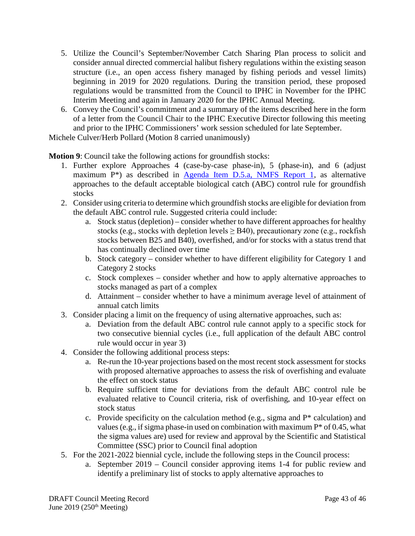- 5. Utilize the Council's September/November Catch Sharing Plan process to solicit and consider annual directed commercial halibut fishery regulations within the existing season structure (i.e., an open access fishery managed by fishing periods and vessel limits) beginning in 2019 for 2020 regulations. During the transition period, these proposed regulations would be transmitted from the Council to IPHC in November for the IPHC Interim Meeting and again in January 2020 for the IPHC Annual Meeting.
- 6. Convey the Council's commitment and a summary of the items described here in the form of a letter from the Council Chair to the IPHC Executive Director following this meeting and prior to the IPHC Commissioners' work session scheduled for late September.

Michele Culver/Herb Pollard (Motion 8 carried unanimously)

**Motion 9**: Council take the following actions for groundfish stocks:

- 1. Further explore Approaches 4 (case-by-case phase-in), 5 (phase-in), and 6 (adjust maximum P\*) as described in [Agenda Item D.5.a, NMFS Report 1,](https://www.pcouncil.org/wp-content/uploads/2019/05/D5a_NMFS_RPT1_Phased-in-HCRs_JUNE2019BB.pdf) as alternative approaches to the default acceptable biological catch (ABC) control rule for groundfish stocks
- 2. Consider using criteria to determine which groundfish stocks are eligible for deviation from the default ABC control rule. Suggested criteria could include:
	- a. Stock status (depletion) consider whether to have different approaches for healthy stocks (e.g., stocks with depletion levels  $\geq$  B40), precautionary zone (e.g., rockfish stocks between B25 and B40), overfished, and/or for stocks with a status trend that has continually declined over time
	- b. Stock category consider whether to have different eligibility for Category 1 and Category 2 stocks
	- c. Stock complexes consider whether and how to apply alternative approaches to stocks managed as part of a complex
	- d. Attainment consider whether to have a minimum average level of attainment of annual catch limits
- 3. Consider placing a limit on the frequency of using alternative approaches, such as:
	- a. Deviation from the default ABC control rule cannot apply to a specific stock for two consecutive biennial cycles (i.e., full application of the default ABC control rule would occur in year 3)
- 4. Consider the following additional process steps:
	- a. Re-run the 10-year projections based on the most recent stock assessment for stocks with proposed alternative approaches to assess the risk of overfishing and evaluate the effect on stock status
	- b. Require sufficient time for deviations from the default ABC control rule be evaluated relative to Council criteria, risk of overfishing, and 10-year effect on stock status
	- c. Provide specificity on the calculation method (e.g., sigma and P\* calculation) and values (e.g., if sigma phase-in used on combination with maximum  $P^*$  of 0.45, what the sigma values are) used for review and approval by the Scientific and Statistical Committee (SSC) prior to Council final adoption
- 5. For the 2021-2022 biennial cycle, include the following steps in the Council process:
	- a. September 2019 Council consider approving items 1-4 for public review and identify a preliminary list of stocks to apply alternative approaches to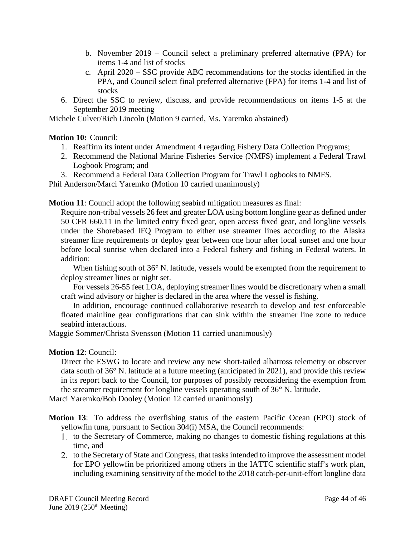- b. November 2019 Council select a preliminary preferred alternative (PPA) for items 1-4 and list of stocks
- c. April 2020 SSC provide ABC recommendations for the stocks identified in the PPA, and Council select final preferred alternative (FPA) for items 1-4 and list of stocks
- 6. Direct the SSC to review, discuss, and provide recommendations on items 1-5 at the September 2019 meeting

Michele Culver/Rich Lincoln (Motion 9 carried, Ms. Yaremko abstained)

#### **Motion 10:** Council:

- 1. Reaffirm its intent under Amendment 4 regarding Fishery Data Collection Programs;
- 2. Recommend the National Marine Fisheries Service (NMFS) implement a Federal Trawl Logbook Program; and
- 3. Recommend a Federal Data Collection Program for Trawl Logbooks to NMFS.

Phil Anderson/Marci Yaremko (Motion 10 carried unanimously)

**Motion 11**: Council adopt the following seabird mitigation measures as final:

Require non-tribal vessels 26 feet and greater LOA using bottom longline gear as defined under 50 CFR 660.11 in the limited entry fixed gear, open access fixed gear, and longline vessels under the Shorebased IFQ Program to either use streamer lines according to the Alaska streamer line requirements or deploy gear between one hour after local sunset and one hour before local sunrise when declared into a Federal fishery and fishing in Federal waters. In addition:

When fishing south of  $36^{\circ}$  N. latitude, vessels would be exempted from the requirement to deploy streamer lines or night set.

For vessels 26-55 feet LOA, deploying streamer lines would be discretionary when a small craft wind advisory or higher is declared in the area where the vessel is fishing.

In addition, encourage continued collaborative research to develop and test enforceable floated mainline gear configurations that can sink within the streamer line zone to reduce seabird interactions.

Maggie Sommer/Christa Svensson (Motion 11 carried unanimously)

### **Motion 12**: Council:

Direct the ESWG to locate and review any new short-tailed albatross telemetry or observer data south of 36° N. latitude at a future meeting (anticipated in 2021), and provide this review in its report back to the Council, for purposes of possibly reconsidering the exemption from the streamer requirement for longline vessels operating south of 36° N. latitude.

Marci Yaremko/Bob Dooley (Motion 12 carried unanimously)

**Motion 13**: To address the overfishing status of the eastern Pacific Ocean (EPO) stock of yellowfin tuna, pursuant to Section 304(i) MSA, the Council recommends:

- 1. to the Secretary of Commerce, making no changes to domestic fishing regulations at this time, and
- 2. to the Secretary of State and Congress, that tasks intended to improve the assessment model for EPO yellowfin be prioritized among others in the IATTC scientific staff's work plan, including examining sensitivity of the model to the 2018 catch-per-unit-effort longline data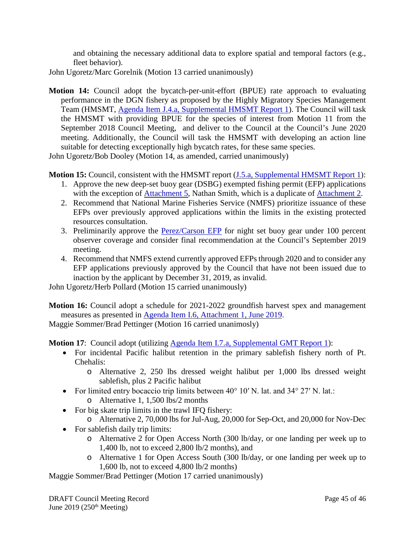and obtaining the necessary additional data to explore spatial and temporal factors (e.g., fleet behavior).

John Ugoretz/Marc Gorelnik (Motion 13 carried unanimously)

**Motion 14:** Council adopt the bycatch-per-unit-effort (BPUE) rate approach to evaluating performance in the DGN fishery as proposed by the Highly Migratory Species Management Team (HMSMT, Agenda Item J.4.a, [Supplemental HMSMT Report 1\)](https://www.pcouncil.org/wp-content/uploads/2019/06/J4a_Sup_HMSMT_Rpt1_JUNE2019BB.pdf). The Council will task the HMSMT with providing BPUE for the species of interest from Motion 11 from the September 2018 Council Meeting, and deliver to the Council at the Council's June 2020 meeting. Additionally, the Council will task the HMSMT with developing an action line suitable for detecting exceptionally high bycatch rates, for these same species.

John Ugoretz/Bob Dooley (Motion 14, as amended, carried unanimously)

**Motion 15:** Council, consistent with the HMSMT report (*J.5.a, Supplemental HMSMT Report 1*):

- 1. Approve the new deep-set buoy gear (DSBG) exempted fishing permit (EFP) applications with the exception of [Attachment 5,](https://www.pcouncil.org/wp-content/uploads/2019/05/J5_Att05_DSBG-EFP-application-190319_Smith_JUN2019BB.pdf) Nathan Smith, which is a duplicate of [Attachment 2.](https://www.pcouncil.org/wp-content/uploads/2019/05/J5_Att02_DSBG-EFP-application-190201_Lins_JUN2019BB.pdf)
- 2. Recommend that National Marine Fisheries Service (NMFS) prioritize issuance of these EFPs over previously approved applications within the limits in the existing protected resources consultation.
- 3. Preliminarily approve the [Perez/Carson EFP](https://www.pcouncil.org/wp-content/uploads/2019/05/J5_Att17_DSBG-EFP-application-190523_Perez-Carson_JUN2019BB.pdf) for night set buoy gear under 100 percent observer coverage and consider final recommendation at the Council's September 2019 meeting.
- 4. Recommend that NMFS extend currently approved EFPs through 2020 and to consider any EFP applications previously approved by the Council that have not been issued due to inaction by the applicant by December 31, 2019, as invalid.

John Ugoretz/Herb Pollard (Motion 15 carried unanimously)

**Motion 16:** Council adopt a schedule for 2021-2022 groundfish harvest spex and management measures as presented in [Agenda Item I.6, Attachment 1, June 2019.](https://www.pcouncil.org/wp-content/uploads/2019/05/I6_Att1_Spex_Schedule_JUNE2019BB.pdf)

Maggie Sommer/Brad Pettinger (Motion 16 carried unanimosly)

**Motion 17:** Council adopt (utilizing [Agenda Item I.7.a, Supplemental GMT Report 1\)](https://www.pcouncil.org/wp-content/uploads/2019/06/I7a_Sup_GMT_Rpt1_REVISED_JUNE2019BB.pdf):

- For incidental Pacific halibut retention in the primary sablefish fishery north of Pt. Chehalis:
	- o Alternative 2, 250 lbs dressed weight halibut per 1,000 lbs dressed weight sablefish, plus 2 Pacific halibut
- For limited entry bocaccio trip limits between 40° 10′ N. lat. and 34° 27′ N. lat.: o Alternative 1, 1,500 lbs/2 months
- For big skate trip limits in the trawl IFQ fishery:
	- o Alternative 2, 70,000 lbs for Jul-Aug, 20,000 for Sep-Oct, and 20,000 for Nov-Dec
- For sable fish daily trip limits:
	- o Alternative 2 for Open Access North (300 lb/day, or one landing per week up to 1,400 lb, not to exceed 2,800 lb/2 months), and
	- o Alternative 1 for Open Access South (300 lb/day, or one landing per week up to 1,600 lb, not to exceed 4,800 lb/2 months)

Maggie Sommer/Brad Pettinger (Motion 17 carried unanimously)